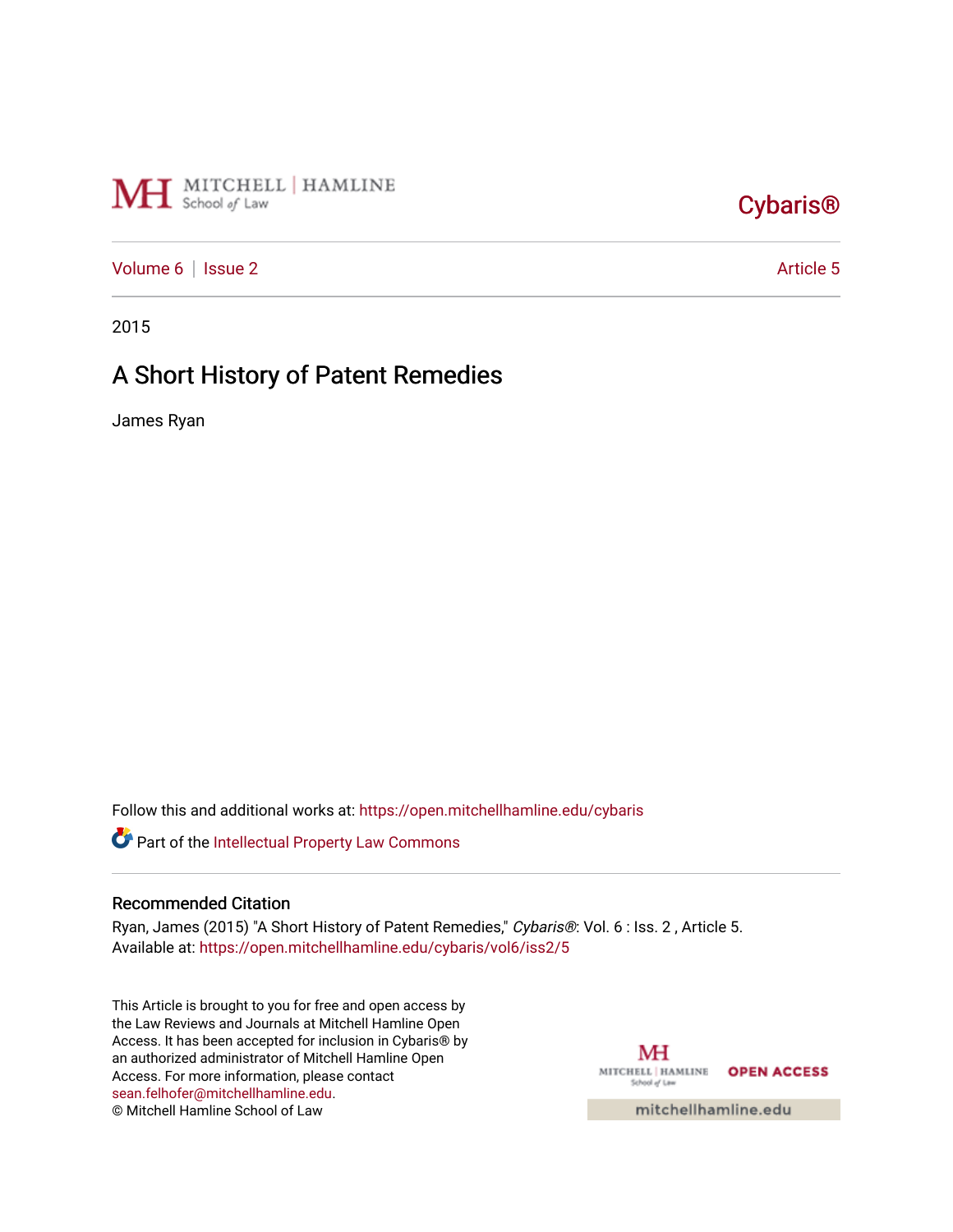

## [Cybaris®](https://open.mitchellhamline.edu/cybaris)

[Volume 6](https://open.mitchellhamline.edu/cybaris/vol6) | [Issue 2](https://open.mitchellhamline.edu/cybaris/vol6/iss2) Article 5

2015

# A Short History of Patent Remedies

James Ryan

Follow this and additional works at: [https://open.mitchellhamline.edu/cybaris](https://open.mitchellhamline.edu/cybaris?utm_source=open.mitchellhamline.edu%2Fcybaris%2Fvol6%2Fiss2%2F5&utm_medium=PDF&utm_campaign=PDFCoverPages) 

Part of the [Intellectual Property Law Commons](http://network.bepress.com/hgg/discipline/896?utm_source=open.mitchellhamline.edu%2Fcybaris%2Fvol6%2Fiss2%2F5&utm_medium=PDF&utm_campaign=PDFCoverPages) 

## Recommended Citation

Ryan, James (2015) "A Short History of Patent Remedies," Cybaris®: Vol. 6 : Iss. 2 , Article 5. Available at: [https://open.mitchellhamline.edu/cybaris/vol6/iss2/5](https://open.mitchellhamline.edu/cybaris/vol6/iss2/5?utm_source=open.mitchellhamline.edu%2Fcybaris%2Fvol6%2Fiss2%2F5&utm_medium=PDF&utm_campaign=PDFCoverPages)

This Article is brought to you for free and open access by the Law Reviews and Journals at Mitchell Hamline Open Access. It has been accepted for inclusion in Cybaris® by an authorized administrator of Mitchell Hamline Open Access. For more information, please contact [sean.felhofer@mitchellhamline.edu](mailto:sean.felhofer@mitchellhamline.edu). © Mitchell Hamline School of Law

MH MITCHELL | HAMLINE OPEN ACCESS School of Law

mitchellhamline.edu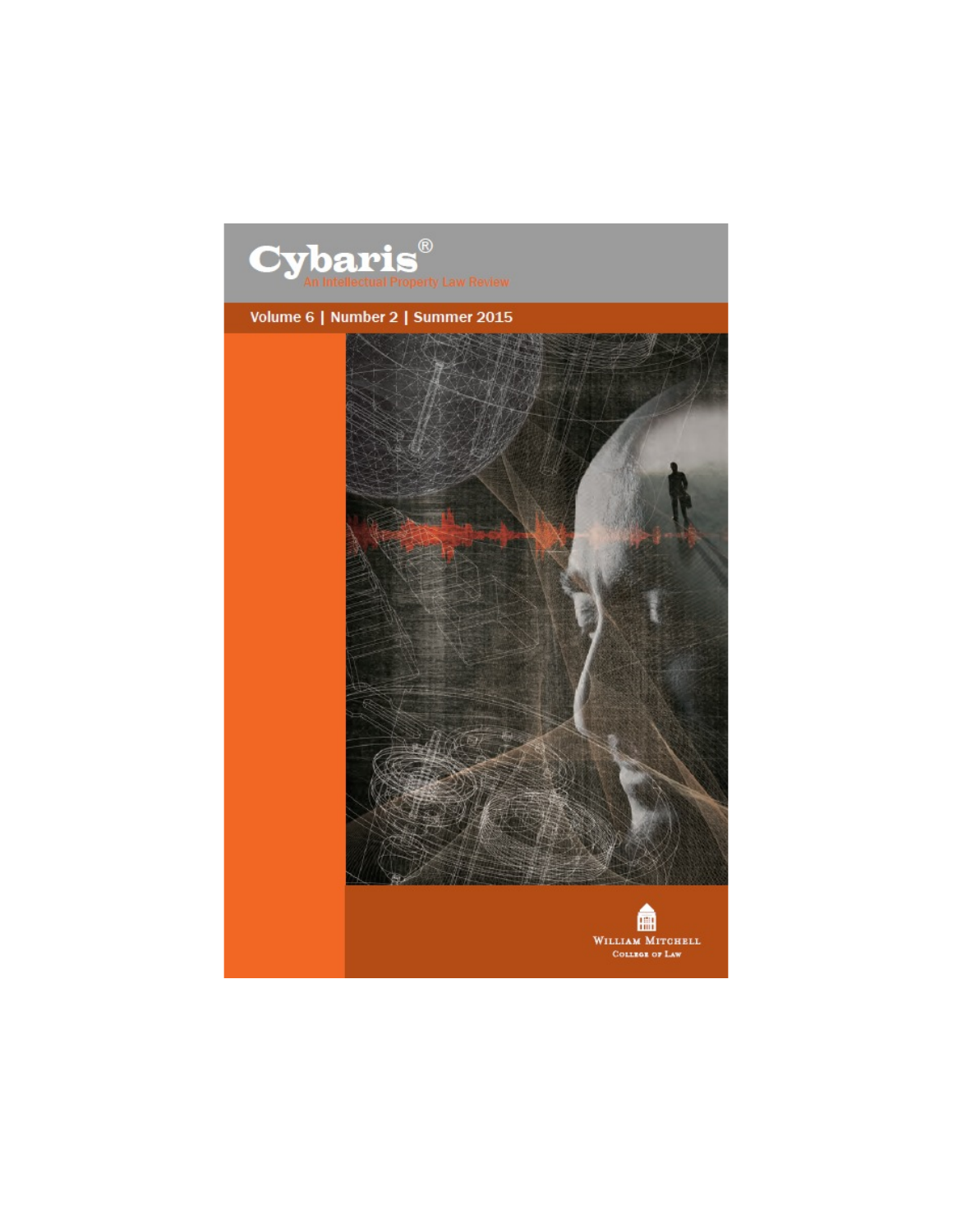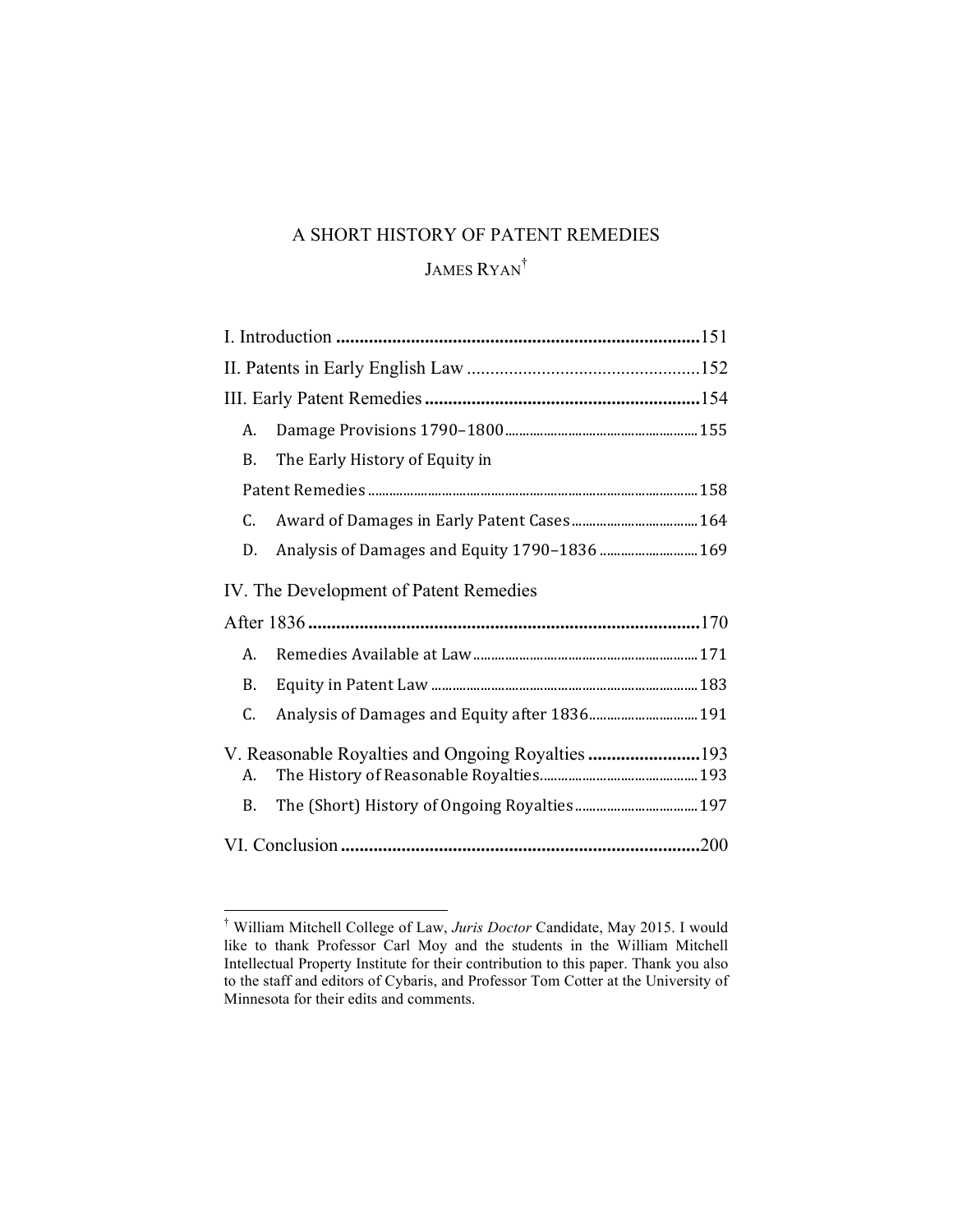## A SHORT HISTORY OF PATENT REMEDIES

## JAMES RYAN<sup>†</sup>

| А.                                     |                                               |  |
|----------------------------------------|-----------------------------------------------|--|
| B.                                     | The Early History of Equity in                |  |
|                                        |                                               |  |
| C.                                     |                                               |  |
| D.                                     | Analysis of Damages and Equity 1790-1836  169 |  |
| IV. The Development of Patent Remedies |                                               |  |
|                                        |                                               |  |
| А.                                     |                                               |  |
| B.                                     |                                               |  |
| C.                                     | Analysis of Damages and Equity after 1836 191 |  |
| А.<br><b>B.</b>                        |                                               |  |
|                                        |                                               |  |

 † William Mitchell College of Law, *Juris Doctor* Candidate, May 2015. I would like to thank Professor Carl Moy and the students in the William Mitchell Intellectual Property Institute for their contribution to this paper. Thank you also to the staff and editors of Cybaris, and Professor Tom Cotter at the University of Minnesota for their edits and comments.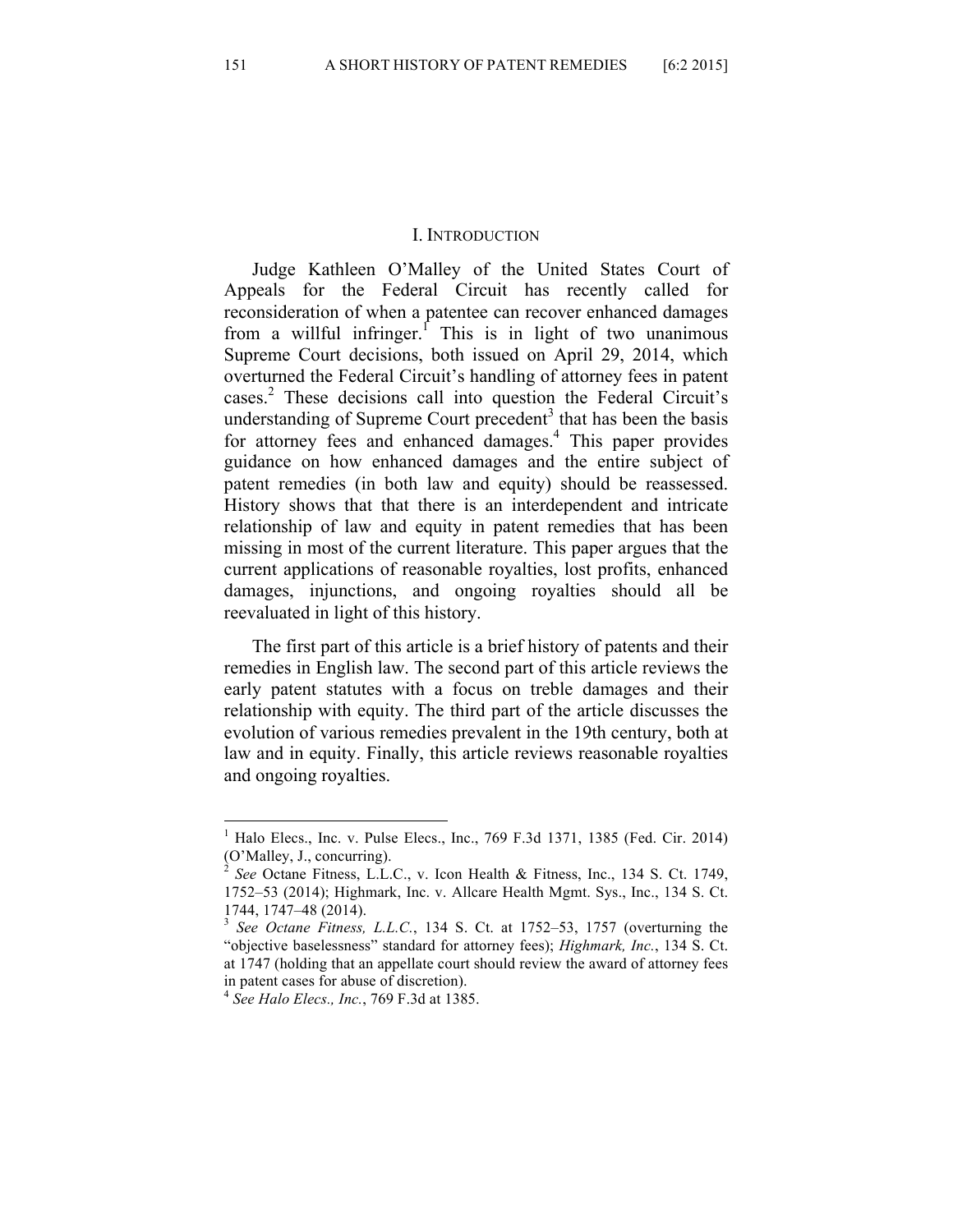#### I. INTRODUCTION

Judge Kathleen O'Malley of the United States Court of Appeals for the Federal Circuit has recently called for reconsideration of when a patentee can recover enhanced damages from a willful infringer.<sup>1</sup> This is in light of two unanimous Supreme Court decisions, both issued on April 29, 2014, which overturned the Federal Circuit's handling of attorney fees in patent cases.<sup>2</sup> These decisions call into question the Federal Circuit's understanding of Supreme Court precedent<sup>3</sup> that has been the basis for attorney fees and enhanced damages.<sup>4</sup> This paper provides guidance on how enhanced damages and the entire subject of patent remedies (in both law and equity) should be reassessed. History shows that that there is an interdependent and intricate relationship of law and equity in patent remedies that has been missing in most of the current literature. This paper argues that the current applications of reasonable royalties, lost profits, enhanced damages, injunctions, and ongoing royalties should all be reevaluated in light of this history.

The first part of this article is a brief history of patents and their remedies in English law. The second part of this article reviews the early patent statutes with a focus on treble damages and their relationship with equity. The third part of the article discusses the evolution of various remedies prevalent in the 19th century, both at law and in equity. Finally, this article reviews reasonable royalties and ongoing royalties.

 <sup>1</sup> Halo Elecs., Inc. v. Pulse Elecs., Inc., 769 F.3d 1371, 1385 (Fed. Cir. 2014) (O'Malley, J., concurring).

<sup>2</sup> *See* Octane Fitness, L.L.C., v. Icon Health & Fitness, Inc., 134 S. Ct. 1749, 1752–53 (2014); Highmark, Inc. v. Allcare Health Mgmt. Sys., Inc., 134 S. Ct. 1744, 1747–48 (2014). <sup>3</sup> *See Octane Fitness, L.L.C.*, 134 S. Ct. at 1752–53, 1757 (overturning the

<sup>&</sup>quot;objective baselessness" standard for attorney fees); *Highmark, Inc.*, 134 S. Ct. at 1747 (holding that an appellate court should review the award of attorney fees in patent cases for abuse of discretion).

<sup>4</sup> *See Halo Elecs., Inc.*, 769 F.3d at 1385.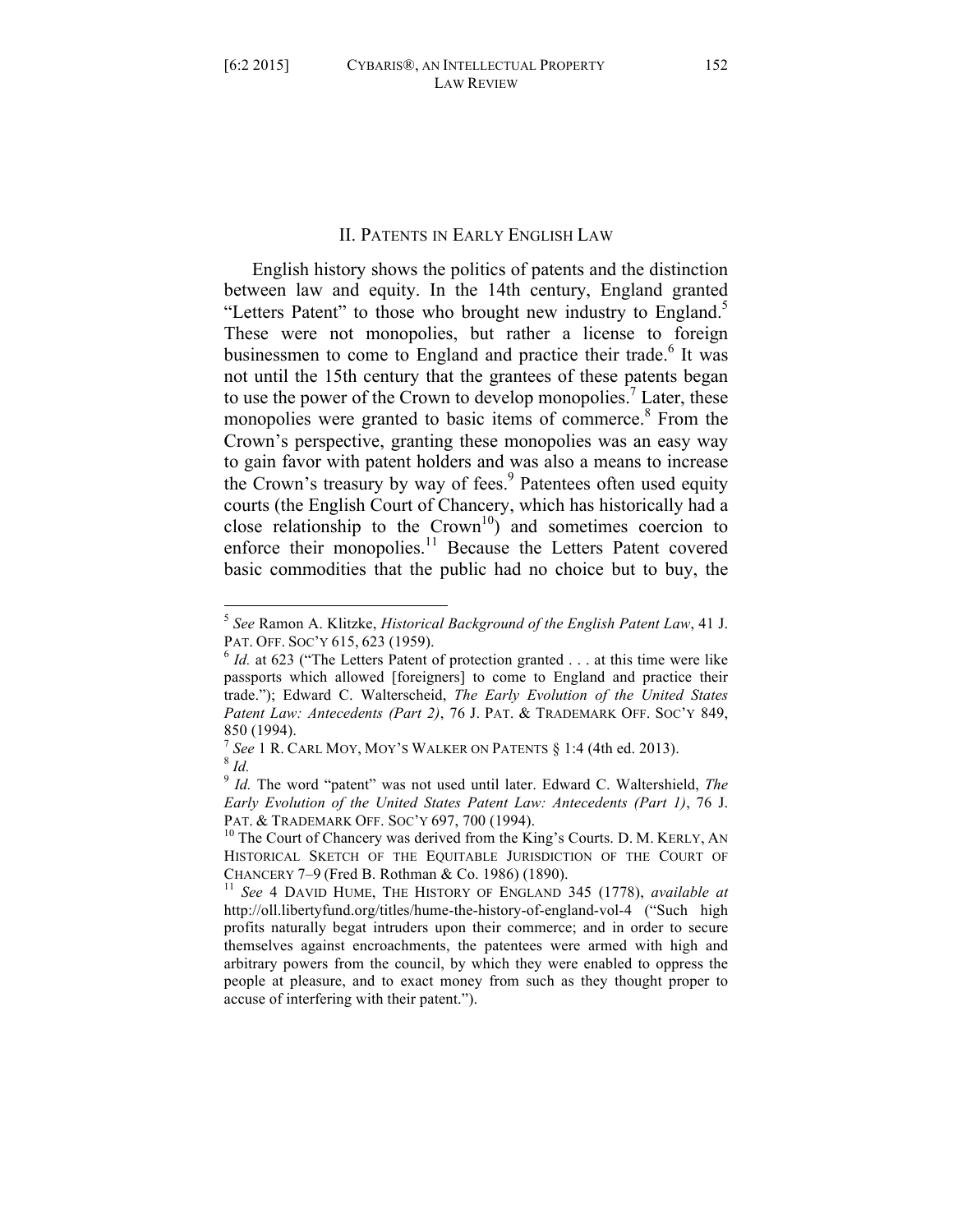## II. PATENTS IN EARLY ENGLISH LAW

English history shows the politics of patents and the distinction between law and equity. In the 14th century, England granted "Letters Patent" to those who brought new industry to England.<sup>5</sup> These were not monopolies, but rather a license to foreign businessmen to come to England and practice their trade.<sup>6</sup> It was not until the 15th century that the grantees of these patents began to use the power of the Crown to develop monopolies.<sup>7</sup> Later, these monopolies were granted to basic items of commerce.<sup>8</sup> From the Crown's perspective, granting these monopolies was an easy way to gain favor with patent holders and was also a means to increase the Crown's treasury by way of fees.<sup>9</sup> Patentees often used equity courts (the English Court of Chancery, which has historically had a close relationship to the  $Crown<sup>10</sup>$  and sometimes coercion to enforce their monopolies.<sup>11</sup> Because the Letters Patent covered basic commodities that the public had no choice but to buy, the

 <sup>5</sup> *See* Ramon A. Klitzke, *Historical Background of the English Patent Law*, 41 J. PAT. OFF. Soc'Y 615, 623 (1959).<br><sup>6</sup> *Id.* at 623 ("The Letters Patent of protection granted . . . at this time were like

passports which allowed [foreigners] to come to England and practice their trade."); Edward C. Walterscheid, *The Early Evolution of the United States Patent Law: Antecedents (Part 2)*, 76 J. PAT. & TRADEMARK OFF. SOC'Y 849, 850 (1994).

<sup>7</sup> *See* 1 R. CARL MOY, MOY'S WALKER ON PATENTS § 1:4 (4th ed. 2013). 8 *Id.*

<sup>9</sup> *Id.* The word "patent" was not used until later. Edward C. Waltershield, *The Early Evolution of the United States Patent Law: Antecedents (Part 1)*, 76 J. PAT. & TRADEMARK OFF. SOC'Y 697, 700 (1994).<br><sup>10</sup> The Court of Chancery was derived from the King's Courts. D. M. KERLY, AN

HISTORICAL SKETCH OF THE EQUITABLE JURISDICTION OF THE COURT OF

CHANCERY 7–9 (Fred B. Rothman & Co. 1986) (1890). <sup>11</sup> *See* 4 DAVID HUME, THE HISTORY OF ENGLAND 345 (1778), *available at* http://oll.libertyfund.org/titles/hume-the-history-of-england-vol-4 ("Such high profits naturally begat intruders upon their commerce; and in order to secure themselves against encroachments, the patentees were armed with high and arbitrary powers from the council, by which they were enabled to oppress the people at pleasure, and to exact money from such as they thought proper to accuse of interfering with their patent.").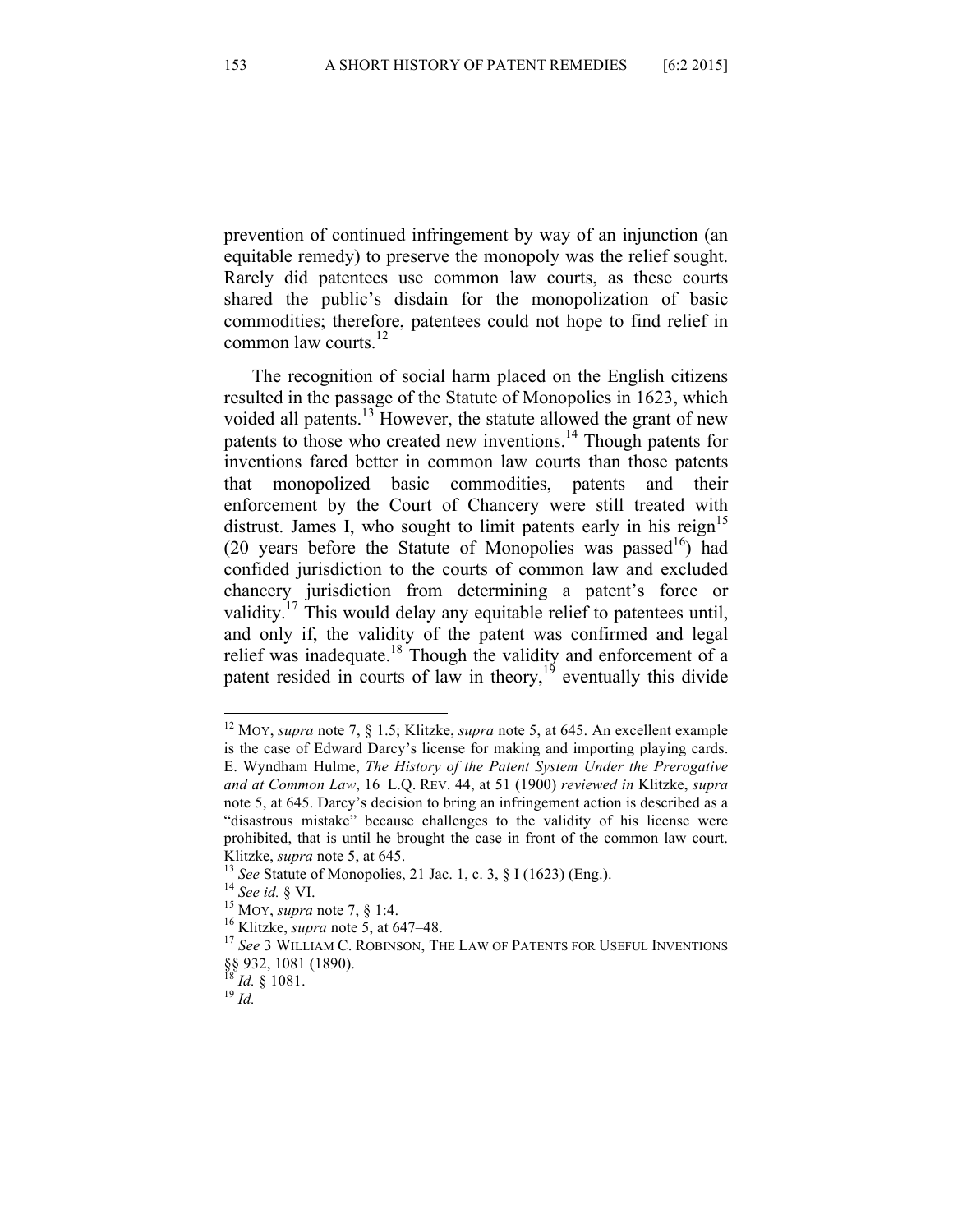prevention of continued infringement by way of an injunction (an equitable remedy) to preserve the monopoly was the relief sought. Rarely did patentees use common law courts, as these courts shared the public's disdain for the monopolization of basic commodities; therefore, patentees could not hope to find relief in common law courts. $^{12}$ 

The recognition of social harm placed on the English citizens resulted in the passage of the Statute of Monopolies in 1623, which voided all patents.<sup>13</sup> However, the statute allowed the grant of new patents to those who created new inventions.<sup>14</sup> Though patents for inventions fared better in common law courts than those patents that monopolized basic commodities, patents and their enforcement by the Court of Chancery were still treated with distrust. James I, who sought to limit patents early in his reign<sup>15</sup> (20 years before the Statute of Monopolies was passed<sup>16</sup>) had confided jurisdiction to the courts of common law and excluded chancery jurisdiction from determining a patent's force or validity.<sup>17</sup> This would delay any equitable relief to patentees until, and only if, the validity of the patent was confirmed and legal relief was inadequate.18 Though the validity and enforcement of a patent resided in courts of law in theory, $1<sup>9</sup>$  eventually this divide

 <sup>12</sup> MOY, *supra* note 7, § 1.5; Klitzke, *supra* note 5, at 645. An excellent example is the case of Edward Darcy's license for making and importing playing cards. E. Wyndham Hulme, *The History of the Patent System Under the Prerogative and at Common Law*, 16 L.Q. REV. 44, at 51 (1900) *reviewed in* Klitzke, *supra*  note 5, at 645. Darcy's decision to bring an infringement action is described as a "disastrous mistake" because challenges to the validity of his license were prohibited, that is until he brought the case in front of the common law court. Klitzke, *supra* note 5, at 645.<br><sup>13</sup> *See* Statute of Monopolies, 21 Jac. 1, c. 3, § I (1623) (Eng.).<br><sup>14</sup> *See id.* § VI.<br><sup>15</sup> MOY, *supra* note 7, § 1:4.<br><sup>16</sup> Klitzke, *supra* note 5, at 647–48.<br><sup>17</sup> *See* 3 WILLIAM C.

<sup>§§ 932, 1081 (1890).</sup>

 $\frac{18}{19}$  *Id.* § 1081.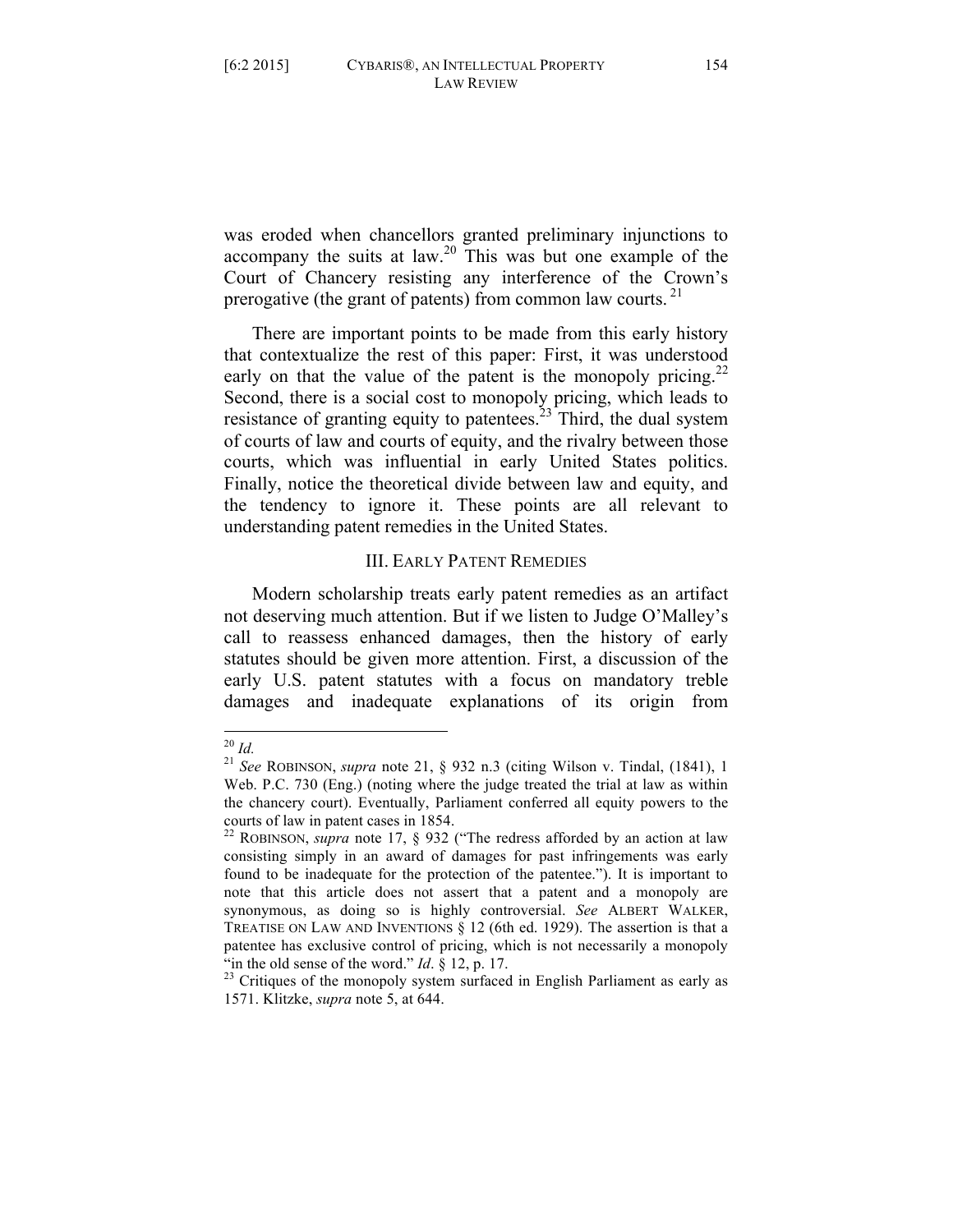was eroded when chancellors granted preliminary injunctions to accompany the suits at law.<sup>20</sup> This was but one example of the Court of Chancery resisting any interference of the Crown's prerogative (the grant of patents) from common law courts.  $21$ 

There are important points to be made from this early history that contextualize the rest of this paper: First, it was understood early on that the value of the patent is the monopoly pricing.<sup>22</sup> Second, there is a social cost to monopoly pricing, which leads to resistance of granting equity to patentees.<sup>23</sup> Third, the dual system of courts of law and courts of equity, and the rivalry between those courts, which was influential in early United States politics. Finally, notice the theoretical divide between law and equity, and the tendency to ignore it. These points are all relevant to understanding patent remedies in the United States.

#### III. EARLY PATENT REMEDIES

Modern scholarship treats early patent remedies as an artifact not deserving much attention. But if we listen to Judge O'Malley's call to reassess enhanced damages, then the history of early statutes should be given more attention. First, a discussion of the early U.S. patent statutes with a focus on mandatory treble damages and inadequate explanations of its origin from

 <sup>20</sup> *Id.* <sup>21</sup> *See* ROBINSON, *supra* note 21, § 932 n.3 (citing Wilson v. Tindal, (1841), 1 Web. P.C. 730 (Eng.) (noting where the judge treated the trial at law as within the chancery court). Eventually, Parliament conferred all equity powers to the courts of law in patent cases in 1854.

<sup>22</sup> ROBINSON, *supra* note 17, § 932 ("The redress afforded by an action at law consisting simply in an award of damages for past infringements was early found to be inadequate for the protection of the patentee."). It is important to note that this article does not assert that a patent and a monopoly are synonymous, as doing so is highly controversial. *See* ALBERT WALKER, TREATISE ON LAW AND INVENTIONS § 12 (6th ed. 1929). The assertion is that a patentee has exclusive control of pricing, which is not necessarily a monopoly

<sup>&</sup>quot;in the old sense of the word." *Id*.  $\S$  12, p. 17.<br><sup>23</sup> Critiques of the monopoly system surfaced in English Parliament as early as 1571. Klitzke, *supra* note 5, at 644.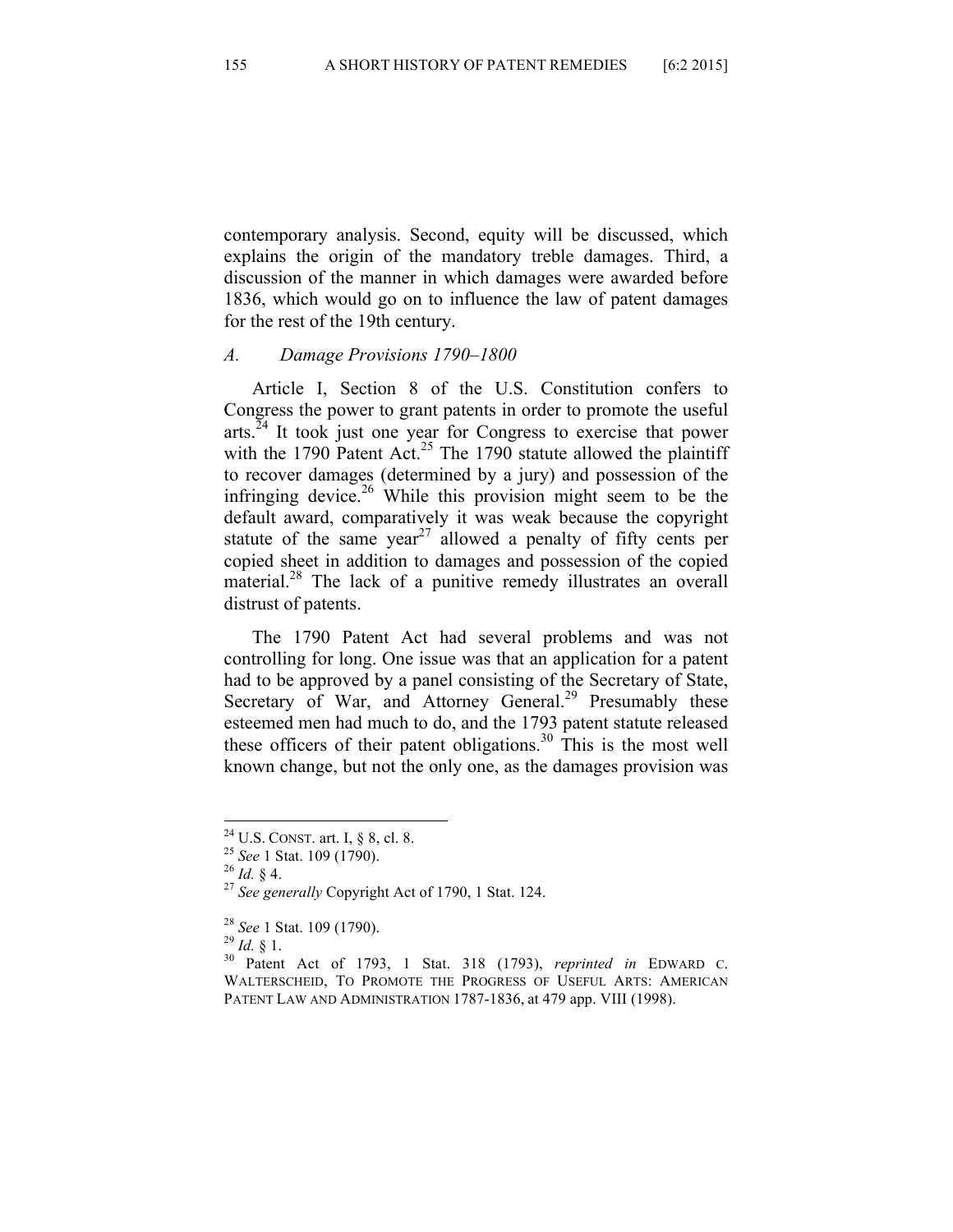contemporary analysis. Second, equity will be discussed, which explains the origin of the mandatory treble damages. Third, a discussion of the manner in which damages were awarded before 1836, which would go on to influence the law of patent damages for the rest of the 19th century.

#### *A. Damage Provisions 1790–1800*

Article I, Section 8 of the U.S. Constitution confers to Congress the power to grant patents in order to promote the useful  $arts.$ <sup>24</sup> It took just one year for Congress to exercise that power with the 1790 Patent Act.<sup>25</sup> The 1790 statute allowed the plaintiff to recover damages (determined by a jury) and possession of the infringing device.<sup>26</sup> While this provision might seem to be the default award, comparatively it was weak because the copyright statute of the same year<sup>27</sup> allowed a penalty of fifty cents per copied sheet in addition to damages and possession of the copied material.<sup>28</sup> The lack of a punitive remedy illustrates an overall distrust of patents.

The 1790 Patent Act had several problems and was not controlling for long. One issue was that an application for a patent had to be approved by a panel consisting of the Secretary of State, Secretary of War, and Attorney General.<sup>29</sup> Presumably these esteemed men had much to do, and the 1793 patent statute released these officers of their patent obligations.<sup>30</sup> This is the most well known change, but not the only one, as the damages provision was

 <sup>24</sup> U.S. CONST. art. I, § 8, cl. 8. <sup>25</sup> *See* 1 Stat. 109 (1790). <sup>26</sup> *Id.* § 4. <sup>27</sup> *See generally* Copyright Act of 1790, 1 Stat. 124.

<sup>28</sup> *See* 1 Stat. 109 (1790). <sup>29</sup> *Id.* § 1. <sup>30</sup> Patent Act of 1793, 1 Stat. 318 (1793), *reprinted in* EDWARD C. WALTERSCHEID, TO PROMOTE THE PROGRESS OF USEFUL ARTS: AMERICAN PATENT LAW AND ADMINISTRATION 1787-1836, at 479 app. VIII (1998).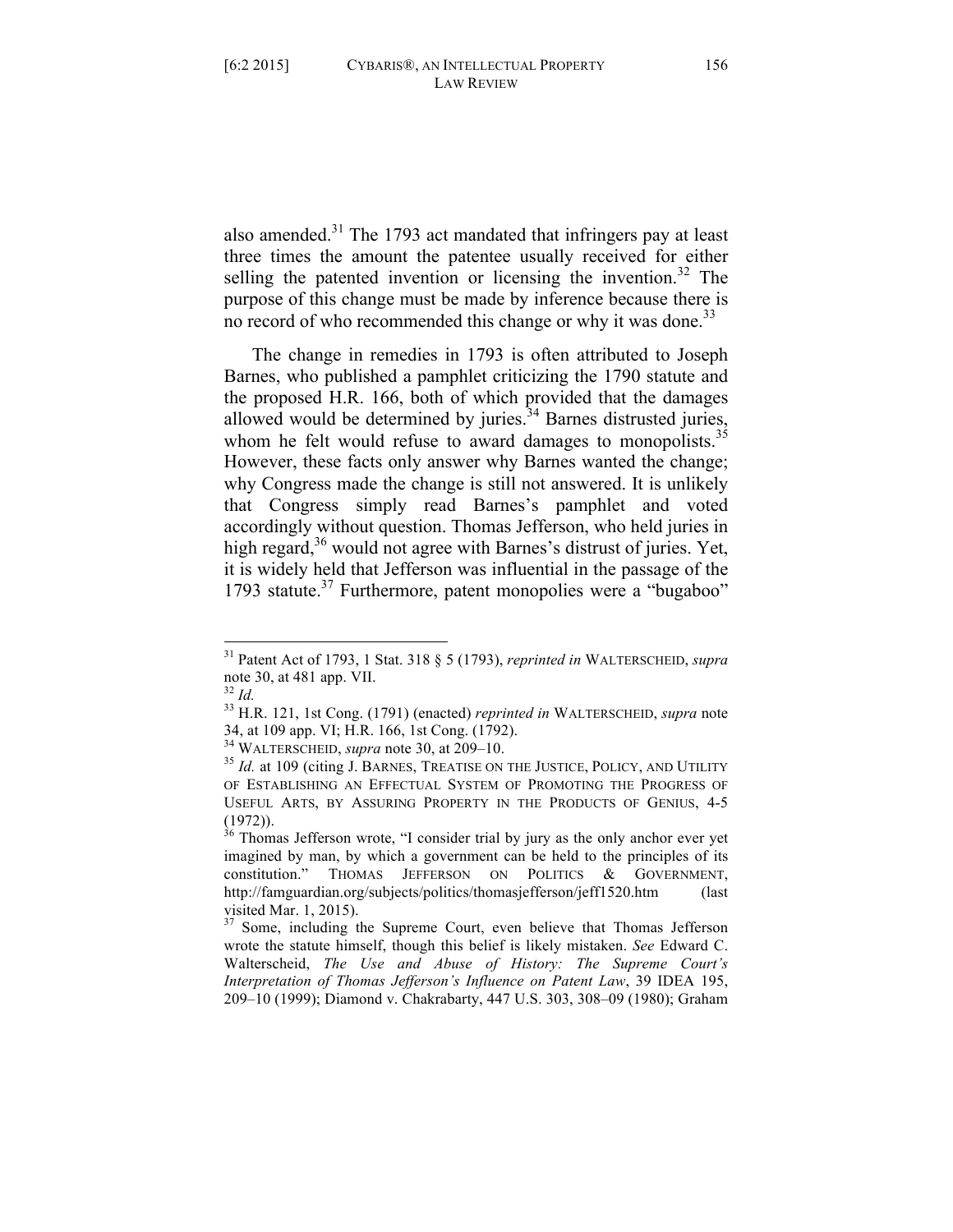also amended. $31$  The 1793 act mandated that infringers pay at least three times the amount the patentee usually received for either selling the patented invention or licensing the invention.<sup>32</sup> The purpose of this change must be made by inference because there is no record of who recommended this change or why it was done.<sup>33</sup>

The change in remedies in 1793 is often attributed to Joseph Barnes, who published a pamphlet criticizing the 1790 statute and the proposed H.R. 166, both of which provided that the damages allowed would be determined by juries.<sup>34</sup> Barnes distrusted juries, whom he felt would refuse to award damages to monopolists.<sup>35</sup> However, these facts only answer why Barnes wanted the change; why Congress made the change is still not answered. It is unlikely that Congress simply read Barnes's pamphlet and voted accordingly without question. Thomas Jefferson, who held juries in high regard, $36$  would not agree with Barnes's distrust of juries. Yet, it is widely held that Jefferson was influential in the passage of the 1793 statute.<sup>37</sup> Furthermore, patent monopolies were a "bugaboo"

 <sup>31</sup> Patent Act of 1793, 1 Stat. 318 § 5 (1793), *reprinted in* WALTERSCHEID, *supra*  note 30, at 481 app. VII.<br> $\frac{32}{1}$ *Id.* 

<sup>32</sup> *Id.* <sup>33</sup> H.R. 121, 1st Cong. (1791) (enacted) *reprinted in* WALTERSCHEID, *supra* note 34, at 109 app. VI; H.R. 166, 1st Cong. (1792).<br><sup>34</sup> WALTERSCHEID, *supra* note 30, at 209-10.

<sup>&</sup>lt;sup>35</sup> Id. at 109 (citing J. BARNES, TREATISE ON THE JUSTICE, POLICY, AND UTILITY OF ESTABLISHING AN EFFECTUAL SYSTEM OF PROMOTING THE PROGRESS OF USEFUL ARTS, BY ASSURING PROPERTY IN THE PRODUCTS OF GENIUS, 4-5 (1972)).

 $36$  Thomas Jefferson wrote, "I consider trial by jury as the only anchor ever yet imagined by man, by which a government can be held to the principles of its constitution." THOMAS JEFFERSON ON POLITICS & GOVERNMENT, http://famguardian.org/subjects/politics/thomasjefferson/jeff1520.htm (last visited Mar. 1, 2015).  $3^7$  Some, including the Supreme Court, even believe that Thomas Jefferson

wrote the statute himself, though this belief is likely mistaken. *See* Edward C. Walterscheid, *The Use and Abuse of History: The Supreme Court's Interpretation of Thomas Jefferson's Influence on Patent Law*, 39 IDEA 195, 209–10 (1999); Diamond v. Chakrabarty, 447 U.S. 303, 308–09 (1980); Graham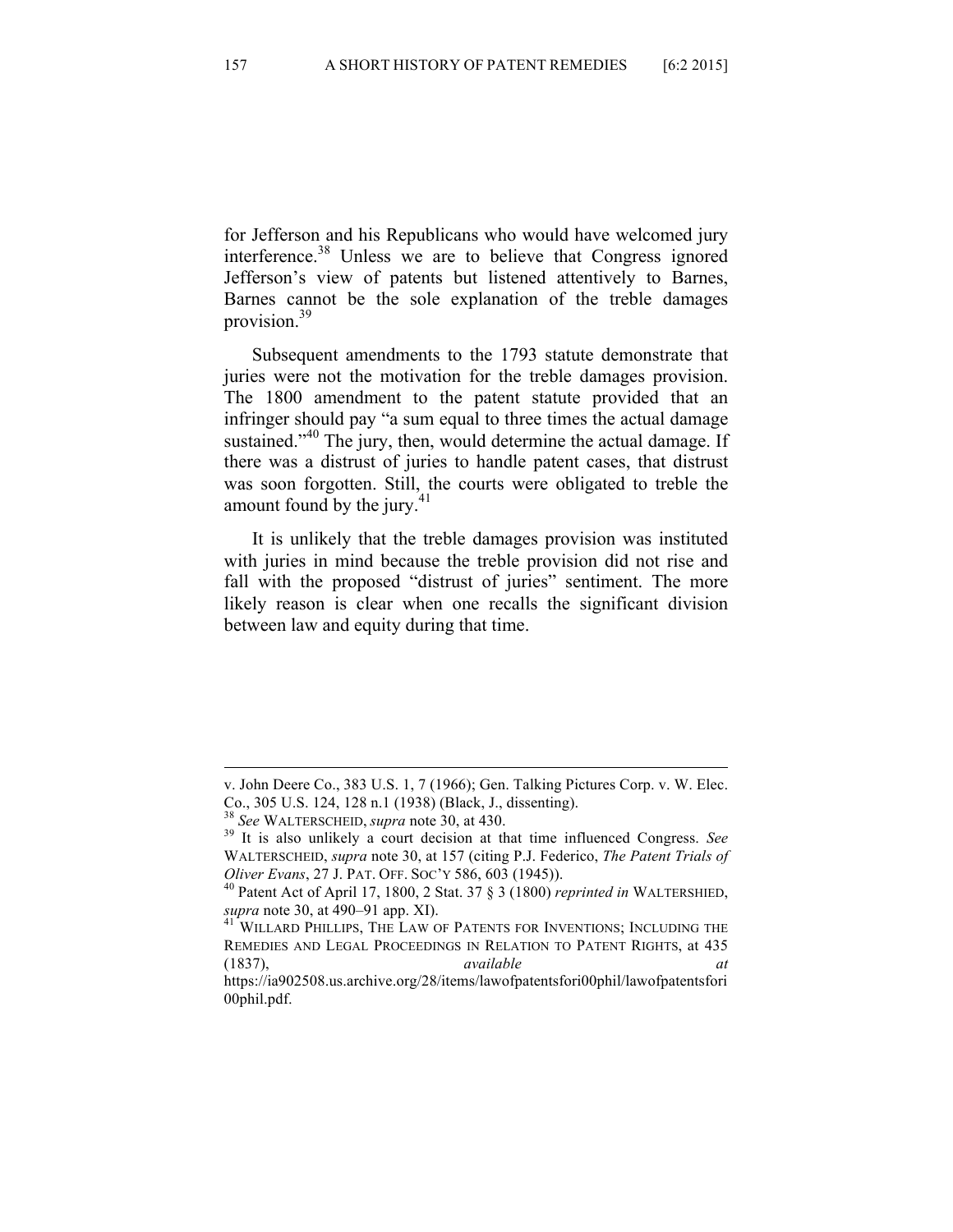for Jefferson and his Republicans who would have welcomed jury interference.38 Unless we are to believe that Congress ignored Jefferson's view of patents but listened attentively to Barnes, Barnes cannot be the sole explanation of the treble damages provision.39

Subsequent amendments to the 1793 statute demonstrate that juries were not the motivation for the treble damages provision. The 1800 amendment to the patent statute provided that an infringer should pay "a sum equal to three times the actual damage sustained."<sup>40</sup> The jury, then, would determine the actual damage. If there was a distrust of juries to handle patent cases, that distrust was soon forgotten. Still, the courts were obligated to treble the amount found by the jury. $41$ 

It is unlikely that the treble damages provision was instituted with juries in mind because the treble provision did not rise and fall with the proposed "distrust of juries" sentiment. The more likely reason is clear when one recalls the significant division between law and equity during that time.

<sup>&</sup>lt;u> 1989 - Andrea San Aonaichte ann an Comhair ann an Comhair ann an Comhair ann an Comhair ann an C</u> v. John Deere Co., 383 U.S. 1, 7 (1966); Gen. Talking Pictures Corp. v. W. Elec. Co., 305 U.S. 124, 128 n.1 (1938) (Black, J., dissenting). <sup>38</sup> See WALTERSCHEID, *supra* note 30, at 430.

<sup>&</sup>lt;sup>39</sup> It is also unlikely a court decision at that time influenced Congress. *See* WALTERSCHEID, *supra* note 30, at 157 (citing P.J. Federico, *The Patent Trials of* 

*Oliver Evans*, 27 J. PAT. OFF. SOC'Y 586, 603 (1945)).<br><sup>40</sup> Patent Act of April 17, 1800, 2 Stat. 37 § 3 (1800) *reprinted in* WALTERSHIED, *supra* note 30, at 490–91 app. XI).

<sup>&</sup>lt;sup>41</sup> WILLARD PHILLIPS, THE LAW OF PATENTS FOR INVENTIONS; INCLUDING THE REMEDIES AND LEGAL PROCEEDINGS IN RELATION TO PATENT RIGHTS, at 435 (1837), *available at*  https://ia902508.us.archive.org/28/items/lawofpatentsfori00phil/lawofpatentsfori 00phil.pdf.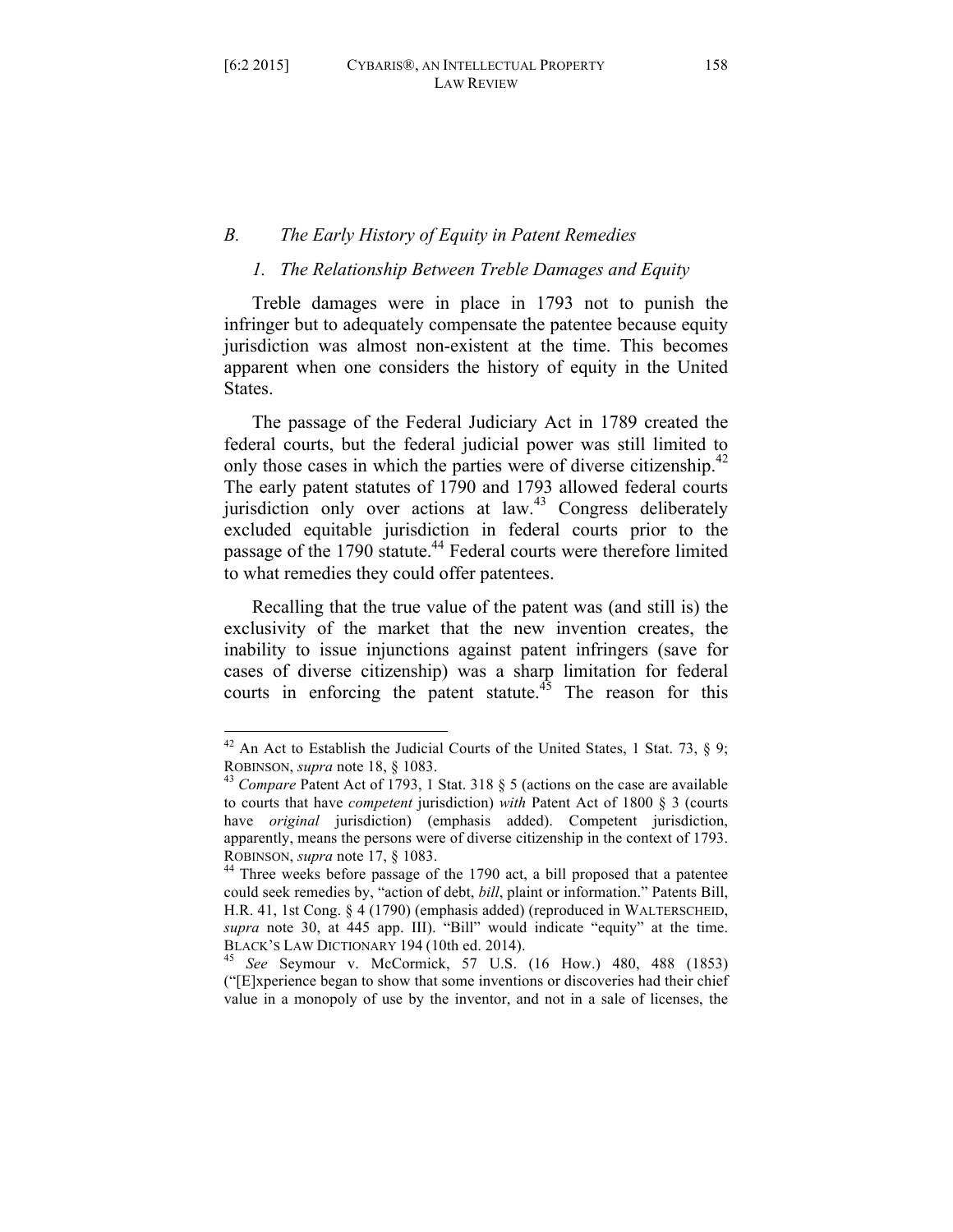#### *B. The Early History of Equity in Patent Remedies*

#### *1. The Relationship Between Treble Damages and Equity*

Treble damages were in place in 1793 not to punish the infringer but to adequately compensate the patentee because equity jurisdiction was almost non-existent at the time. This becomes apparent when one considers the history of equity in the United States.

The passage of the Federal Judiciary Act in 1789 created the federal courts, but the federal judicial power was still limited to only those cases in which the parties were of diverse citizenship.<sup>42</sup> The early patent statutes of 1790 and 1793 allowed federal courts jurisdiction only over actions at  $law<sup>43</sup>$  Congress deliberately excluded equitable jurisdiction in federal courts prior to the passage of the 1790 statute.<sup>44</sup> Federal courts were therefore limited to what remedies they could offer patentees.

Recalling that the true value of the patent was (and still is) the exclusivity of the market that the new invention creates, the inability to issue injunctions against patent infringers (save for cases of diverse citizenship) was a sharp limitation for federal courts in enforcing the patent statute.<sup> $45$ </sup> The reason for this

 $42$  An Act to Establish the Judicial Courts of the United States, 1 Stat. 73, § 9; ROBINSON, *supra* note 18, § 1083.<br><sup>43</sup> *Compare* Patent Act of 1793, 1 Stat. 318 § 5 (actions on the case are available

to courts that have *competent* jurisdiction) *with* Patent Act of 1800 § 3 (courts have *original* jurisdiction) (emphasis added). Competent jurisdiction, apparently, means the persons were of diverse citizenship in the context of 1793. ROBINSON, *supra* note 17, § 1083.<br><sup>44</sup> Three weeks before passage of the 1790 act, a bill proposed that a patentee

could seek remedies by, "action of debt, *bill*, plaint or information." Patents Bill, H.R. 41, 1st Cong. § 4 (1790) (emphasis added) (reproduced in WALTERSCHEID, *supra* note 30, at 445 app. III). "Bill" would indicate "equity" at the time. BLACK'S LAW DICTIONARY 194 (10th ed. 2014). <sup>45</sup> *See* Seymour v. McCormick, 57 U.S. (16 How.) 480, 488 (1853)

<sup>(&</sup>quot;[E]xperience began to show that some inventions or discoveries had their chief value in a monopoly of use by the inventor, and not in a sale of licenses, the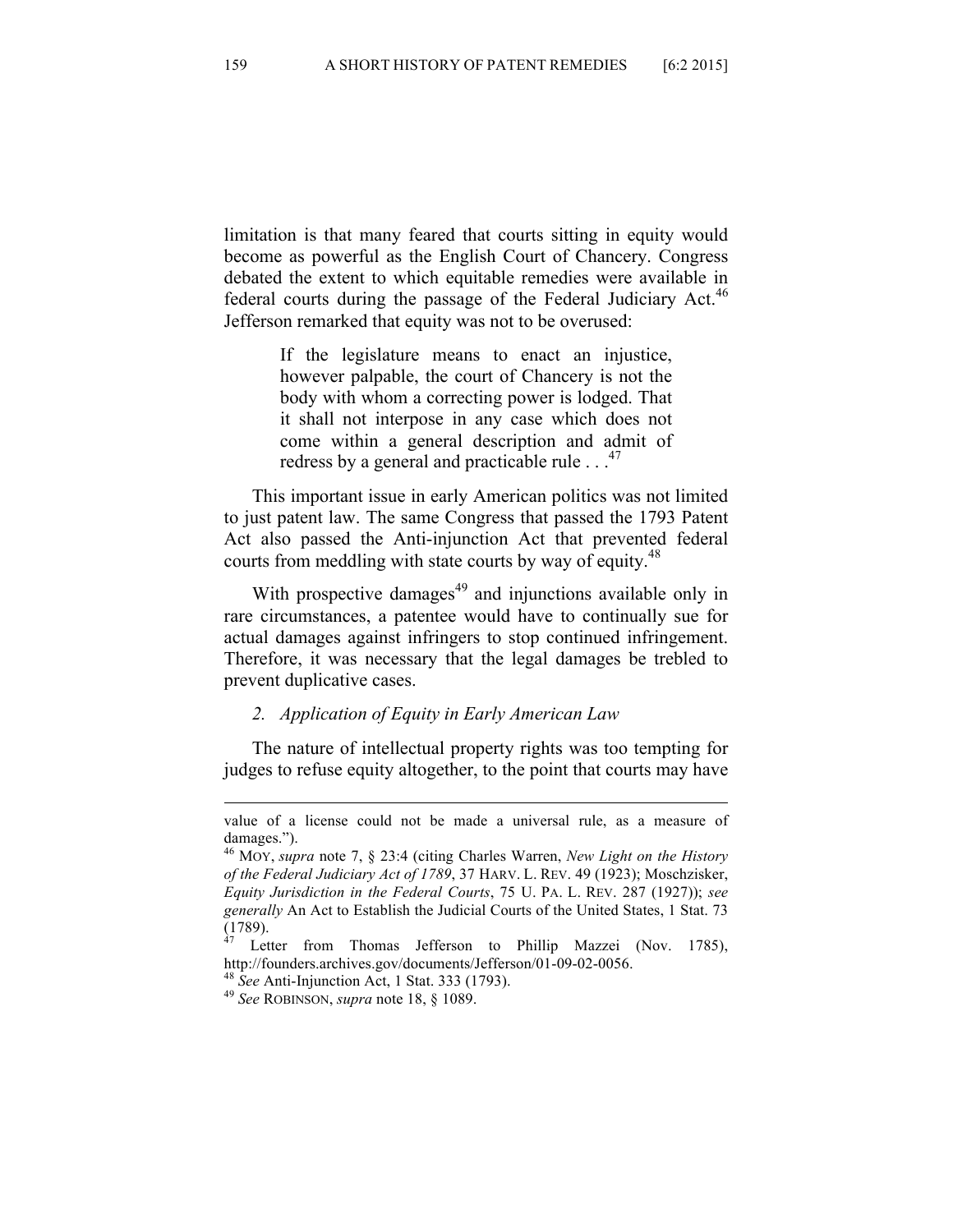limitation is that many feared that courts sitting in equity would become as powerful as the English Court of Chancery. Congress debated the extent to which equitable remedies were available in federal courts during the passage of the Federal Judiciary Act.<sup>46</sup> Jefferson remarked that equity was not to be overused:

> If the legislature means to enact an injustice, however palpable, the court of Chancery is not the body with whom a correcting power is lodged. That it shall not interpose in any case which does not come within a general description and admit of redress by a general and practicable rule  $\ldots$ <sup>47</sup>

This important issue in early American politics was not limited to just patent law. The same Congress that passed the 1793 Patent Act also passed the Anti-injunction Act that prevented federal courts from meddling with state courts by way of equity.<sup>48</sup>

With prospective damages $49$  and injunctions available only in rare circumstances, a patentee would have to continually sue for actual damages against infringers to stop continued infringement. Therefore, it was necessary that the legal damages be trebled to prevent duplicative cases.

#### *2. Application of Equity in Early American Law*

The nature of intellectual property rights was too tempting for judges to refuse equity altogether, to the point that courts may have

<sup>&</sup>lt;u> 1989 - Andrea San Aonaichte ann an Comhair ann an Comhair ann an Comhair ann an Comhair ann an C</u> value of a license could not be made a universal rule, as a measure of damages.").

<sup>46</sup> MOY, *supra* note 7, § 23:4 (citing Charles Warren, *New Light on the History of the Federal Judiciary Act of 1789*, 37 HARV. L. REV. 49 (1923); Moschzisker, *Equity Jurisdiction in the Federal Courts*, 75 U. PA. L. REV. 287 (1927)); *see generally* An Act to Establish the Judicial Courts of the United States, 1 Stat. 73 (1789).

Letter from Thomas Jefferson to Phillip Mazzei (Nov. 1785), http://founders.archives.gov/documents/Jefferson/01-09-02-0056. <sup>48</sup> *See* Anti-Injunction Act, 1 Stat. 333 (1793). <sup>49</sup> *See* ROBINSON, *supra* note 18, § 1089.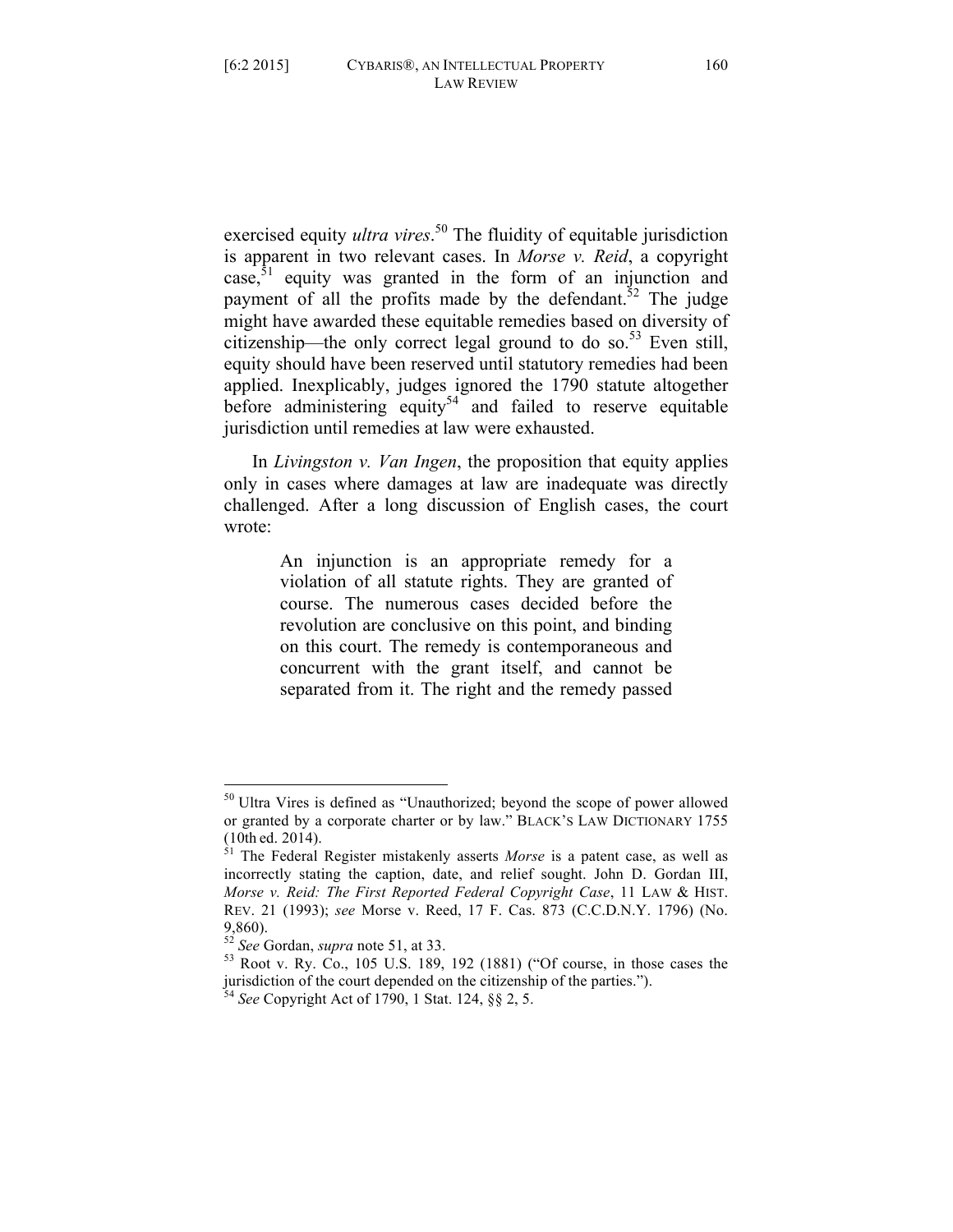exercised equity *ultra vires*. <sup>50</sup> The fluidity of equitable jurisdiction is apparent in two relevant cases. In *Morse v. Reid*, a copyright case, $51$  equity was granted in the form of an injunction and payment of all the profits made by the defendant.<sup>52</sup> The judge might have awarded these equitable remedies based on diversity of citizenship—the only correct legal ground to do so.<sup>53</sup> Even still, equity should have been reserved until statutory remedies had been applied. Inexplicably, judges ignored the 1790 statute altogether before administering equity<sup>54</sup> and failed to reserve equitable jurisdiction until remedies at law were exhausted.

In *Livingston v. Van Ingen*, the proposition that equity applies only in cases where damages at law are inadequate was directly challenged. After a long discussion of English cases, the court wrote:

> An injunction is an appropriate remedy for a violation of all statute rights. They are granted of course. The numerous cases decided before the revolution are conclusive on this point, and binding on this court. The remedy is contemporaneous and concurrent with the grant itself, and cannot be separated from it. The right and the remedy passed

 <sup>50</sup> Ultra Vires is defined as "Unauthorized; beyond the scope of power allowed or granted by a corporate charter or by law." BLACK'S LAW DICTIONARY 1755

 $<sup>51</sup>$  The Federal Register mistakenly asserts *Morse* is a patent case, as well as</sup> incorrectly stating the caption, date, and relief sought. John D. Gordan III, *Morse v. Reid: The First Reported Federal Copyright Case*, 11 LAW & HIST. REV. 21 (1993); *see* Morse v. Reed, 17 F. Cas. 873 (C.C.D.N.Y. 1796) (No. 9,860).<br><sup>52</sup> *See* Gordan, *supra* note 51, at 33.<br><sup>53</sup> Root v. Ry. Co., 105 U.S. 189, 192 (1881) ("Of course, in those cases the

jurisdiction of the court depended on the citizenship of the parties.").

<sup>54</sup> *See* Copyright Act of 1790, 1 Stat. 124, §§ 2, 5.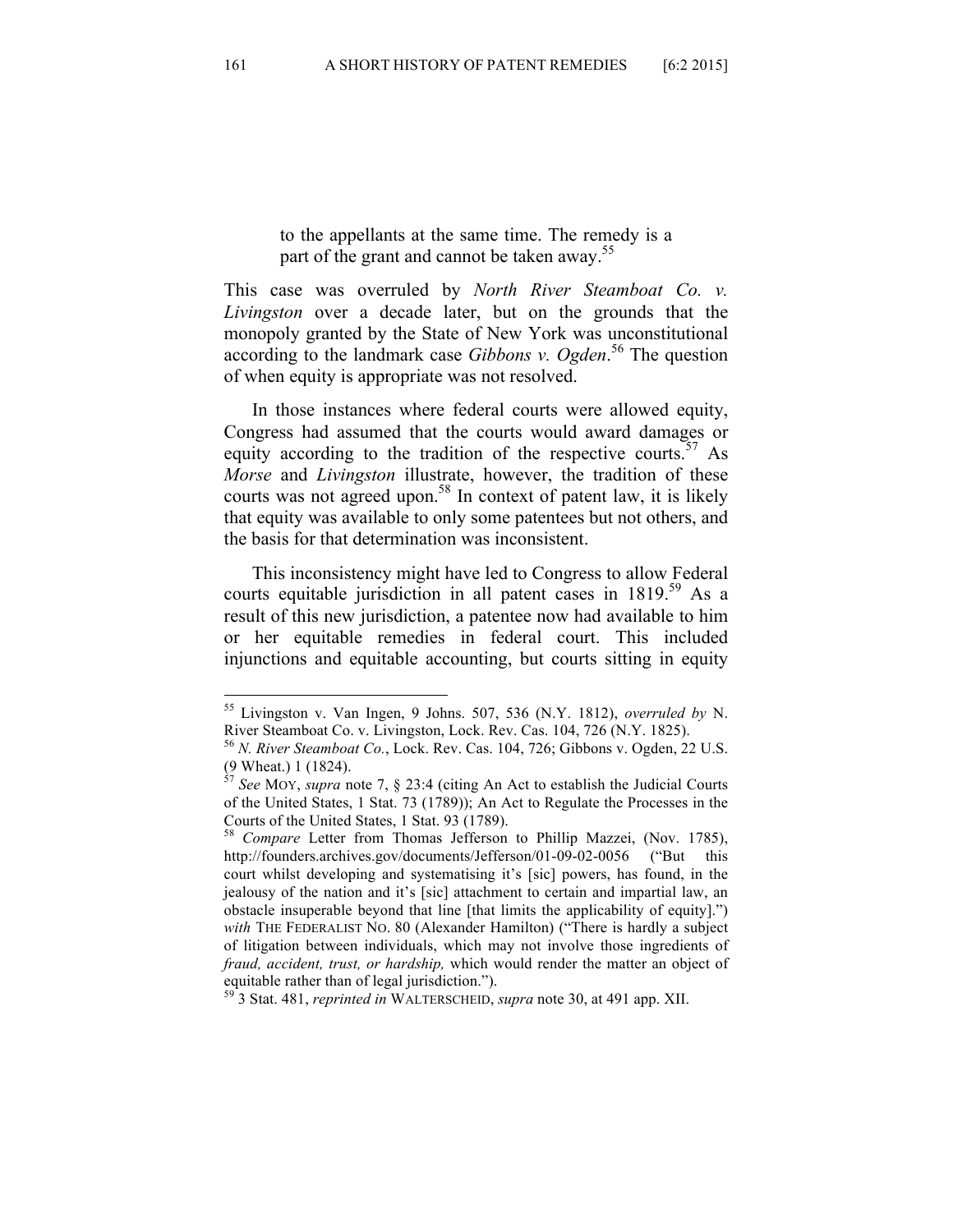to the appellants at the same time. The remedy is a part of the grant and cannot be taken away.<sup>55</sup>

This case was overruled by *North River Steamboat Co. v. Livingston* over a decade later, but on the grounds that the monopoly granted by the State of New York was unconstitutional according to the landmark case *Gibbons v. Ogden*. <sup>56</sup> The question of when equity is appropriate was not resolved.

In those instances where federal courts were allowed equity, Congress had assumed that the courts would award damages or equity according to the tradition of the respective courts.<sup>57</sup> As *Morse* and *Livingston* illustrate, however, the tradition of these courts was not agreed upon.<sup>58</sup> In context of patent law, it is likely that equity was available to only some patentees but not others, and the basis for that determination was inconsistent.

This inconsistency might have led to Congress to allow Federal courts equitable jurisdiction in all patent cases in  $1819$ <sup>59</sup> As a result of this new jurisdiction, a patentee now had available to him or her equitable remedies in federal court. This included injunctions and equitable accounting, but courts sitting in equity

 <sup>55</sup> Livingston v. Van Ingen, 9 Johns. 507, 536 (N.Y. 1812), *overruled by* N. River Steamboat Co. v. Livingston, Lock. Rev. Cas. 104, 726 (N.Y. 1825).

<sup>56</sup> *N. River Steamboat Co.*, Lock. Rev. Cas. 104, 726; Gibbons v. Ogden, 22 U.S. (9 Wheat.) 1 (1824).

<sup>57</sup> *See* MOY, *supra* note 7, § 23:4 (citing An Act to establish the Judicial Courts of the United States, 1 Stat. 73 (1789)); An Act to Regulate the Processes in the Courts of the United States, 1 Stat. 93 (1789).

<sup>58</sup> *Compare* Letter from Thomas Jefferson to Phillip Mazzei, (Nov. 1785), http://founders.archives.gov/documents/Jefferson/01-09-02-0056 ("But this court whilst developing and systematising it's [sic] powers, has found, in the jealousy of the nation and it's [sic] attachment to certain and impartial law, an obstacle insuperable beyond that line [that limits the applicability of equity].") *with* THE FEDERALIST NO. 80 (Alexander Hamilton) ("There is hardly a subject of litigation between individuals, which may not involve those ingredients of *fraud, accident, trust, or hardship,* which would render the matter an object of equitable rather than of legal jurisdiction.").

<sup>59</sup> 3 Stat. 481, *reprinted in* WALTERSCHEID, *supra* note 30, at 491 app. XII.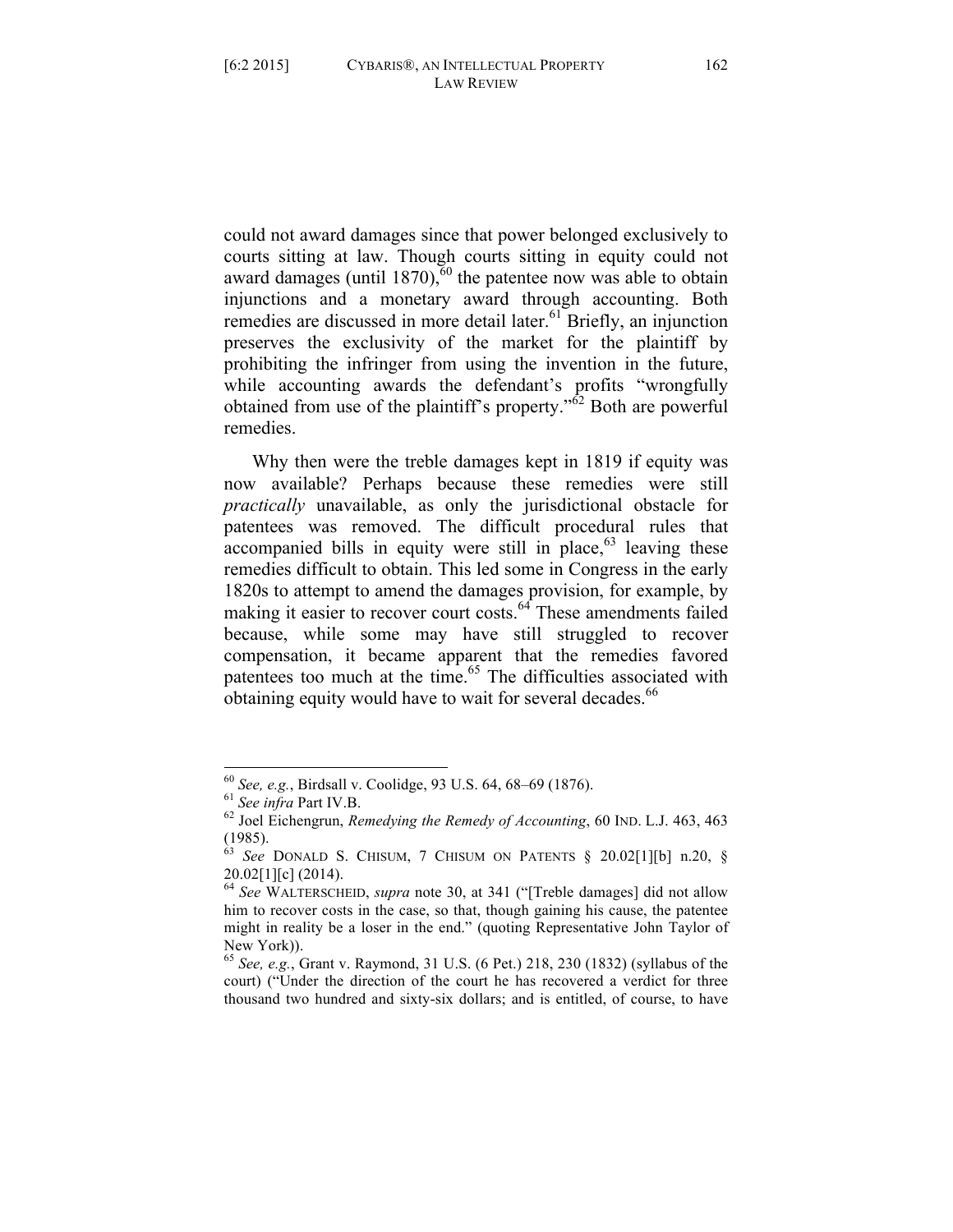could not award damages since that power belonged exclusively to courts sitting at law. Though courts sitting in equity could not award damages (until 1870),  $60$  the patentee now was able to obtain injunctions and a monetary award through accounting. Both remedies are discussed in more detail later.<sup>61</sup> Briefly, an injunction preserves the exclusivity of the market for the plaintiff by prohibiting the infringer from using the invention in the future, while accounting awards the defendant's profits "wrongfully obtained from use of the plaintiff's property."<sup>62</sup> Both are powerful remedies.

Why then were the treble damages kept in 1819 if equity was now available? Perhaps because these remedies were still *practically* unavailable, as only the jurisdictional obstacle for patentees was removed. The difficult procedural rules that accompanied bills in equity were still in place,  $63$  leaving these remedies difficult to obtain. This led some in Congress in the early 1820s to attempt to amend the damages provision, for example, by making it easier to recover court costs.<sup>64</sup> These amendments failed because, while some may have still struggled to recover compensation, it became apparent that the remedies favored patentees too much at the time.<sup>65</sup> The difficulties associated with obtaining equity would have to wait for several decades.<sup>66</sup>

 <sup>60</sup> *See, e.g.*, Birdsall v. Coolidge, 93 U.S. 64, 68–69 (1876). 61 *See infra* Part IV.B. <sup>62</sup> Joel Eichengrun, *Remedying the Remedy of Accounting*, 60 IND. L.J. 463, 463 (1985).

<sup>63</sup> *See* DONALD S. CHISUM, 7 CHISUM ON PATENTS § 20.02[1][b] n.20, §  $20.02[1][c]$  (2014).

<sup>64</sup> *See* WALTERSCHEID, *supra* note 30, at 341 ("[Treble damages] did not allow him to recover costs in the case, so that, though gaining his cause, the patentee might in reality be a loser in the end." (quoting Representative John Taylor of New York)).

<sup>65</sup> *See, e.g.*, Grant v. Raymond, 31 U.S. (6 Pet.) 218, 230 (1832) (syllabus of the court) ("Under the direction of the court he has recovered a verdict for three thousand two hundred and sixty-six dollars; and is entitled, of course, to have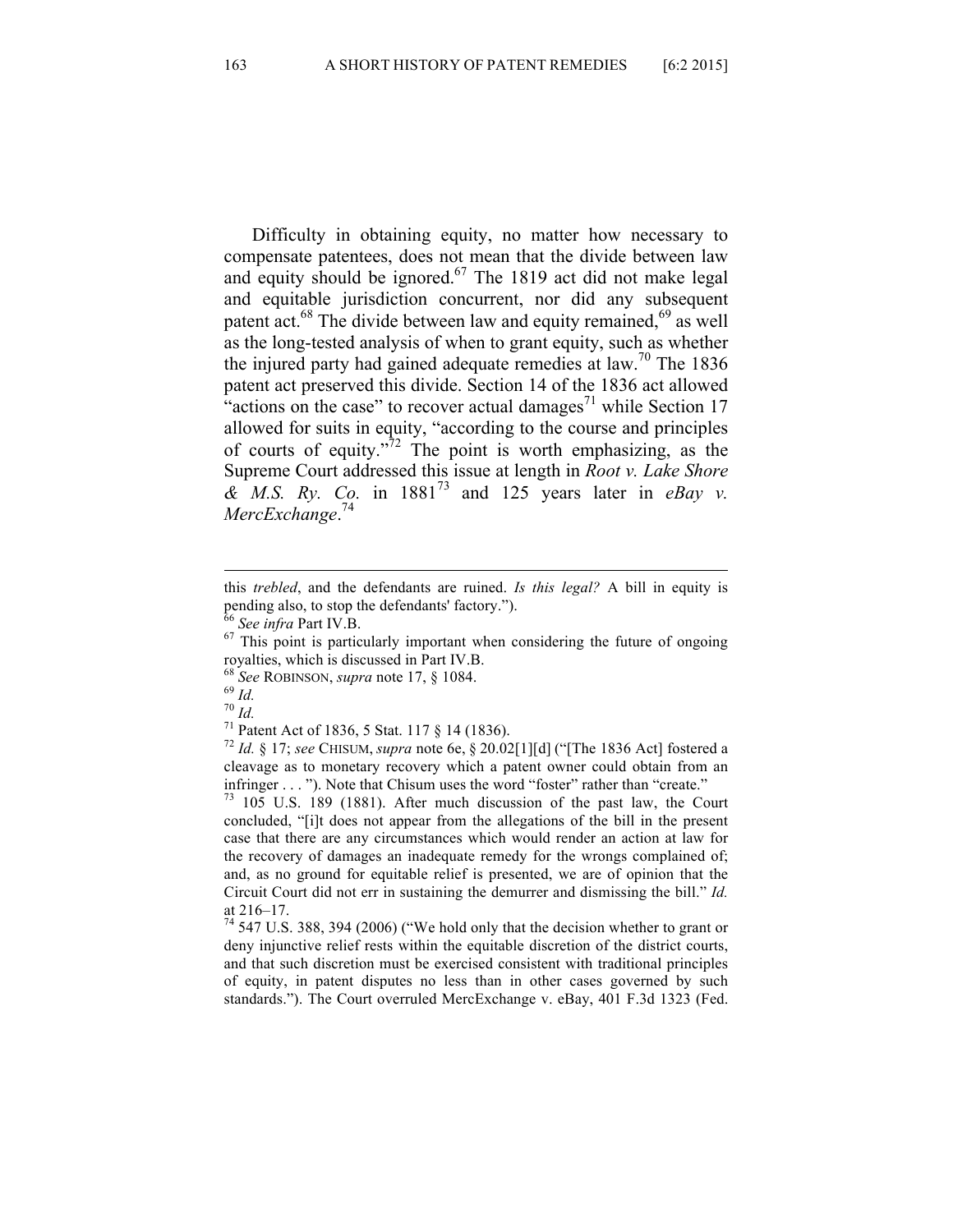Difficulty in obtaining equity, no matter how necessary to compensate patentees, does not mean that the divide between law and equity should be ignored.<sup>67</sup> The 1819 act did not make legal and equitable jurisdiction concurrent, nor did any subsequent patent act.<sup>68</sup> The divide between law and equity remained,<sup>69</sup> as well as the long-tested analysis of when to grant equity, such as whether the injured party had gained adequate remedies at law.<sup>70</sup> The 1836 patent act preserved this divide. Section 14 of the 1836 act allowed "actions on the case" to recover actual damages<sup>71</sup> while Section 17 allowed for suits in equity, "according to the course and principles of courts of equity." $\frac{7}{2}$  The point is worth emphasizing, as the Supreme Court addressed this issue at length in *Root v. Lake Shore & M.S. Ry. Co.* in 1881<sup>73</sup> and 125 years later in *eBay v. MercExchange*. 74

cleavage as to monetary recovery which a patent owner could obtain from an

infringer  $\dots$  "). Note that Chisum uses the word "foster" rather than "create."  $73 \quad 105 \quad U.S. \quad 189 \quad (1881)$ . After much discussion of the past law, the Court concluded, "[i]t does not appear from the allegations of the bill in the present case that there are any circumstances which would render an action at law for the recovery of damages an inadequate remedy for the wrongs complained of; and, as no ground for equitable relief is presented, we are of opinion that the Circuit Court did not err in sustaining the demurrer and dismissing the bill." *Id.* 

at 216–17.<br> $74$  547 U.S. 388, 394 (2006) ("We hold only that the decision whether to grant or deny injunctive relief rests within the equitable discretion of the district courts, and that such discretion must be exercised consistent with traditional principles of equity, in patent disputes no less than in other cases governed by such standards."). The Court overruled MercExchange v. eBay, 401 F.3d 1323 (Fed.

<sup>&</sup>lt;u> 1989 - Andrea San Aonaichte ann an Comhair ann an Comhair ann an Comhair ann an Comhair ann an C</u> this *trebled*, and the defendants are ruined. *Is this legal?* A bill in equity is pending also, to stop the defendants' factory.").<br><sup>66</sup> *See infra* Part IV.B.<br><sup>67</sup> This point is particularly important when considering the future of ongoing

royalties, which is discussed in Part IV.B.<br>
<sup>68</sup> See ROBINSON, *supra* note 17, § 1084.<br>
<sup>69</sup> Id.<br>
<sup>70</sup> Id.<br>
<sup>71</sup> Patent Act of 1836, 5 Stat. 117 § 14 (1836).<br>
<sup>72</sup> Id. § 17; *see* CHISUM, *supra* note 6e, § 20.02[1][d]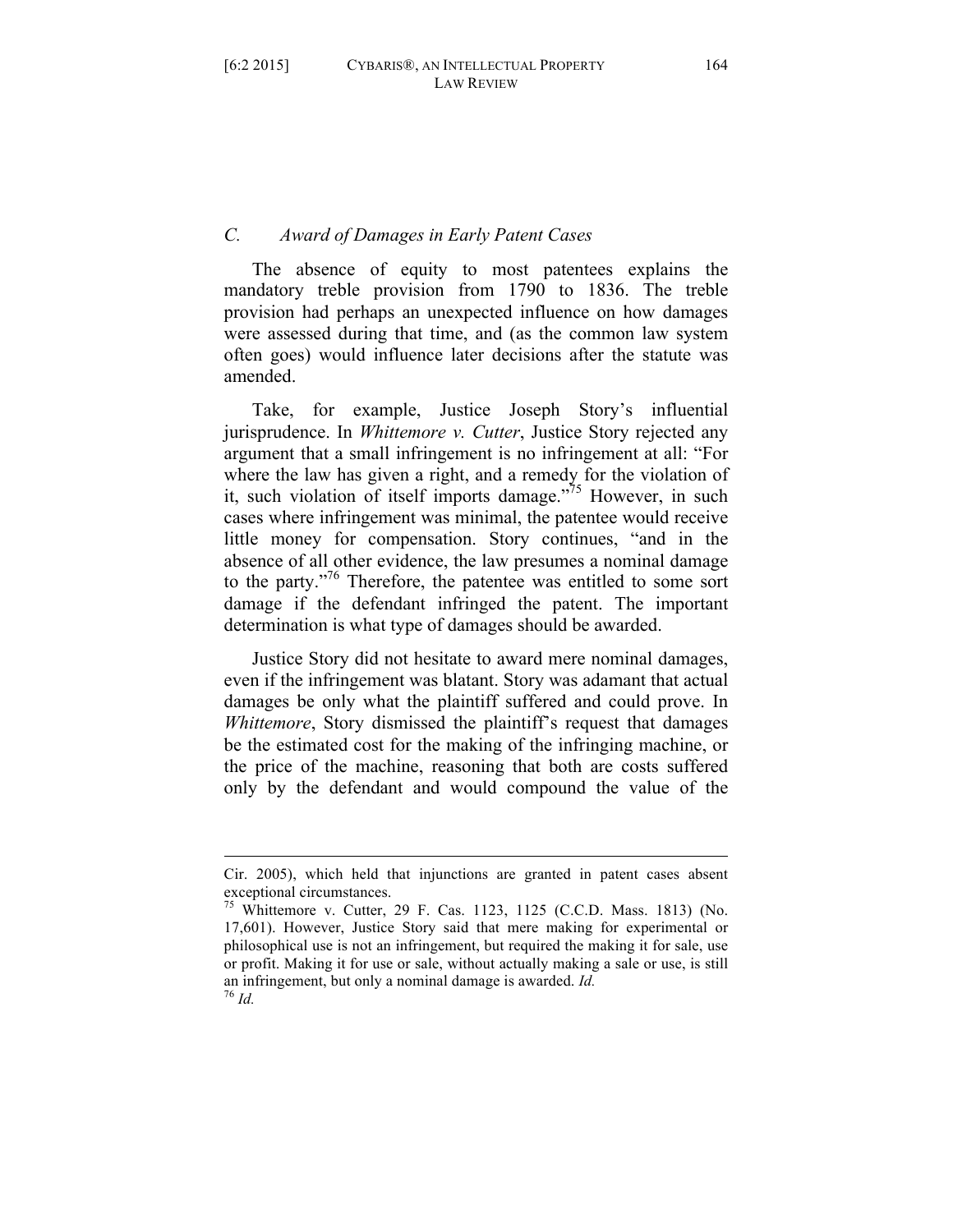### *C. Award of Damages in Early Patent Cases*

The absence of equity to most patentees explains the mandatory treble provision from 1790 to 1836. The treble provision had perhaps an unexpected influence on how damages were assessed during that time, and (as the common law system often goes) would influence later decisions after the statute was amended.

Take, for example, Justice Joseph Story's influential jurisprudence. In *Whittemore v. Cutter*, Justice Story rejected any argument that a small infringement is no infringement at all: "For where the law has given a right, and a remedy for the violation of it, such violation of itself imports damage.<sup>775</sup> However, in such cases where infringement was minimal, the patentee would receive little money for compensation. Story continues, "and in the absence of all other evidence, the law presumes a nominal damage to the party."76 Therefore, the patentee was entitled to some sort damage if the defendant infringed the patent. The important determination is what type of damages should be awarded.

Justice Story did not hesitate to award mere nominal damages, even if the infringement was blatant. Story was adamant that actual damages be only what the plaintiff suffered and could prove. In *Whittemore*, Story dismissed the plaintiff's request that damages be the estimated cost for the making of the infringing machine, or the price of the machine, reasoning that both are costs suffered only by the defendant and would compound the value of the

<sup>&</sup>lt;u> 1989 - Andrea San Aonaichte ann an Comhair ann an Comhair ann an Comhair ann an Comhair ann an C</u> Cir. 2005), which held that injunctions are granted in patent cases absent exceptional circumstances.

<sup>75</sup> Whittemore v. Cutter, 29 F. Cas. 1123, 1125 (C.C.D. Mass. 1813) (No. 17,601). However, Justice Story said that mere making for experimental or philosophical use is not an infringement, but required the making it for sale, use or profit. Making it for use or sale, without actually making a sale or use, is still an infringement, but only a nominal damage is awarded. *Id.* <sup>76</sup> *Id.*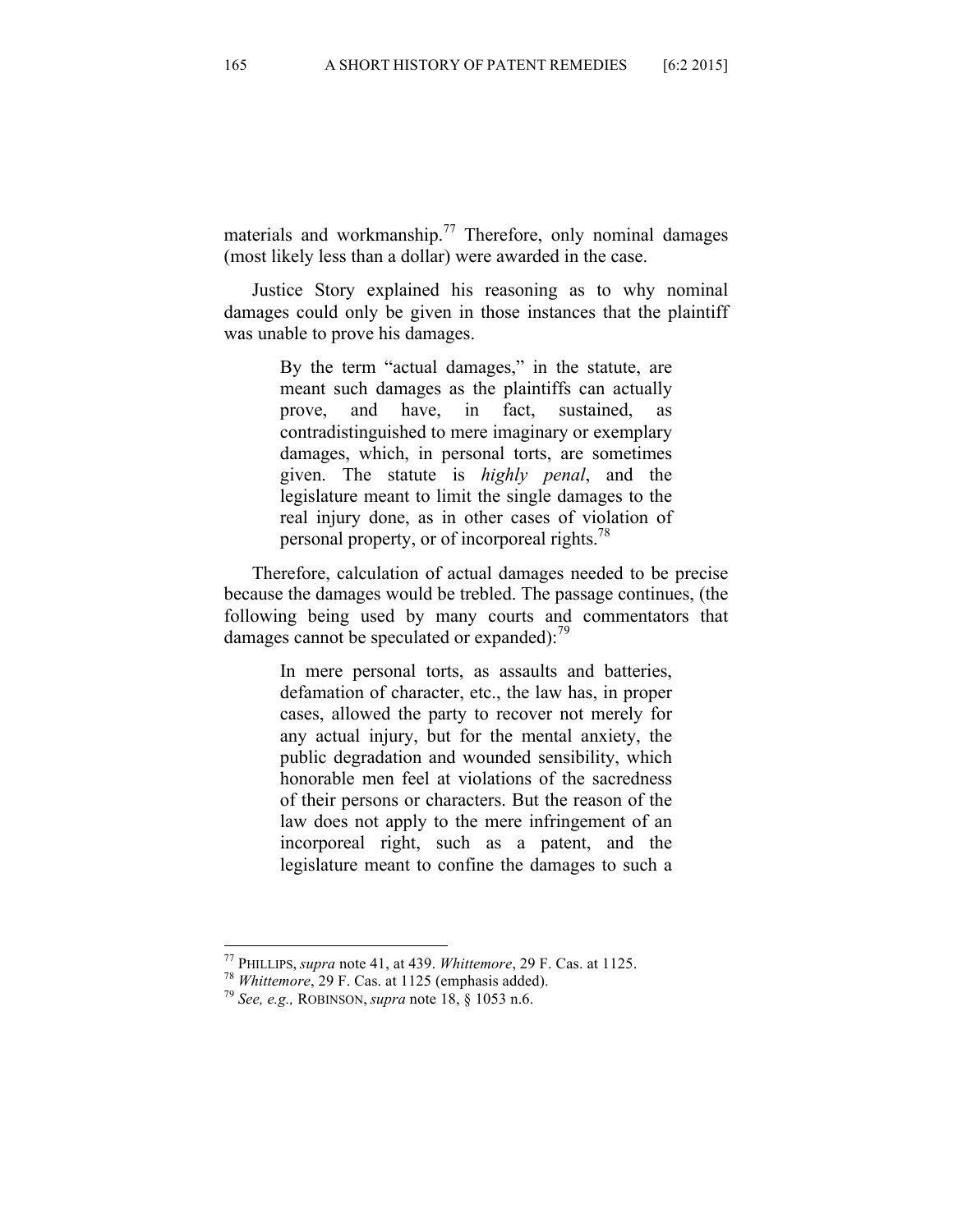materials and workmanship.<sup>77</sup> Therefore, only nominal damages (most likely less than a dollar) were awarded in the case.

Justice Story explained his reasoning as to why nominal damages could only be given in those instances that the plaintiff was unable to prove his damages.

> By the term "actual damages," in the statute, are meant such damages as the plaintiffs can actually prove, and have, in fact, sustained, as contradistinguished to mere imaginary or exemplary damages, which, in personal torts, are sometimes given. The statute is *highly penal*, and the legislature meant to limit the single damages to the real injury done, as in other cases of violation of personal property, or of incorporeal rights.78

Therefore, calculation of actual damages needed to be precise because the damages would be trebled. The passage continues, (the following being used by many courts and commentators that damages cannot be speculated or expanded): $^{79}$ 

> In mere personal torts, as assaults and batteries, defamation of character, etc., the law has, in proper cases, allowed the party to recover not merely for any actual injury, but for the mental anxiety, the public degradation and wounded sensibility, which honorable men feel at violations of the sacredness of their persons or characters. But the reason of the law does not apply to the mere infringement of an incorporeal right, such as a patent, and the legislature meant to confine the damages to such a

 <sup>77</sup> PHILLIPS, *supra* note 41, at 439. *Whittemore*, 29 F. Cas. at 1125. <sup>78</sup> *Whittemore*, 29 F. Cas. at 1125 (emphasis added). <sup>79</sup> *See, e.g.,* ROBINSON, *supra* note 18, § 1053 n.6.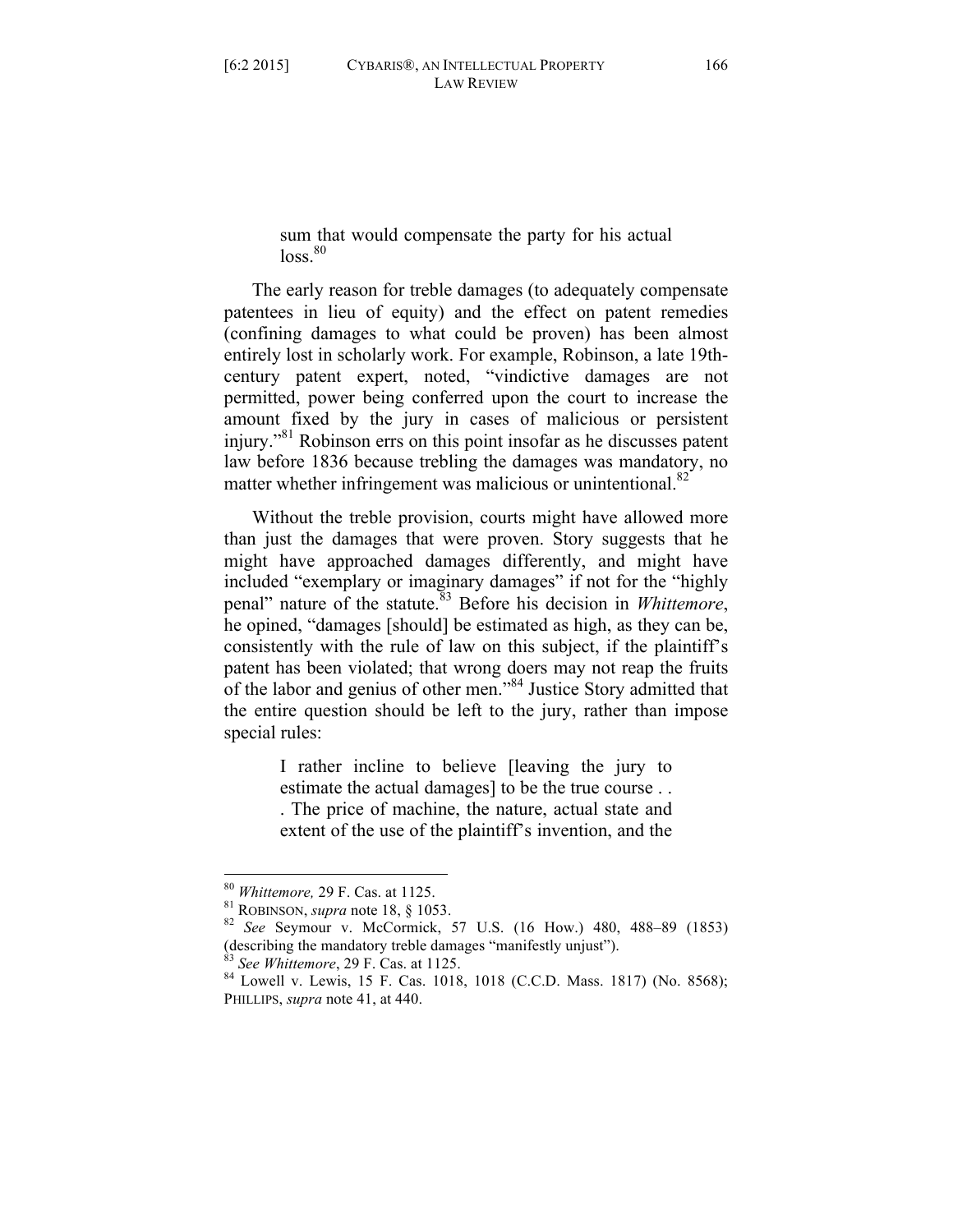sum that would compensate the party for his actual  $\log$ <sup>80</sup>

The early reason for treble damages (to adequately compensate patentees in lieu of equity) and the effect on patent remedies (confining damages to what could be proven) has been almost entirely lost in scholarly work. For example, Robinson, a late 19thcentury patent expert, noted, "vindictive damages are not permitted, power being conferred upon the court to increase the amount fixed by the jury in cases of malicious or persistent injury."81 Robinson errs on this point insofar as he discusses patent law before 1836 because trebling the damages was mandatory, no matter whether infringement was malicious or unintentional. $82$ 

Without the treble provision, courts might have allowed more than just the damages that were proven. Story suggests that he might have approached damages differently, and might have included "exemplary or imaginary damages" if not for the "highly penal" nature of the statute.<sup>83</sup> Before his decision in *Whittemore*, he opined, "damages [should] be estimated as high, as they can be, consistently with the rule of law on this subject, if the plaintiff's patent has been violated; that wrong doers may not reap the fruits of the labor and genius of other men."84 Justice Story admitted that the entire question should be left to the jury, rather than impose special rules:

> I rather incline to believe [leaving the jury to estimate the actual damages] to be the true course . . . The price of machine, the nature, actual state and extent of the use of the plaintiff's invention, and the

 <sup>80</sup> *Whittemore,* 29 F. Cas. at 1125. <sup>81</sup> ROBINSON, *supra* note 18, § 1053. <sup>82</sup> *See* Seymour v. McCormick, 57 U.S. (16 How.) 480, 488–89 (1853) (describing the mandatory treble damages "manifestly unjust").

<sup>&</sup>lt;sup>83</sup> *See Whittemore*, 29 F. Cas. at 1125.<br><sup>84</sup> Lowell v. Lewis, 15 F. Cas. 1018, 1018 (C.C.D. Mass. 1817) (No. 8568); PHILLIPS, *supra* note 41, at 440.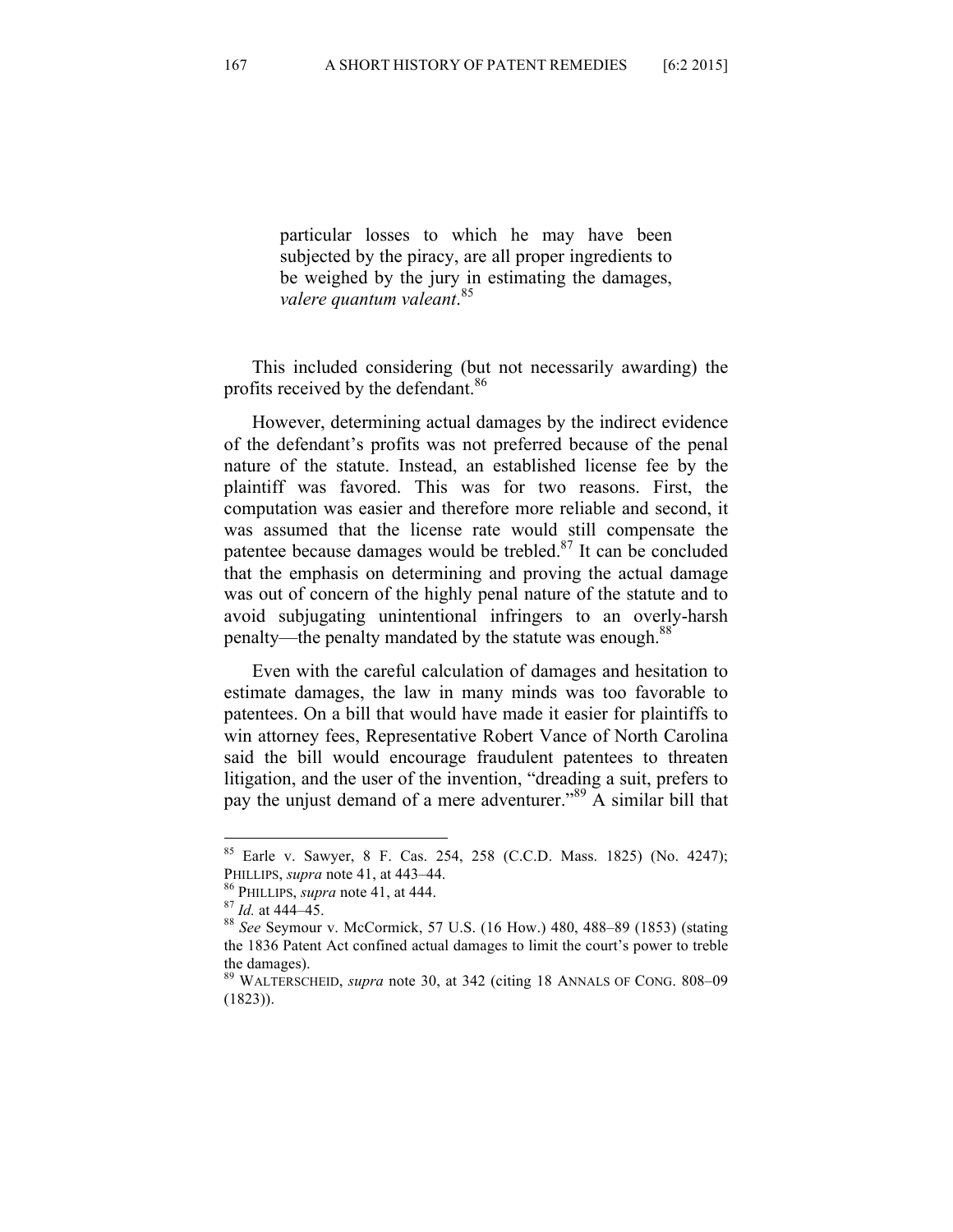particular losses to which he may have been subjected by the piracy, are all proper ingredients to be weighed by the jury in estimating the damages, *valere quantum valeant*. 85

This included considering (but not necessarily awarding) the profits received by the defendant.<sup>86</sup>

However, determining actual damages by the indirect evidence of the defendant's profits was not preferred because of the penal nature of the statute. Instead, an established license fee by the plaintiff was favored. This was for two reasons. First, the computation was easier and therefore more reliable and second, it was assumed that the license rate would still compensate the patentee because damages would be trebled.<sup>87</sup> It can be concluded that the emphasis on determining and proving the actual damage was out of concern of the highly penal nature of the statute and to avoid subjugating unintentional infringers to an overly-harsh penalty—the penalty mandated by the statute was enough.<sup>88</sup>

Even with the careful calculation of damages and hesitation to estimate damages, the law in many minds was too favorable to patentees. On a bill that would have made it easier for plaintiffs to win attorney fees, Representative Robert Vance of North Carolina said the bill would encourage fraudulent patentees to threaten litigation, and the user of the invention, "dreading a suit, prefers to pay the unjust demand of a mere adventurer."<sup>89</sup> A similar bill that

 <sup>85</sup> Earle v. Sawyer, 8 F. Cas. 254, 258 (C.C.D. Mass. 1825) (No. 4247); PHILLIPS, *supra* note 41, at 443–44.<br><sup>86</sup> PHILLIPS, *supra* note 41, at 444.<br><sup>87</sup> *Id.* at 444–45.<br><sup>88</sup> *See* Seymour v. McCormick, 57 U.S. (16 How.) 480, 488–89 (1853) (stating

the 1836 Patent Act confined actual damages to limit the court's power to treble the damages).

<sup>89</sup> WALTERSCHEID, *supra* note 30, at 342 (citing 18 ANNALS OF CONG. 808–09 (1823)).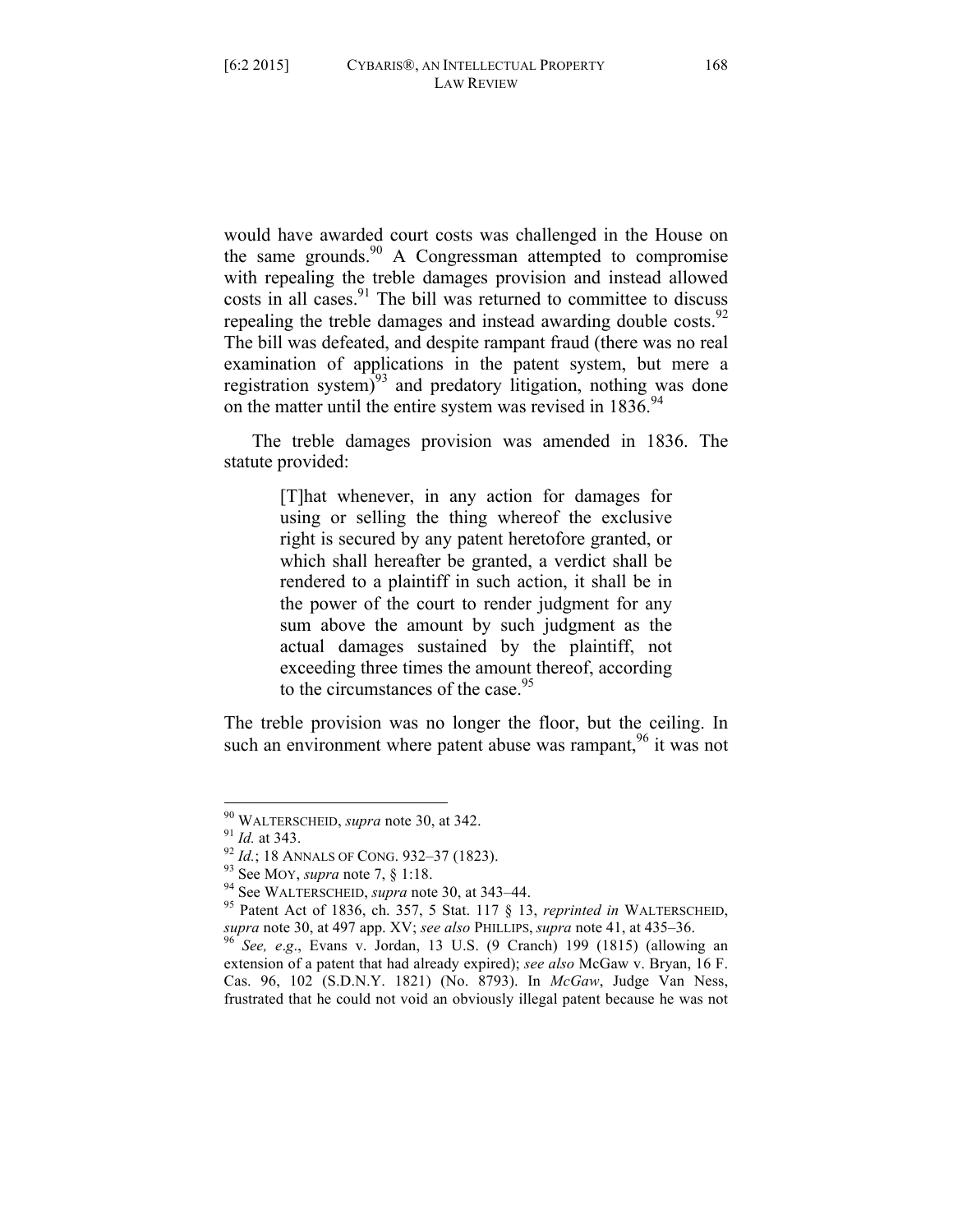would have awarded court costs was challenged in the House on the same grounds.<sup>90</sup> A Congressman attempted to compromise with repealing the treble damages provision and instead allowed costs in all cases. $91$  The bill was returned to committee to discuss repealing the treble damages and instead awarding double costs. $92$ The bill was defeated, and despite rampant fraud (there was no real examination of applications in the patent system, but mere a registration system $)^{93}$  and predatory litigation, nothing was done on the matter until the entire system was revised in  $1836^{94}$ .

The treble damages provision was amended in 1836. The statute provided:

> [T]hat whenever, in any action for damages for using or selling the thing whereof the exclusive right is secured by any patent heretofore granted, or which shall hereafter be granted, a verdict shall be rendered to a plaintiff in such action, it shall be in the power of the court to render judgment for any sum above the amount by such judgment as the actual damages sustained by the plaintiff, not exceeding three times the amount thereof, according to the circumstances of the case.  $95$

The treble provision was no longer the floor, but the ceiling. In such an environment where patent abuse was rampant,  $96$  it was not

<sup>&</sup>lt;sup>90</sup> WALTERSCHEID, *supra* note 30, at 342.<br><sup>91</sup> *Id.* at 343.<br><sup>92</sup> *Id.*; 18 ANNALS OF CONG. 932–37 (1823).<br><sup>93</sup> See MOY, *supra* note 7, § 1:18.<br><sup>94</sup> See WALTERSCHEID, *supra* note 30, at 343–44.<br><sup>95</sup> Patent Act of 1836 *supra* note 30, at 497 app. XV; *see also* PHILLIPS, *supra* note 41, at 435–36. <sup>96</sup> *See, e*.*g*., Evans v. Jordan, 13 U.S. (9 Cranch) 199 (1815) (allowing an

extension of a patent that had already expired); *see also* McGaw v. Bryan, 16 F. Cas. 96, 102 (S.D.N.Y. 1821) (No. 8793). In *McGaw*, Judge Van Ness, frustrated that he could not void an obviously illegal patent because he was not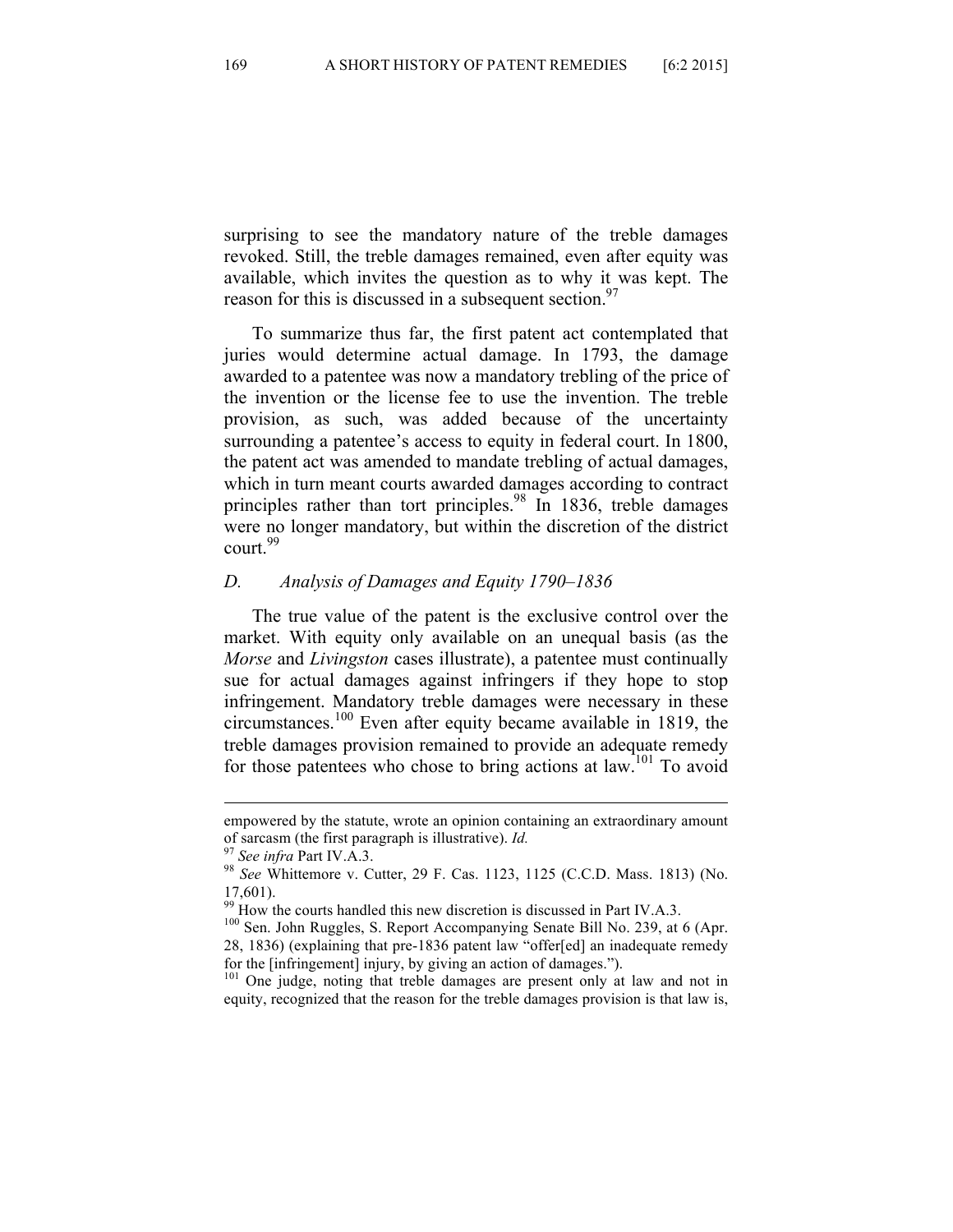surprising to see the mandatory nature of the treble damages revoked. Still, the treble damages remained, even after equity was available, which invites the question as to why it was kept. The reason for this is discussed in a subsequent section. $97$ 

To summarize thus far, the first patent act contemplated that juries would determine actual damage. In 1793, the damage awarded to a patentee was now a mandatory trebling of the price of the invention or the license fee to use the invention. The treble provision, as such, was added because of the uncertainty surrounding a patentee's access to equity in federal court. In 1800, the patent act was amended to mandate trebling of actual damages, which in turn meant courts awarded damages according to contract principles rather than tort principles.<sup>98</sup> In 1836, treble damages were no longer mandatory, but within the discretion of the district court.<sup>99</sup>

#### *D. Analysis of Damages and Equity 1790–1836*

The true value of the patent is the exclusive control over the market. With equity only available on an unequal basis (as the *Morse* and *Livingston* cases illustrate), a patentee must continually sue for actual damages against infringers if they hope to stop infringement. Mandatory treble damages were necessary in these circumstances.<sup>100</sup> Even after equity became available in 1819, the treble damages provision remained to provide an adequate remedy for those patentees who chose to bring actions at law.101 To avoid

<sup>101</sup> One judge, noting that treble damages are present only at law and not in equity, recognized that the reason for the treble damages provision is that law is,

<sup>&</sup>lt;u> 1989 - Andrea San Aonaichte ann an Comhair ann an Comhair ann an Comhair ann an Comhair ann an C</u> empowered by the statute, wrote an opinion containing an extraordinary amount of sarcasm (the first paragraph is illustrative). *Id.* <sup>97</sup> *See infra* Part IV.A.3.<br><sup>98</sup> *See Whittemore v. Cutter, 29 F. Cas. 1123, 1125 (C.C.D. Mass. 1813) (No.* 

<sup>17,601).&</sup>lt;br><sup>99</sup> How the courts handled this new discretion is discussed in Part IV.A.3.

<sup>&</sup>lt;sup>100</sup> Sen. John Ruggles, S. Report Accompanying Senate Bill No. 239, at 6 (Apr. 28, 1836) (explaining that pre-1836 patent law "offer[ed] an inadequate remedy for the [infringement] injury, by giving an action of damages.").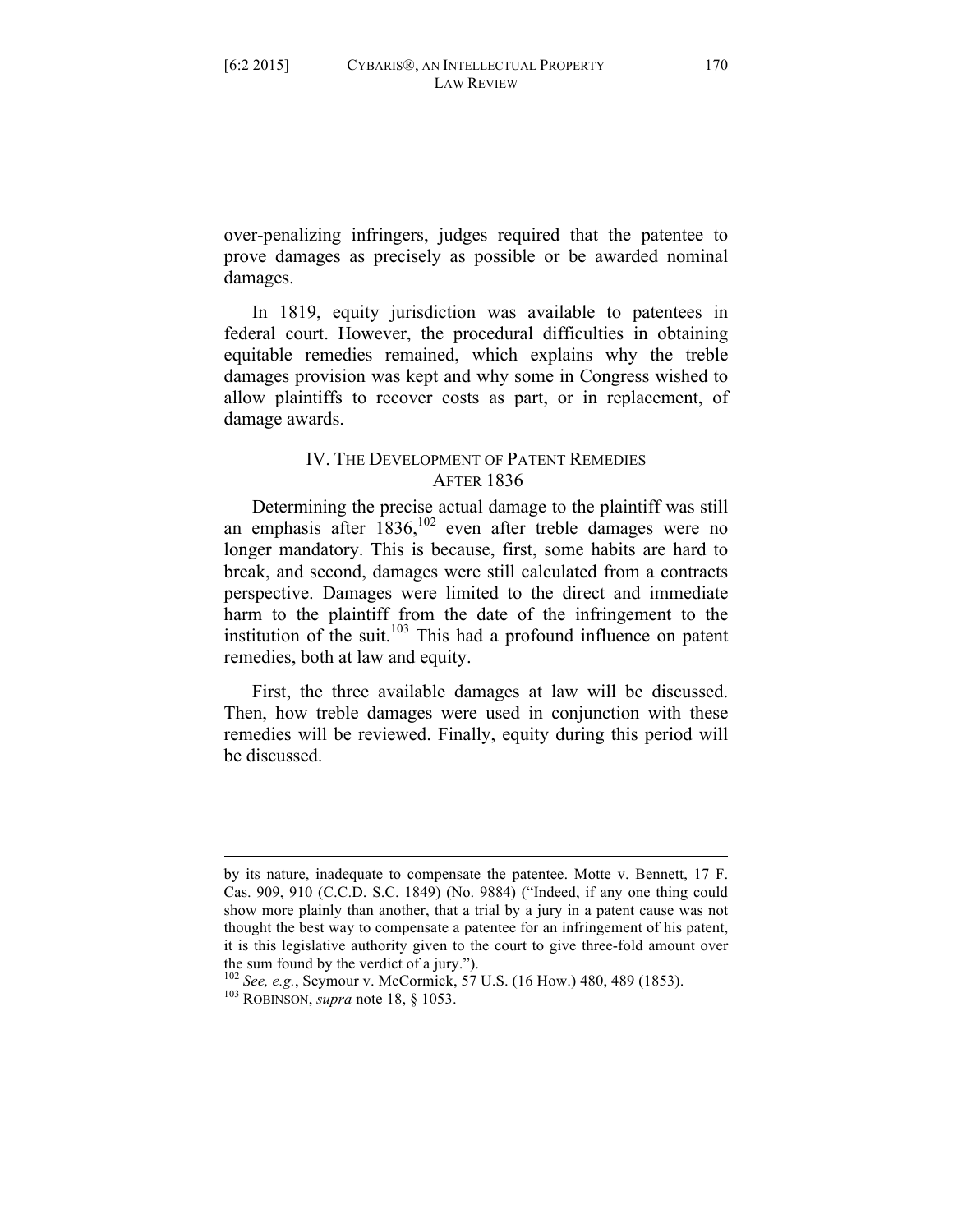over-penalizing infringers, judges required that the patentee to prove damages as precisely as possible or be awarded nominal damages.

In 1819, equity jurisdiction was available to patentees in federal court. However, the procedural difficulties in obtaining equitable remedies remained, which explains why the treble damages provision was kept and why some in Congress wished to allow plaintiffs to recover costs as part, or in replacement, of damage awards.

## IV. THE DEVELOPMENT OF PATENT REMEDIES AFTER 1836

Determining the precise actual damage to the plaintiff was still an emphasis after  $1836$ ,<sup>102</sup> even after treble damages were no longer mandatory. This is because, first, some habits are hard to break, and second, damages were still calculated from a contracts perspective. Damages were limited to the direct and immediate harm to the plaintiff from the date of the infringement to the institution of the suit. $103$  This had a profound influence on patent remedies, both at law and equity.

First, the three available damages at law will be discussed. Then, how treble damages were used in conjunction with these remedies will be reviewed. Finally, equity during this period will be discussed.

<u> 1989 - Andrea San Aonaichte ann an Comhair ann an Comhair ann an Comhair ann an Comhair ann an C</u>

by its nature, inadequate to compensate the patentee. Motte v. Bennett, 17 F. Cas. 909, 910 (C.C.D. S.C. 1849) (No. 9884) ("Indeed, if any one thing could show more plainly than another, that a trial by a jury in a patent cause was not thought the best way to compensate a patentee for an infringement of his patent, it is this legislative authority given to the court to give three-fold amount over

the sum found by the verdict of a jury."). <sup>102</sup> *See, e.g.*, Seymour v. McCormick, 57 U.S. (16 How.) 480, 489 (1853). <sup>103</sup> ROBINSON, *supra* note 18, § 1053.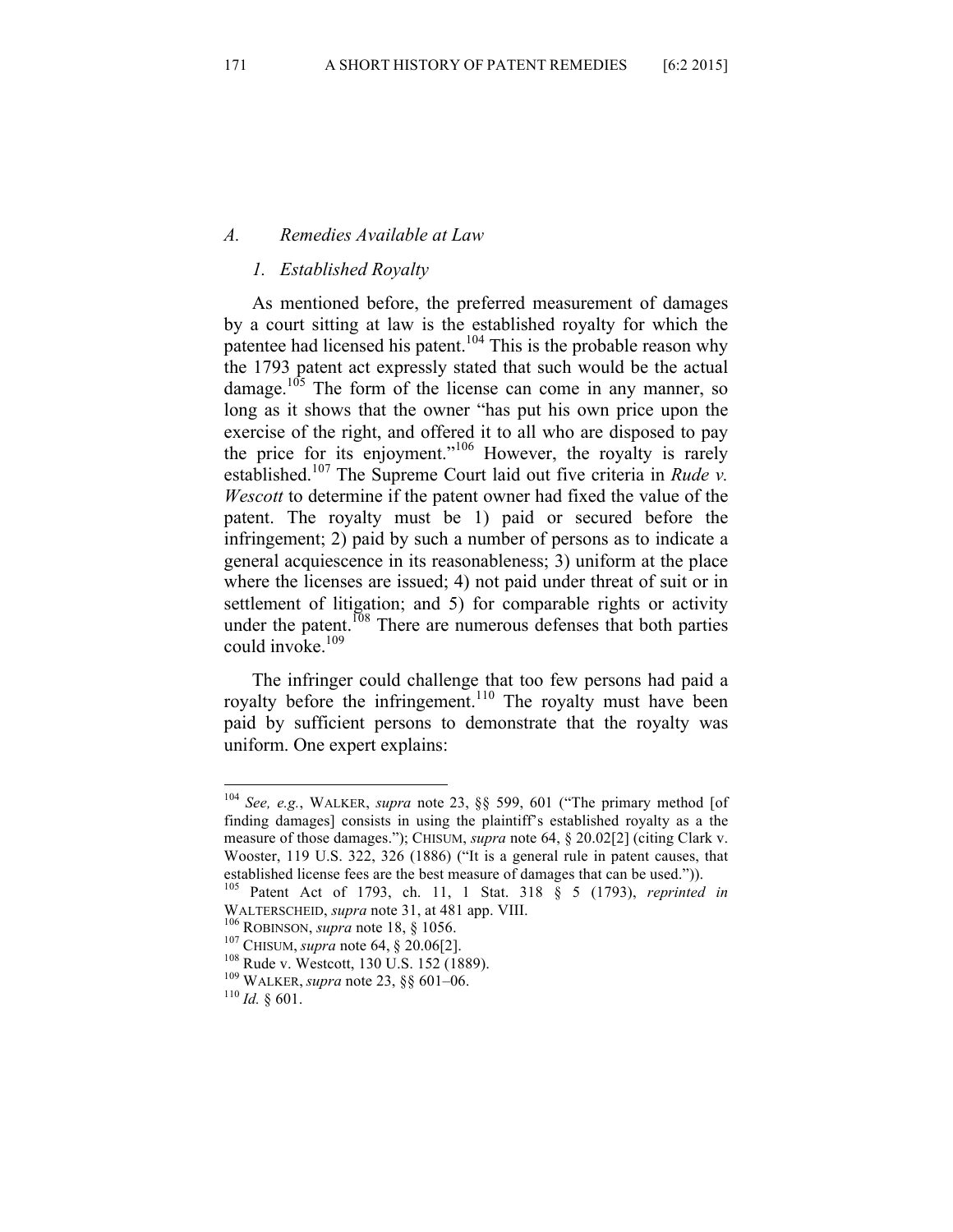### *A. Remedies Available at Law*

#### *1. Established Royalty*

As mentioned before, the preferred measurement of damages by a court sitting at law is the established royalty for which the patentee had licensed his patent.<sup>104</sup> This is the probable reason why the 1793 patent act expressly stated that such would be the actual damage. $105$  The form of the license can come in any manner, so long as it shows that the owner "has put his own price upon the exercise of the right, and offered it to all who are disposed to pay the price for its enjoyment."<sup>106</sup> However, the royalty is rarely established.<sup>107</sup> The Supreme Court laid out five criteria in *Rude v*. *Wescott* to determine if the patent owner had fixed the value of the patent. The royalty must be 1) paid or secured before the infringement; 2) paid by such a number of persons as to indicate a general acquiescence in its reasonableness; 3) uniform at the place where the licenses are issued; 4) not paid under threat of suit or in settlement of litigation; and 5) for comparable rights or activity under the patent.<sup>108</sup> There are numerous defenses that both parties could invoke.<sup>109</sup>

The infringer could challenge that too few persons had paid a royalty before the infringement.<sup>110</sup> The royalty must have been paid by sufficient persons to demonstrate that the royalty was uniform. One expert explains:

 <sup>104</sup> *See, e.g.*, WALKER, *supra* note 23, §§ 599, 601 ("The primary method [of finding damages] consists in using the plaintiff's established royalty as a the measure of those damages."); CHISUM, *supra* note 64, § 20.02[2] (citing Clark v. Wooster, 119 U.S. 322, 326 (1886) ("It is a general rule in patent causes, that

established license fees are the best measure of damages that can be used.")). 105 Patent Act of 1793, ch. 11, 1 Stat. 318 § 5 (1793), *reprinted in* WALTERSCHEID, *supra* note 31, at 481 app. VIII.<br><sup>106</sup> ROBINSON, *supra* note 18, § 1056.<br><sup>107</sup> CHISUM, *supra* note 64, § 20.06[2].<br><sup>108</sup> Rude v. Westcott, 130 U.S. 152 (1889).<br><sup>109</sup> WALKER, *supra* note 23, §§ 601–06.<br><sup>1</sup>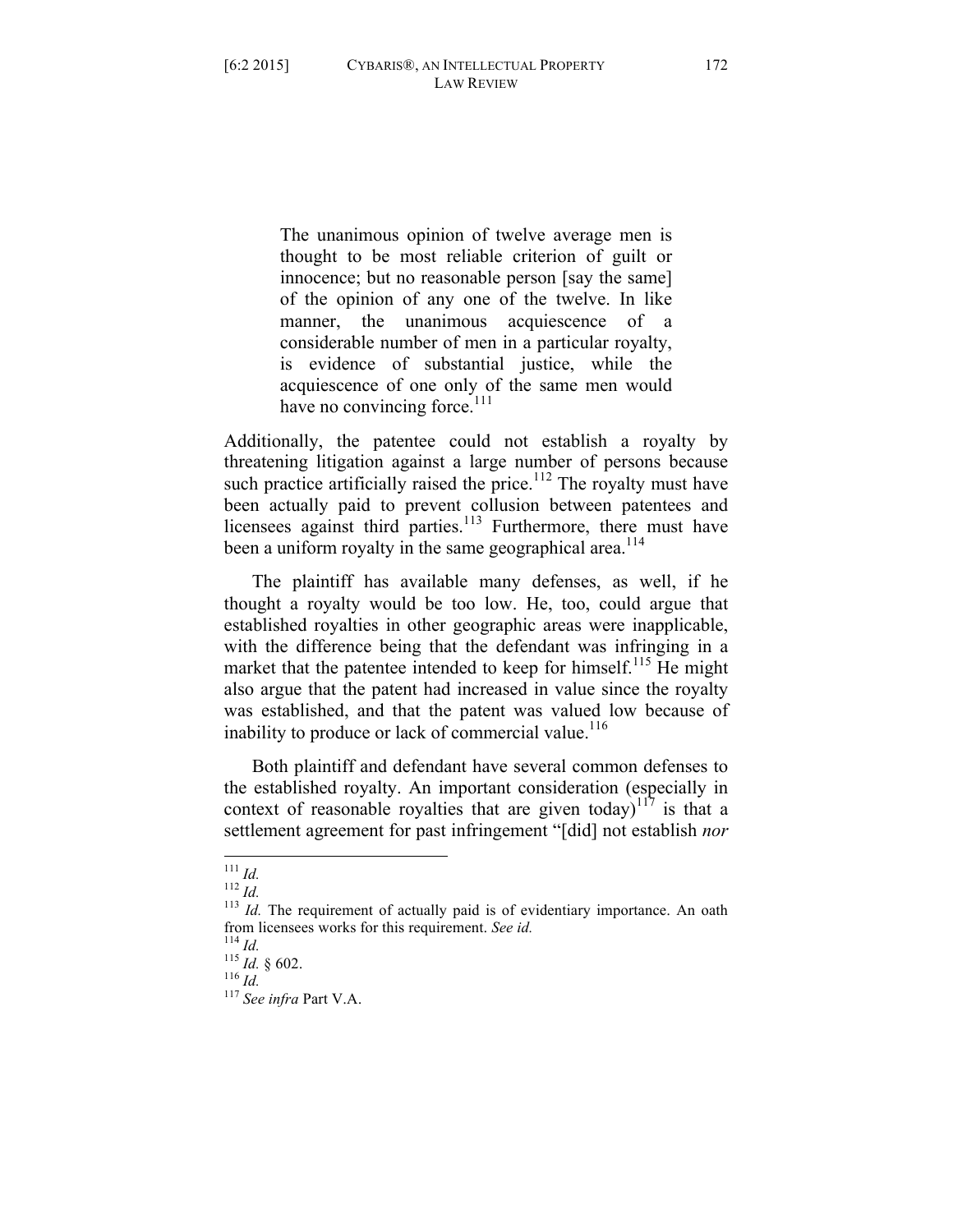The unanimous opinion of twelve average men is thought to be most reliable criterion of guilt or innocence; but no reasonable person [say the same] of the opinion of any one of the twelve. In like manner, the unanimous acquiescence of a considerable number of men in a particular royalty, is evidence of substantial justice, while the acquiescence of one only of the same men would have no convincing force. $111$ 

Additionally, the patentee could not establish a royalty by threatening litigation against a large number of persons because such practice artificially raised the price.<sup>112</sup> The royalty must have been actually paid to prevent collusion between patentees and licensees against third parties.<sup>113</sup> Furthermore, there must have been a uniform royalty in the same geographical area.<sup>114</sup>

The plaintiff has available many defenses, as well, if he thought a royalty would be too low. He, too, could argue that established royalties in other geographic areas were inapplicable, with the difference being that the defendant was infringing in a market that the patentee intended to keep for himself.<sup>115</sup> He might also argue that the patent had increased in value since the royalty was established, and that the patent was valued low because of inability to produce or lack of commercial value.<sup>116</sup>

Both plaintiff and defendant have several common defenses to the established royalty. An important consideration (especially in context of reasonable royalties that are given today)<sup>117</sup> is that a settlement agreement for past infringement "[did] not establish *nor* 

<sup>&</sup>lt;sup>111</sup> *Id.*  $\frac{112 \text{ } Id.}{113 \text{ } Id.}$  The requirement of actually paid is of evidentiary importance. An oath from licensees works for this requirement. *See id.* 114 *Id.* 115 *Id.* § 602. 116 *Id.* 117 *See infra* Part V.A.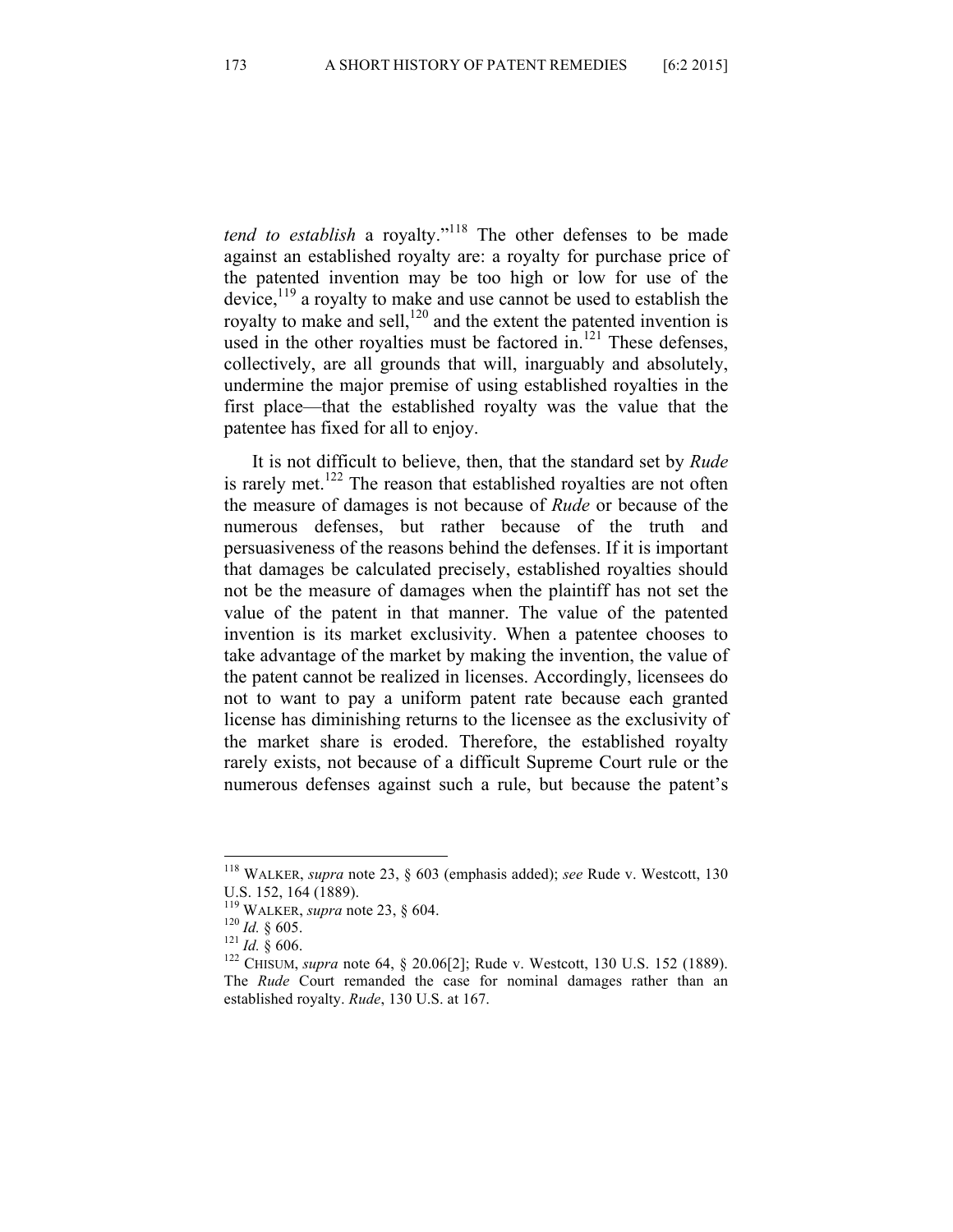*tend to establish* a royalty."<sup>118</sup> The other defenses to be made against an established royalty are: a royalty for purchase price of the patented invention may be too high or low for use of the device, $119$  a royalty to make and use cannot be used to establish the royalty to make and sell,  $120$  and the extent the patented invention is used in the other royalties must be factored in. $121$  These defenses, collectively, are all grounds that will, inarguably and absolutely, undermine the major premise of using established royalties in the first place—that the established royalty was the value that the patentee has fixed for all to enjoy.

It is not difficult to believe, then, that the standard set by *Rude* is rarely met.<sup>122</sup> The reason that established royalties are not often the measure of damages is not because of *Rude* or because of the numerous defenses, but rather because of the truth and persuasiveness of the reasons behind the defenses. If it is important that damages be calculated precisely, established royalties should not be the measure of damages when the plaintiff has not set the value of the patent in that manner. The value of the patented invention is its market exclusivity. When a patentee chooses to take advantage of the market by making the invention, the value of the patent cannot be realized in licenses. Accordingly, licensees do not to want to pay a uniform patent rate because each granted license has diminishing returns to the licensee as the exclusivity of the market share is eroded. Therefore, the established royalty rarely exists, not because of a difficult Supreme Court rule or the numerous defenses against such a rule, but because the patent's

 <sup>118</sup> WALKER, *supra* note 23, § 603 (emphasis added); *see* Rude v. Westcott, 130

U.S. 152, 164 (1889).<br><sup>119</sup> WALKER, *supra* note 23, § 604.

<sup>&</sup>lt;sup>120</sup> *Id.* § 605. <sup>121</sup> *Id.* § 606. <sup>121</sup> *Id.* § 606. <sup>122</sup> CHISUM, *supra* note 64, § 20.06[2]; Rude v. Westcott, 130 U.S. 152 (1889). The *Rude* Court remanded the case for nominal damages rather than an established royalty. *Rude*, 130 U.S. at 167.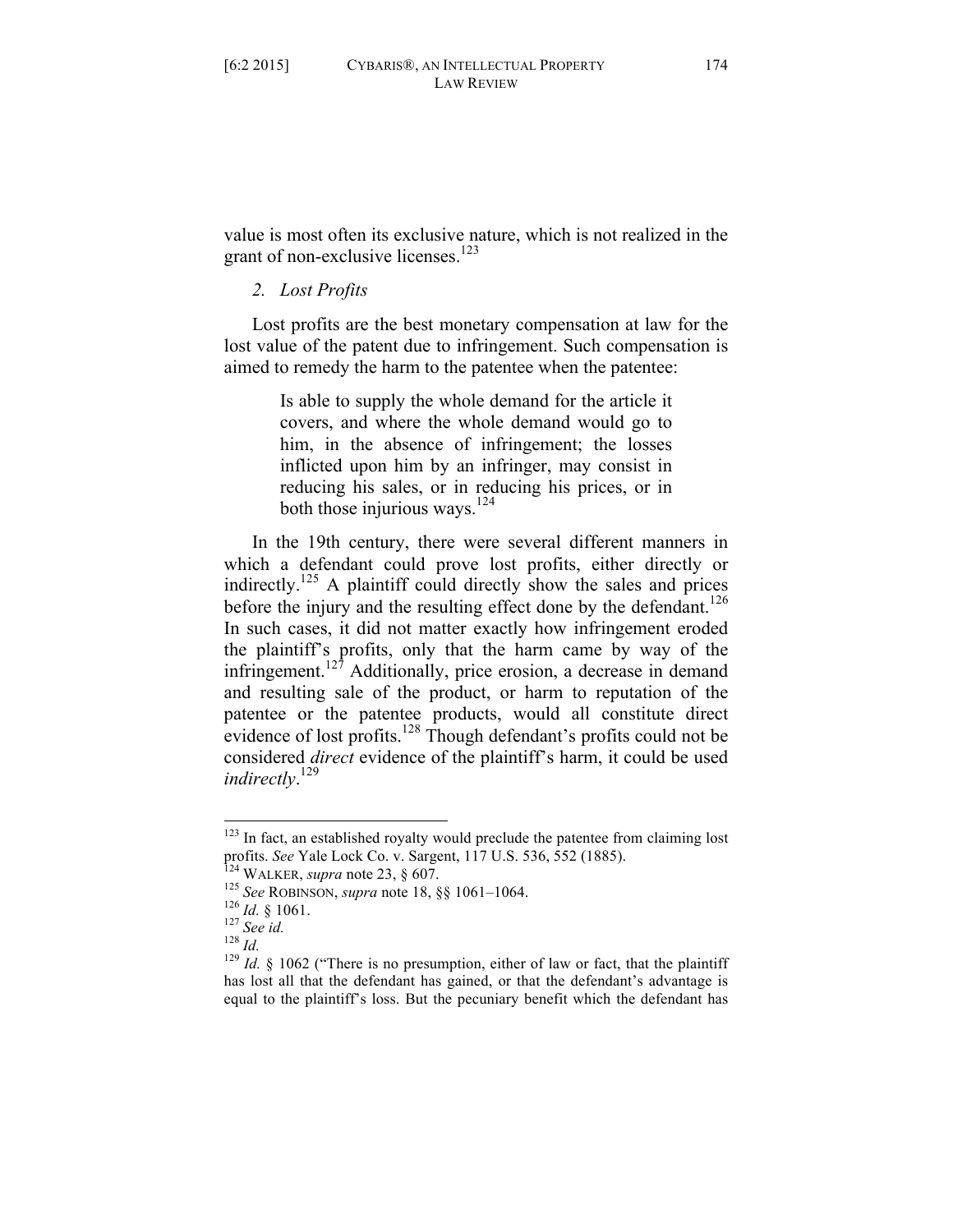value is most often its exclusive nature, which is not realized in the grant of non-exclusive licenses. $123$ 

### *2. Lost Profits*

Lost profits are the best monetary compensation at law for the lost value of the patent due to infringement. Such compensation is aimed to remedy the harm to the patentee when the patentee:

> Is able to supply the whole demand for the article it covers, and where the whole demand would go to him, in the absence of infringement; the losses inflicted upon him by an infringer, may consist in reducing his sales, or in reducing his prices, or in both those injurious ways.<sup>124</sup>

In the 19th century, there were several different manners in which a defendant could prove lost profits, either directly or indirectly.125 A plaintiff could directly show the sales and prices before the injury and the resulting effect done by the defendant.<sup>126</sup> In such cases, it did not matter exactly how infringement eroded the plaintiff's profits, only that the harm came by way of the infringement.<sup>127</sup> Additionally, price erosion, a decrease in demand and resulting sale of the product, or harm to reputation of the patentee or the patentee products, would all constitute direct evidence of lost profits.<sup>128</sup> Though defendant's profits could not be considered *direct* evidence of the plaintiff's harm, it could be used *indirectly*. 129

 $123$  In fact, an established royalty would preclude the patentee from claiming lost profits. See Yale Lock Co. v. Sargent, 117 U.S. 536, 552 (1885).

<sup>&</sup>lt;sup>124</sup> WALKER, *supra* note 23, § 607.<br><sup>125</sup> See ROBINSON, *supra* note 18, §§ 1061–1064.<br><sup>126</sup> Id. § 1061.<br><sup>127</sup> See id.<br><sup>128</sup> Id. § 1062 ("There is no presumption, either of law or fact, that the plaintiff has lost all that the defendant has gained, or that the defendant's advantage is equal to the plaintiff's loss. But the pecuniary benefit which the defendant has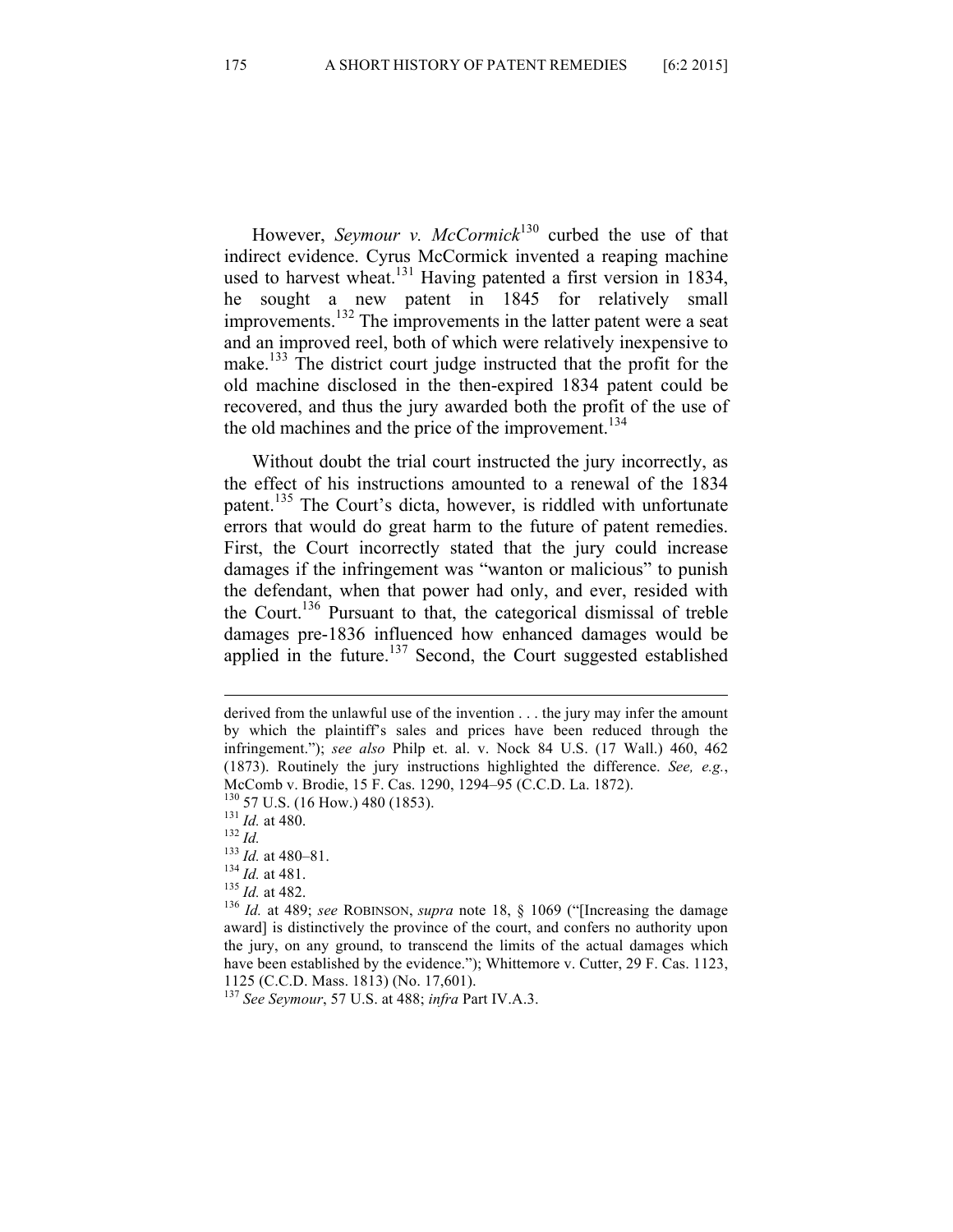However, *Seymour v. McCormick*<sup>130</sup> curbed the use of that indirect evidence. Cyrus McCormick invented a reaping machine used to harvest wheat.<sup>131</sup> Having patented a first version in 1834, he sought a new patent in 1845 for relatively small improvements.<sup>132</sup> The improvements in the latter patent were a seat and an improved reel, both of which were relatively inexpensive to make.<sup>133</sup> The district court judge instructed that the profit for the old machine disclosed in the then-expired 1834 patent could be recovered, and thus the jury awarded both the profit of the use of the old machines and the price of the improvement.<sup>134</sup>

Without doubt the trial court instructed the jury incorrectly, as the effect of his instructions amounted to a renewal of the 1834 patent.<sup>135</sup> The Court's dicta, however, is riddled with unfortunate errors that would do great harm to the future of patent remedies. First, the Court incorrectly stated that the jury could increase damages if the infringement was "wanton or malicious" to punish the defendant, when that power had only, and ever, resided with the Court.136 Pursuant to that, the categorical dismissal of treble damages pre-1836 influenced how enhanced damages would be applied in the future.<sup>137</sup> Second, the Court suggested established

<u> 1989 - Andrea San Aonaichte ann an Comhair ann an Comhair ann an Comhair ann an Comhair ann an C</u>

- 
- 

derived from the unlawful use of the invention . . . the jury may infer the amount by which the plaintiff's sales and prices have been reduced through the infringement."); *see also* Philp et. al. v. Nock 84 U.S. (17 Wall.) 460, 462 (1873). Routinely the jury instructions highlighted the difference. *See, e.g.*, McComb v. Brodie, 15 F. Cas. 1290, 1294–95 (C.C.D. La. 1872).<br>
<sup>130</sup> 57 U.S. (16 How.) 480 (1853).<br>
<sup>131</sup> *Id.* at 480.<br>
<sup>132</sup> *Id.*<br>
<sup>132</sup> *Id.* at 480–81.<br>
<sup>134</sup> *Id.* at 481.<br>
<sup>134</sup> *Id.* at 482.<br>
<sup>136</sup> *Id.* at 482.<br>

award] is distinctively the province of the court, and confers no authority upon the jury, on any ground, to transcend the limits of the actual damages which have been established by the evidence."); Whittemore v. Cutter, 29 F. Cas. 1123, 1125 (C.C.D. Mass. 1813) (No. 17,601).

<sup>137</sup> *See Seymour*, 57 U.S. at 488; *infra* Part IV.A.3.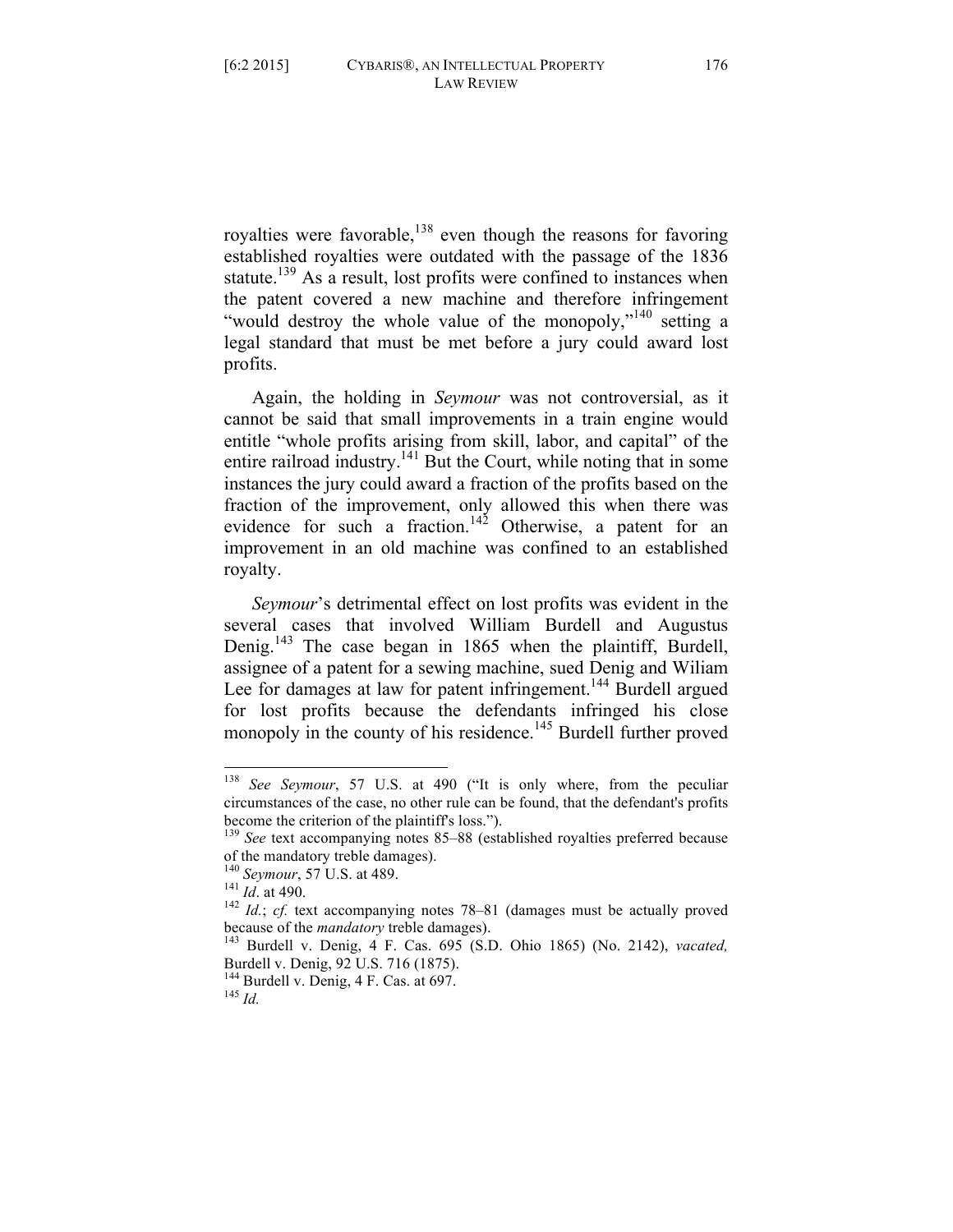royalties were favorable,<sup>138</sup> even though the reasons for favoring established royalties were outdated with the passage of the 1836 statute.<sup>139</sup> As a result, lost profits were confined to instances when the patent covered a new machine and therefore infringement "would destroy the whole value of the monopoly,"<sup>140</sup> setting a legal standard that must be met before a jury could award lost profits.

Again, the holding in *Seymour* was not controversial, as it cannot be said that small improvements in a train engine would entitle "whole profits arising from skill, labor, and capital" of the entire railroad industry.<sup>141</sup> But the Court, while noting that in some instances the jury could award a fraction of the profits based on the fraction of the improvement, only allowed this when there was evidence for such a fraction.<sup>142</sup> Otherwise, a patent for an improvement in an old machine was confined to an established royalty.

*Seymour*'s detrimental effect on lost profits was evident in the several cases that involved William Burdell and Augustus Denig.<sup>143</sup> The case began in 1865 when the plaintiff, Burdell, assignee of a patent for a sewing machine, sued Denig and Wiliam Lee for damages at law for patent infringement.<sup>144</sup> Burdell argued for lost profits because the defendants infringed his close monopoly in the county of his residence.<sup>145</sup> Burdell further proved

 <sup>138</sup> *See Seymour*, 57 U.S. at 490 ("It is only where, from the peculiar circumstances of the case, no other rule can be found, that the defendant's profits become the criterion of the plaintiff's loss.").

<sup>&</sup>lt;sup>139</sup> See text accompanying notes 85–88 (established royalties preferred because of the mandatory treble damages).

<sup>&</sup>lt;sup>140</sup> *Seymour*, 57 U.S. at 489.<br><sup>141</sup> *Id.* at 490.<br><sup>142</sup> *Id.*; *cf.* text accompanying notes 78–81 (damages must be actually proved because of the *mandatory* treble damages).

<sup>&</sup>lt;sup>143</sup> Burdell v. Denig, 4 F. Cas. 695 (S.D. Ohio 1865) (No. 2142), *vacated,* Burdell v. Denig, 92 U.S. 716 (1875).

<sup>144</sup> Burdell v. Denig, 4 F. Cas. at 697. <sup>145</sup> *Id.*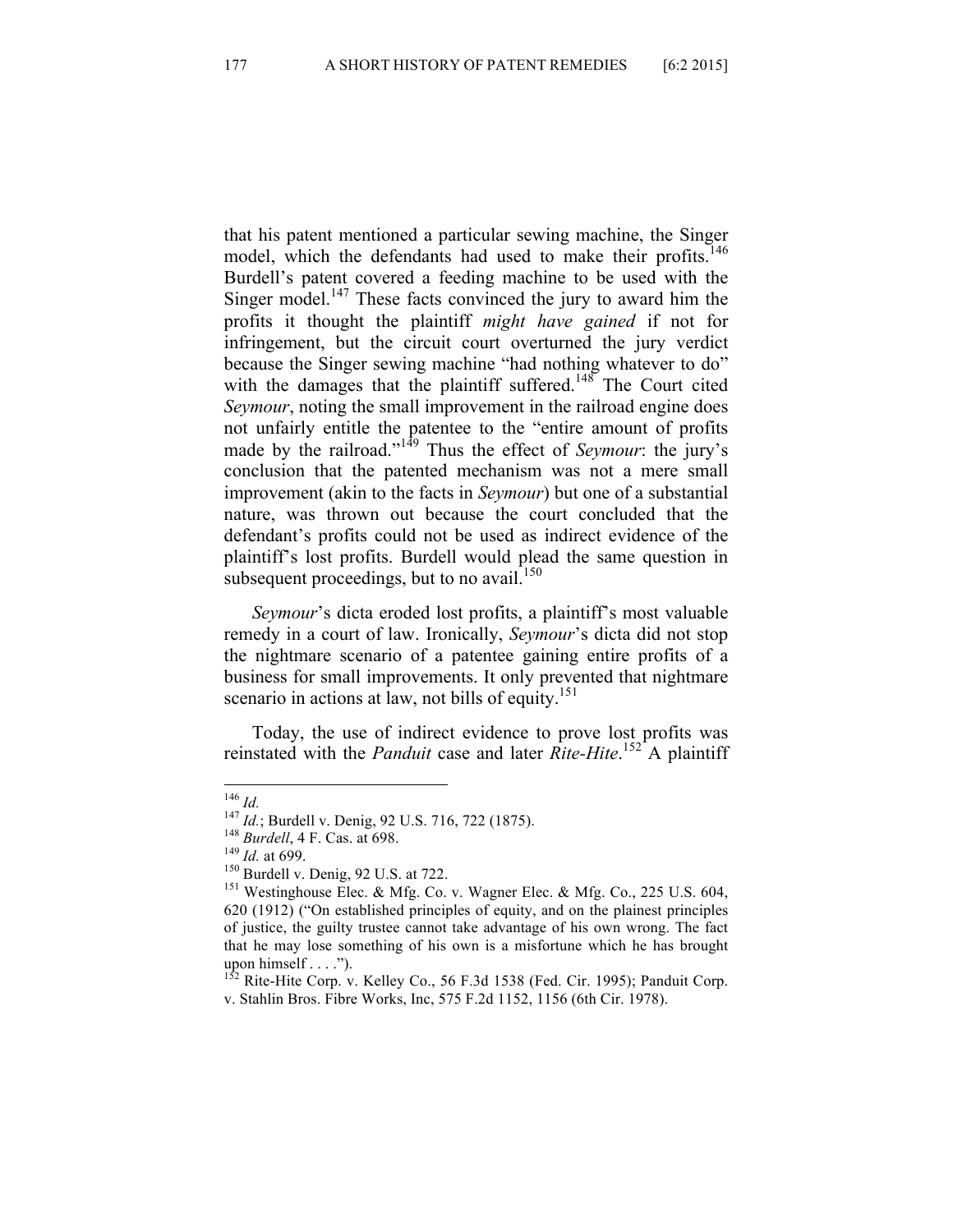that his patent mentioned a particular sewing machine, the Singer model, which the defendants had used to make their profits.<sup>146</sup> Burdell's patent covered a feeding machine to be used with the Singer model.<sup>147</sup> These facts convinced the jury to award him the profits it thought the plaintiff *might have gained* if not for infringement, but the circuit court overturned the jury verdict because the Singer sewing machine "had nothing whatever to do" with the damages that the plaintiff suffered.<sup>148</sup> The Court cited *Seymour*, noting the small improvement in the railroad engine does not unfairly entitle the patentee to the "entire amount of profits made by the railroad."<sup>149</sup> Thus the effect of *Seymour*: the jury's conclusion that the patented mechanism was not a mere small improvement (akin to the facts in *Seymour*) but one of a substantial nature, was thrown out because the court concluded that the defendant's profits could not be used as indirect evidence of the plaintiff's lost profits. Burdell would plead the same question in subsequent proceedings, but to no avail.<sup>150</sup>

*Seymour*'s dicta eroded lost profits, a plaintiff's most valuable remedy in a court of law. Ironically, *Seymour*'s dicta did not stop the nightmare scenario of a patentee gaining entire profits of a business for small improvements. It only prevented that nightmare scenario in actions at law, not bills of equity.<sup>151</sup>

Today, the use of indirect evidence to prove lost profits was reinstated with the *Panduit* case and later *Rite-Hite*. <sup>152</sup> A plaintiff

<sup>&</sup>lt;sup>146</sup> *Id.*<br>
<sup>147</sup> *Id.*; Burdell v. Denig, 92 U.S. 716, 722 (1875).<br>
<sup>148</sup> *Burdell*, 4 F. Cas. at 698.<br>
<sup>149</sup> *Id.* at 699.<br>
<sup>150</sup> Burdell v. Denig, 92 U.S. at 722.<br>
<sup>151</sup> Westinghouse Elec. & Mfg. Co. v. Wagner Elec. & 620 (1912) ("On established principles of equity, and on the plainest principles of justice, the guilty trustee cannot take advantage of his own wrong. The fact that he may lose something of his own is a misfortune which he has brought upon himself . . . .").

 $152$  Rite-Hite Corp. v. Kelley Co., 56 F.3d 1538 (Fed. Cir. 1995); Panduit Corp. v. Stahlin Bros. Fibre Works, Inc, 575 F.2d 1152, 1156 (6th Cir. 1978).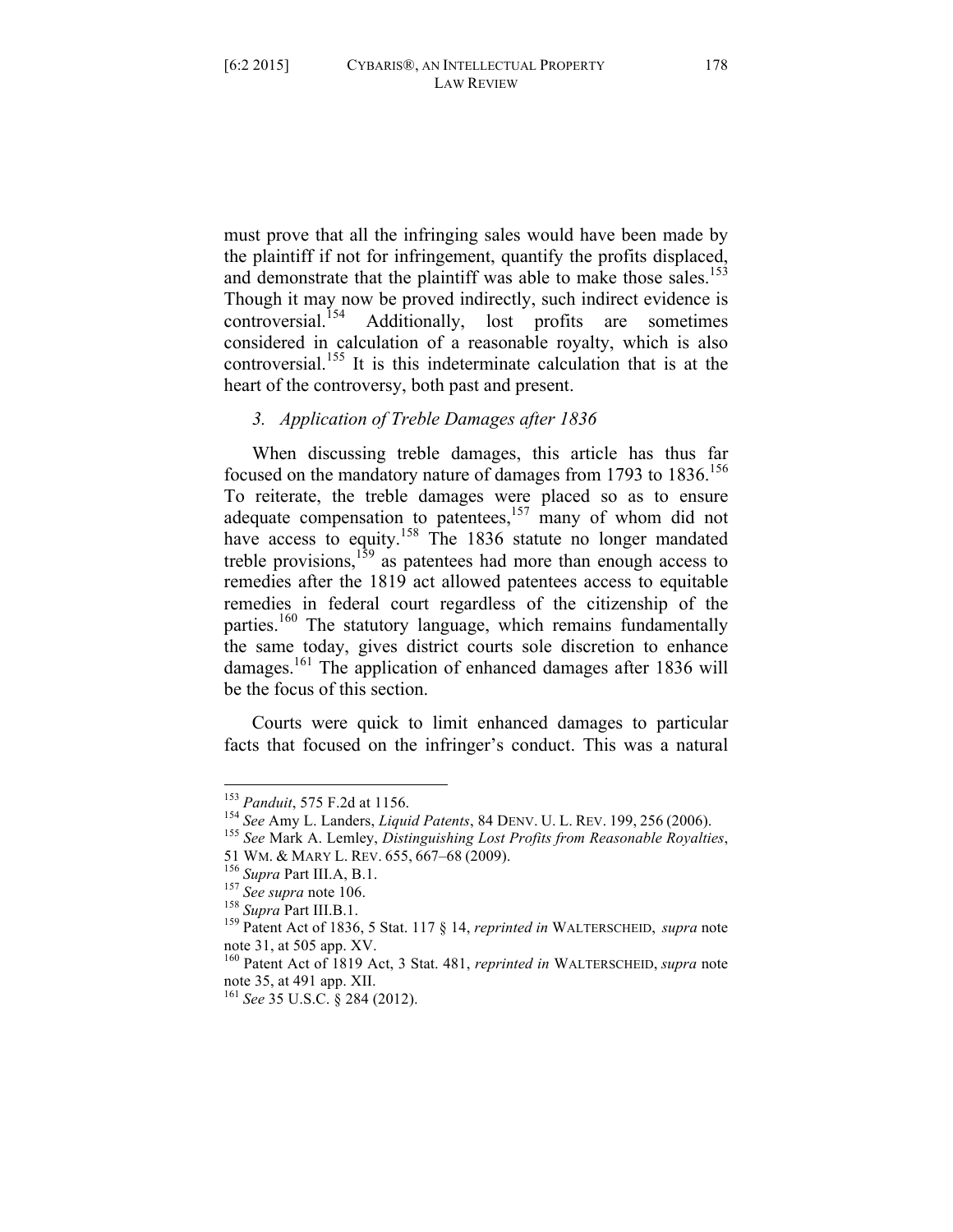must prove that all the infringing sales would have been made by the plaintiff if not for infringement, quantify the profits displaced, and demonstrate that the plaintiff was able to make those sales.<sup>153</sup> Though it may now be proved indirectly, such indirect evidence is controversial.<sup>154</sup> Additionally, lost profits are sometimes Additionally, lost profits are sometimes considered in calculation of a reasonable royalty, which is also controversial.<sup>155</sup> It is this indeterminate calculation that is at the heart of the controversy, both past and present.

## *3. Application of Treble Damages after 1836*

When discussing treble damages, this article has thus far focused on the mandatory nature of damages from 1793 to  $1836$ <sup>156</sup> To reiterate, the treble damages were placed so as to ensure adequate compensation to patentees, $157$  many of whom did not have access to equity.<sup>158</sup> The 1836 statute no longer mandated treble provisions,  $159$  as patentees had more than enough access to remedies after the 1819 act allowed patentees access to equitable remedies in federal court regardless of the citizenship of the parties.<sup>160</sup> The statutory language, which remains fundamentally the same today, gives district courts sole discretion to enhance damages.161 The application of enhanced damages after 1836 will be the focus of this section.

Courts were quick to limit enhanced damages to particular facts that focused on the infringer's conduct. This was a natural

<sup>&</sup>lt;sup>153</sup> *Panduit*, 575 F.2d at 1156.<br><sup>154</sup> *See* Amy L. Landers, *Liquid Patents*, 84 DENV. U. L. REV. 199, 256 (2006).<br><sup>155</sup> *See* Mark A. Lemley, *Distinguishing Lost Profits from Reasonable Royalties*,<br>51 WM. & MARY L. RE

<sup>&</sup>lt;sup>156</sup> Supra Part III.A, B.1.<br><sup>157</sup> See supra note 106.<br><sup>158</sup> Supra Part III.B.1.<br><sup>159</sup> Patent Act of 1836, 5 Stat. 117 & 14, *reprinted in* WALTERSCHEID, *supra* note note 31, at 505 app. XV.

<sup>160</sup> Patent Act of 1819 Act, 3 Stat. 481, *reprinted in* WALTERSCHEID, *supra* note note 35, at 491 app. XII.

<sup>161</sup> *See* 35 U.S.C. § 284 (2012).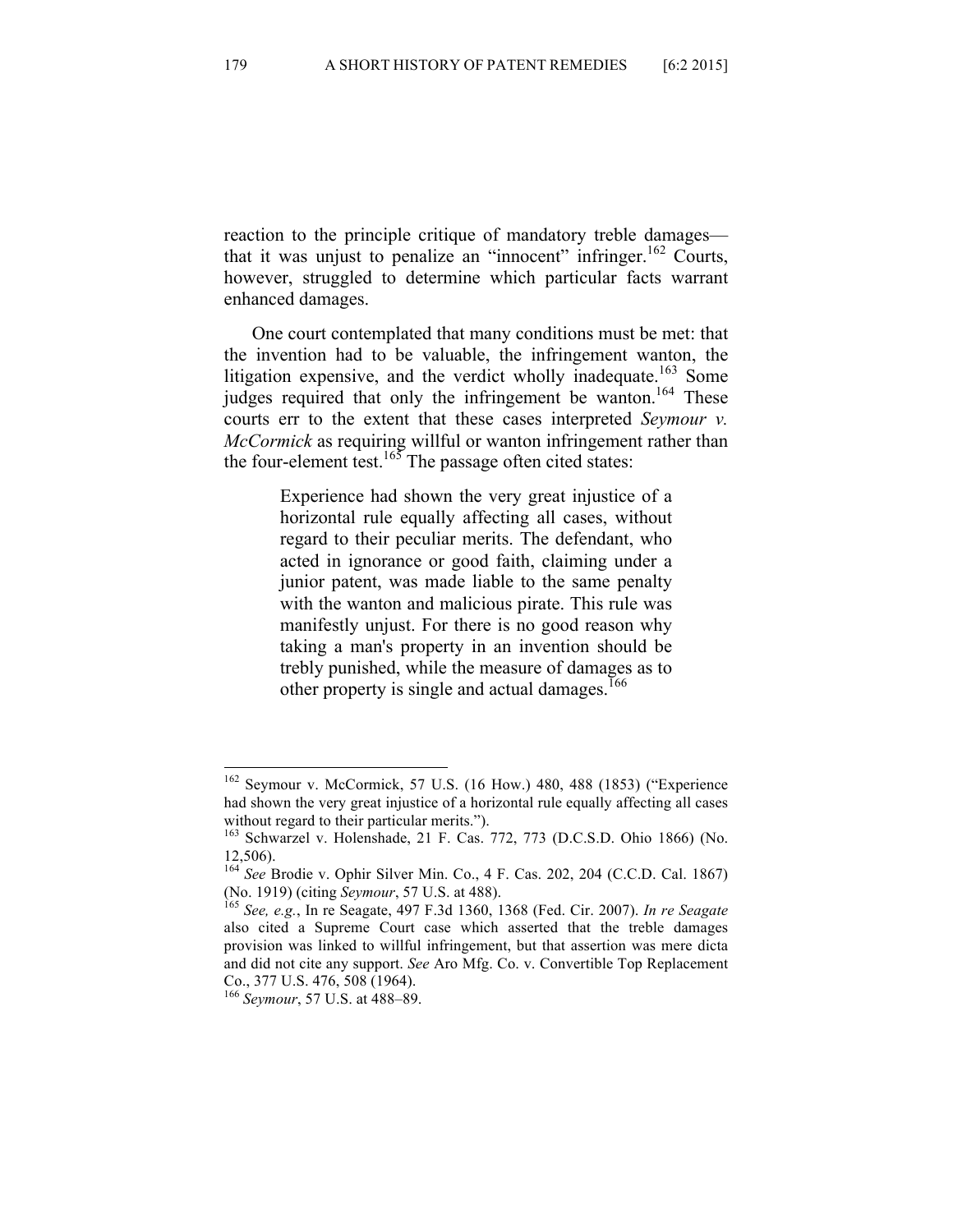reaction to the principle critique of mandatory treble damages that it was unjust to penalize an "innocent" infringer.<sup>162</sup> Courts, however, struggled to determine which particular facts warrant enhanced damages.

One court contemplated that many conditions must be met: that the invention had to be valuable, the infringement wanton, the litigation expensive, and the verdict wholly inadequate.<sup>163</sup> Some judges required that only the infringement be wanton.<sup>164</sup> These courts err to the extent that these cases interpreted *Seymour v. McCormick* as requiring willful or wanton infringement rather than the four-element test.<sup>165</sup> The passage often cited states:

> Experience had shown the very great injustice of a horizontal rule equally affecting all cases, without regard to their peculiar merits. The defendant, who acted in ignorance or good faith, claiming under a junior patent, was made liable to the same penalty with the wanton and malicious pirate. This rule was manifestly unjust. For there is no good reason why taking a man's property in an invention should be trebly punished, while the measure of damages as to other property is single and actual damages.<sup>166</sup>

 <sup>162</sup> Seymour v. McCormick, 57 U.S. (16 How.) 480, 488 (1853) ("Experience had shown the very great injustice of a horizontal rule equally affecting all cases without regard to their particular merits.").

<sup>163</sup> Schwarzel v. Holenshade, 21 F. Cas. 772, 773 (D.C.S.D. Ohio 1866) (No. 12,506).

<sup>164</sup> *See* Brodie v. Ophir Silver Min. Co., 4 F. Cas. 202, 204 (C.C.D. Cal. 1867) (No. 1919) (citing *Seymour*, 57 U.S. at 488). 165 *See, e.g.*, In re Seagate, 497 F.3d 1360, 1368 (Fed. Cir. 2007). *In re Seagate* 

also cited a Supreme Court case which asserted that the treble damages provision was linked to willful infringement, but that assertion was mere dicta and did not cite any support. *See* Aro Mfg. Co. v. Convertible Top Replacement Co., 377 U.S. 476, 508 (1964).

<sup>166</sup> *Seymour*, 57 U.S. at 488–89.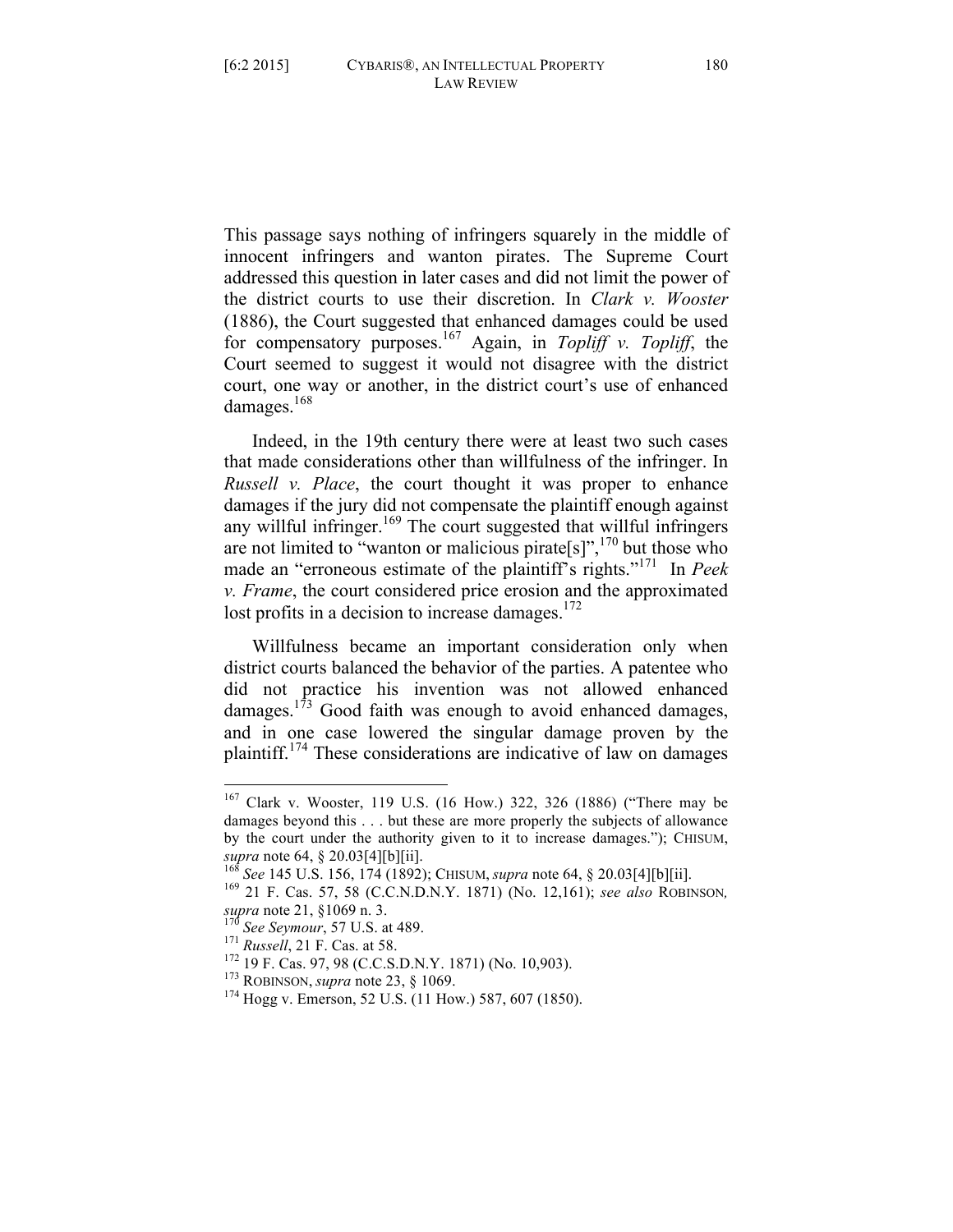This passage says nothing of infringers squarely in the middle of innocent infringers and wanton pirates. The Supreme Court addressed this question in later cases and did not limit the power of the district courts to use their discretion. In *Clark v. Wooster* (1886), the Court suggested that enhanced damages could be used for compensatory purposes.<sup>167</sup> Again, in *Topliff v. Topliff*, the Court seemed to suggest it would not disagree with the district court, one way or another, in the district court's use of enhanced damages.<sup>168</sup>

Indeed, in the 19th century there were at least two such cases that made considerations other than willfulness of the infringer. In *Russell v. Place*, the court thought it was proper to enhance damages if the jury did not compensate the plaintiff enough against any willful infringer.<sup>169</sup> The court suggested that willful infringers are not limited to "wanton or malicious pirate[s]",  $^{170}$  but those who made an "erroneous estimate of the plaintiff's rights."171 In *Peek v. Frame*, the court considered price erosion and the approximated lost profits in a decision to increase damages. $172$ 

Willfulness became an important consideration only when district courts balanced the behavior of the parties. A patentee who did not practice his invention was not allowed enhanced damages.<sup>173</sup> Good faith was enough to avoid enhanced damages, and in one case lowered the singular damage proven by the plaintiff.<sup>174</sup> These considerations are indicative of law on damages

 <sup>167</sup> Clark v. Wooster, 119 U.S. (16 How.) 322, 326 (1886) ("There may be damages beyond this . . . but these are more properly the subjects of allowance by the court under the authority given to it to increase damages."); CHISUM,

*supra* note 64, § 20.03[4][b][ii]. <sup>168</sup> *See* 145 U.S. 156, 174 (1892); CHISUM, *supra* note 64, § 20.03[4][b][ii]. <sup>169</sup> 21 F. Cas. 57, 58 (C.C.N.D.N.Y. 1871) (No. 12,161); *see also* ROBINSON*,* supra note 21, §1069 n. 3.<br><sup>170</sup> See Seymour, 57 U.S. at 489.<br><sup>171</sup> Russell, 21 F. Cas. at 58.<br><sup>172</sup> 19 F. Cas. 97, 98 (C.C.S.D.N.Y. 1871) (No. 10,903).<br><sup>173</sup> ROBINSON, *supra* note 23, § 1069.<br><sup>174</sup> Hogg v. Emerson, 52 U.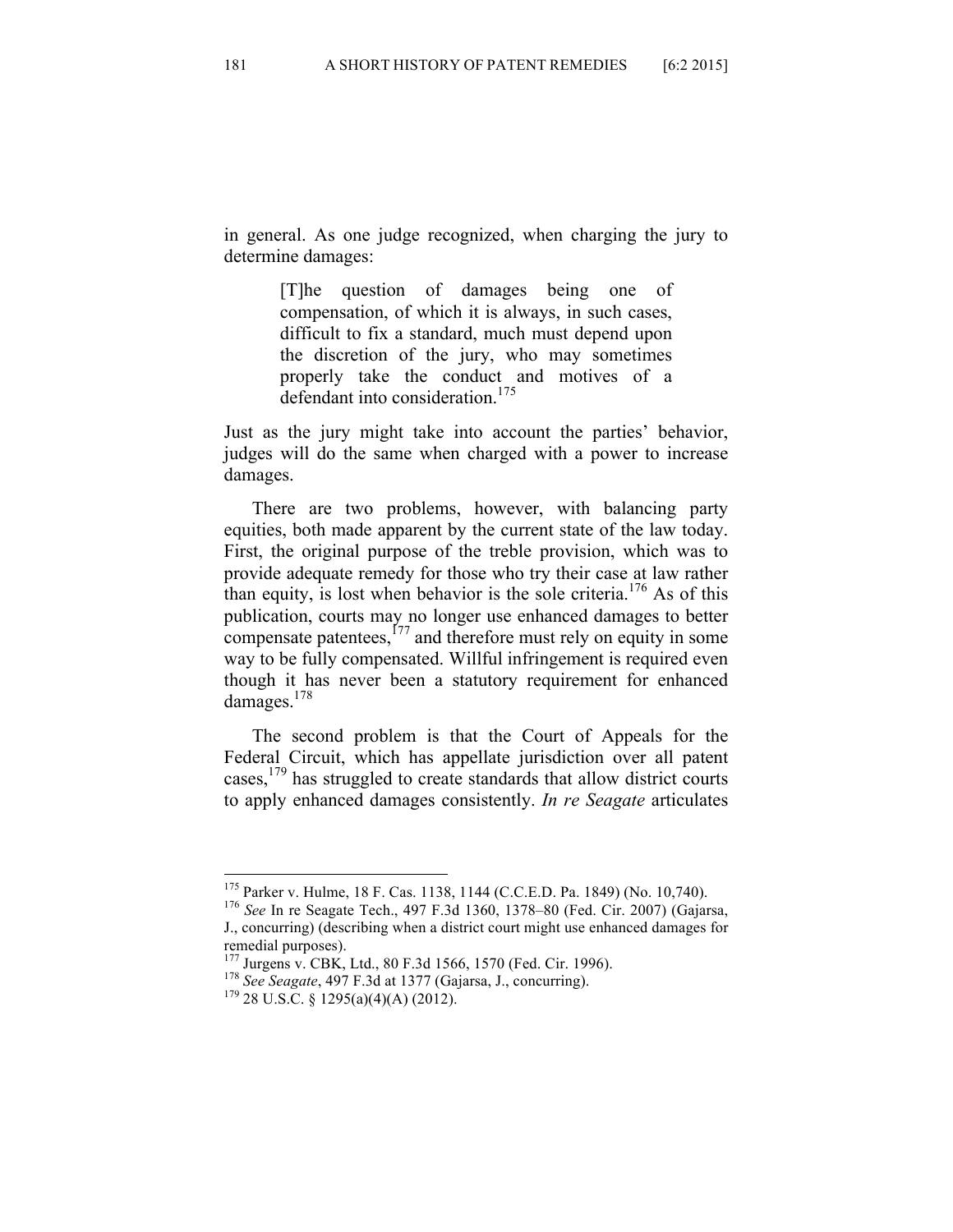in general. As one judge recognized, when charging the jury to determine damages:

> [T]he question of damages being one of compensation, of which it is always, in such cases, difficult to fix a standard, much must depend upon the discretion of the jury, who may sometimes properly take the conduct and motives of a defendant into consideration.<sup>175</sup>

Just as the jury might take into account the parties' behavior, judges will do the same when charged with a power to increase damages.

There are two problems, however, with balancing party equities, both made apparent by the current state of the law today. First, the original purpose of the treble provision, which was to provide adequate remedy for those who try their case at law rather than equity, is lost when behavior is the sole criteria.<sup>176</sup> As of this publication, courts may no longer use enhanced damages to better compensate patentees,  $177$  and therefore must rely on equity in some way to be fully compensated. Willful infringement is required even though it has never been a statutory requirement for enhanced damages.<sup>178</sup>

The second problem is that the Court of Appeals for the Federal Circuit, which has appellate jurisdiction over all patent cases,  $179$  has struggled to create standards that allow district courts to apply enhanced damages consistently. *In re Seagate* articulates

 <sup>175</sup> Parker v. Hulme, 18 F. Cas. 1138, 1144 (C.C.E.D. Pa. 1849) (No. 10,740). <sup>176</sup> *See* In re Seagate Tech., 497 F.3d 1360, 1378–80 (Fed. Cir. 2007) (Gajarsa, J., concurring) (describing when a district court might use enhanced damages for

remedial purposes).<br><sup>177</sup> Jurgens v. CBK, Ltd., 80 F.3d 1566, 1570 (Fed. Cir. 1996).

<sup>&</sup>lt;sup>178</sup> See Seagate, 497 F.3d at 1377 (Gajarsa, J., concurring). <sup>179</sup> 28 U.S.C. § 1295(a)(4)(A) (2012).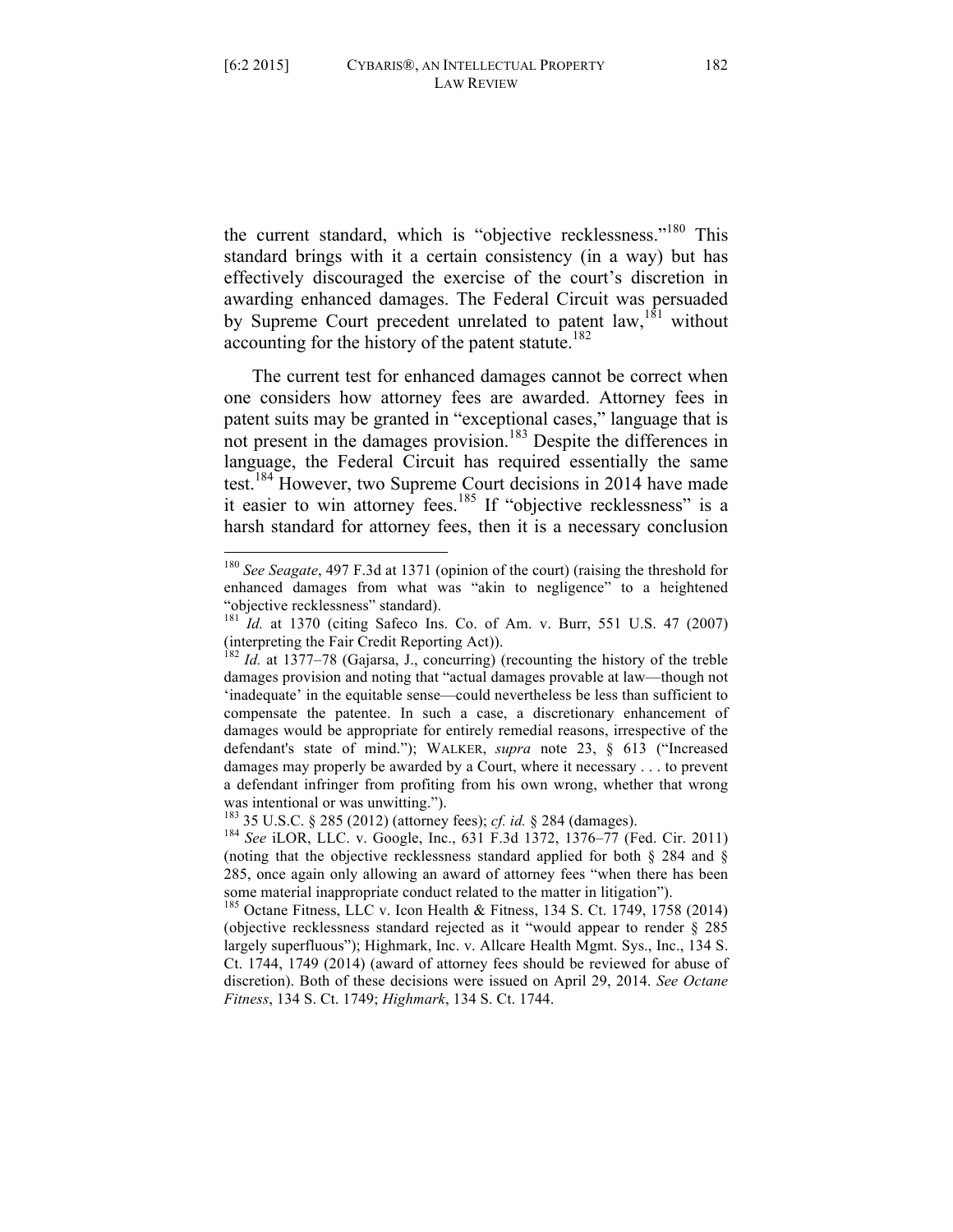the current standard, which is "objective recklessness."<sup>180</sup> This standard brings with it a certain consistency (in a way) but has effectively discouraged the exercise of the court's discretion in awarding enhanced damages. The Federal Circuit was persuaded by Supreme Court precedent unrelated to patent  $law$ ,<sup>181</sup> without accounting for the history of the patent statute.<sup>182</sup>

The current test for enhanced damages cannot be correct when one considers how attorney fees are awarded. Attorney fees in patent suits may be granted in "exceptional cases," language that is not present in the damages provision.<sup>183</sup> Despite the differences in language, the Federal Circuit has required essentially the same test.<sup>184</sup> However, two Supreme Court decisions in 2014 have made it easier to win attorney fees.<sup>185</sup> If "objective recklessness" is a harsh standard for attorney fees, then it is a necessary conclusion

 <sup>180</sup> *See Seagate*, 497 F.3d at 1371 (opinion of the court) (raising the threshold for enhanced damages from what was "akin to negligence" to a heightened "objective recklessness" standard).

<sup>181</sup> *Id.* at 1370 (citing Safeco Ins. Co. of Am. v. Burr, 551 U.S. 47 (2007) (interpreting the Fair Credit Reporting Act)).

<sup>182</sup> *Id.* at 1377–78 (Gajarsa, J., concurring) (recounting the history of the treble damages provision and noting that "actual damages provable at law—though not 'inadequate' in the equitable sense—could nevertheless be less than sufficient to compensate the patentee. In such a case, a discretionary enhancement of damages would be appropriate for entirely remedial reasons, irrespective of the defendant's state of mind."); WALKER, *supra* note 23, § 613 ("Increased damages may properly be awarded by a Court, where it necessary . . . to prevent a defendant infringer from profiting from his own wrong, whether that wrong was intentional or was unwitting.").<br><sup>183</sup> 35 U.S.C. § 285 (2012) (attorney fees); *cf. id.* § 284 (damages).

<sup>&</sup>lt;sup>184</sup> See iLOR, LLC. v. Google, Inc., 631 F.3d 1372, 1376–77 (Fed. Cir. 2011) (noting that the objective recklessness standard applied for both § 284 and § 285, once again only allowing an award of attorney fees "when there has been some material inappropriate conduct related to the matter in litigation").

<sup>&</sup>lt;sup>185</sup> Octane Fitness, LLC v. Icon Health & Fitness, 134 S. Ct. 1749, 1758 (2014) (objective recklessness standard rejected as it "would appear to render § 285 largely superfluous"); Highmark, Inc. v. Allcare Health Mgmt. Sys., Inc., 134 S. Ct. 1744, 1749 (2014) (award of attorney fees should be reviewed for abuse of discretion). Both of these decisions were issued on April 29, 2014. *See Octane Fitness*, 134 S. Ct. 1749; *Highmark*, 134 S. Ct. 1744.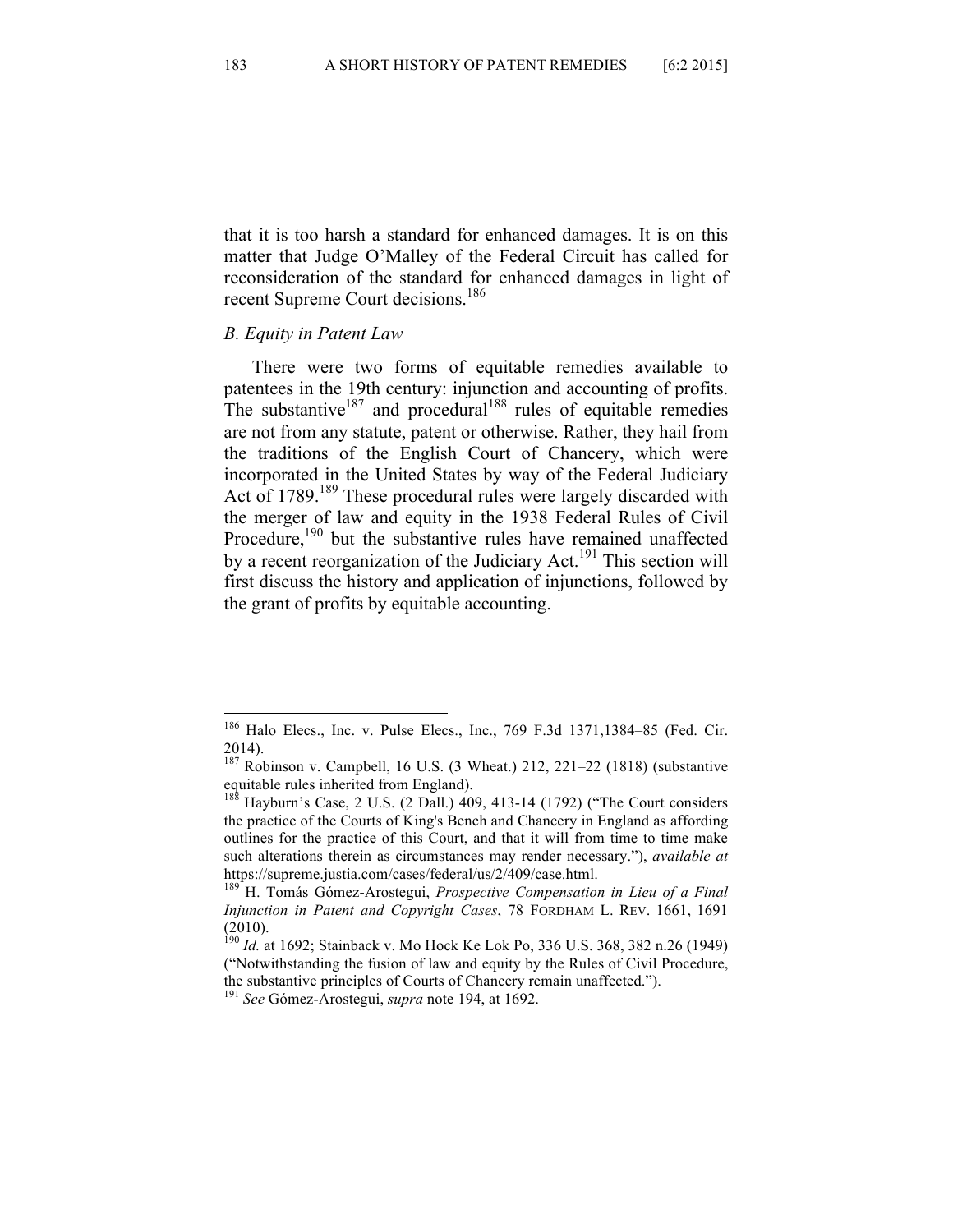that it is too harsh a standard for enhanced damages. It is on this matter that Judge O'Malley of the Federal Circuit has called for reconsideration of the standard for enhanced damages in light of recent Supreme Court decisions.<sup>186</sup>

### *B. Equity in Patent Law*

There were two forms of equitable remedies available to patentees in the 19th century: injunction and accounting of profits. The substantive<sup>187</sup> and procedural<sup>188</sup> rules of equitable remedies are not from any statute, patent or otherwise. Rather, they hail from the traditions of the English Court of Chancery, which were incorporated in the United States by way of the Federal Judiciary Act of 1789.<sup>189</sup> These procedural rules were largely discarded with the merger of law and equity in the 1938 Federal Rules of Civil Procedure,<sup>190</sup> but the substantive rules have remained unaffected by a recent reorganization of the Judiciary Act.<sup>191</sup> This section will first discuss the history and application of injunctions, followed by the grant of profits by equitable accounting.

 <sup>186</sup> Halo Elecs., Inc. v. Pulse Elecs., Inc., 769 F.3d 1371,1384–85 (Fed. Cir. 2014).

 $187$  Robinson v. Campbell, 16 U.S. (3 Wheat.) 212, 221–22 (1818) (substantive equitable rules inherited from England).

<sup>&</sup>lt;sup>188</sup> Hayburn's Case, 2 U.S. (2 Dall.) 409, 413-14 (1792) ("The Court considers the practice of the Courts of King's Bench and Chancery in England as affording outlines for the practice of this Court, and that it will from time to time make such alterations therein as circumstances may render necessary."), *available at*  https://supreme.justia.com/cases/federal/us/2/409/case.html.

<sup>189</sup> H. Tomás Gómez-Arostegui, *Prospective Compensation in Lieu of a Final Injunction in Patent and Copyright Cases*, 78 FORDHAM L. REV. 1661, 1691 (2010).

<sup>190</sup> *Id.* at 1692; Stainback v. Mo Hock Ke Lok Po, 336 U.S. 368, 382 n.26 (1949) ("Notwithstanding the fusion of law and equity by the Rules of Civil Procedure, the substantive principles of Courts of Chancery remain unaffected.").

<sup>191</sup> *See* Gómez-Arostegui, *supra* note 194, at 1692.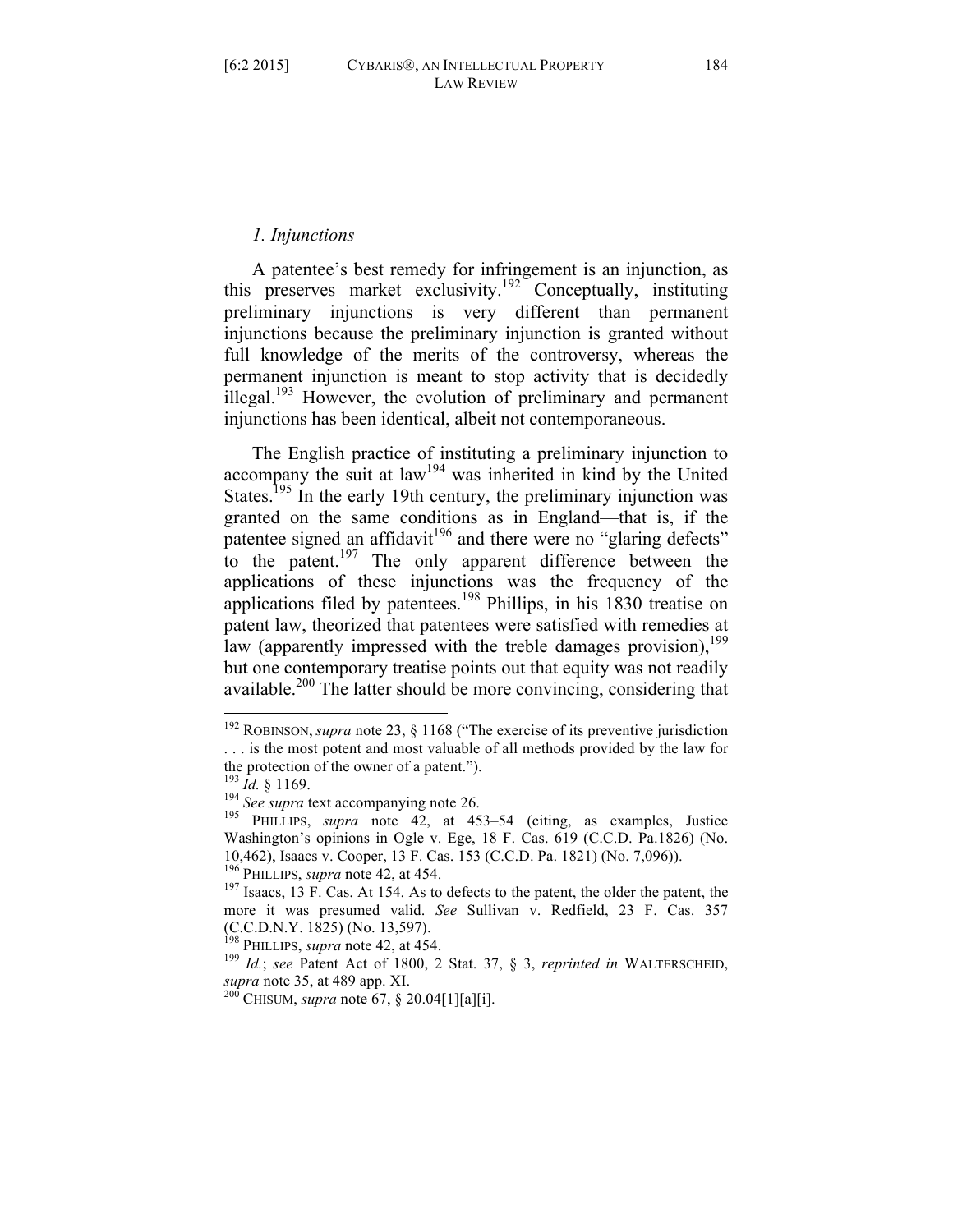## *1. Injunctions*

A patentee's best remedy for infringement is an injunction, as this preserves market exclusivity.<sup>192</sup> Conceptually, instituting preliminary injunctions is very different than permanent injunctions because the preliminary injunction is granted without full knowledge of the merits of the controversy, whereas the permanent injunction is meant to stop activity that is decidedly illegal.<sup>193</sup> However, the evolution of preliminary and permanent injunctions has been identical, albeit not contemporaneous.

The English practice of instituting a preliminary injunction to accompany the suit at law<sup>194</sup> was inherited in kind by the United States.<sup>195</sup> In the early 19th century, the preliminary injunction was granted on the same conditions as in England—that is, if the patentee signed an affidavit<sup>196</sup> and there were no "glaring defects" to the patent.<sup>197</sup> The only apparent difference between the applications of these injunctions was the frequency of the applications filed by patentees.<sup>198</sup> Phillips, in his 1830 treatise on patent law, theorized that patentees were satisfied with remedies at law (apparently impressed with the treble damages provision),  $199$ but one contemporary treatise points out that equity was not readily available.<sup>200</sup> The latter should be more convincing, considering that

 <sup>192</sup> ROBINSON, *supra* note 23, § 1168 ("The exercise of its preventive jurisdiction . . . is the most potent and most valuable of all methods provided by the law for the protection of the owner of a patent.").<br> $^{193}$  *Id.* 8 1169.

<sup>&</sup>lt;sup>194</sup> *See supra* text accompanying note 26.<br><sup>195</sup> PHILLIPS, *supra* note 42, at 453–54 (citing, as examples, Justice Washington's opinions in Ogle v. Ege, 18 F. Cas. 619 (C.C.D. Pa.1826) (No. 10,462), Isaacs v. Cooper, 13 F. Cas. 153 (C.C.D. Pa. 1821) (No. 7,096)).

<sup>&</sup>lt;sup>197</sup> Isaacs, 13 F. Cas. At 154. As to defects to the patent, the older the patent, the more it was presumed valid. *See* Sullivan v. Redfield, 23 F. Cas. 357 (C.C.D.N.Y. 1825) (No. 13,597).

<sup>&</sup>lt;sup>198</sup> PHILLIPS, *supra* note 42, at 454.<br><sup>199</sup> *Id.*; *see* Patent Act of 1800, 2 Stat. 37, § 3, *reprinted in* WALTERSCHEID, *supra* note 35, at 489 app. XI. <sup>200</sup> CHISUM, *supra* note 67, § 20.04[1][a][i].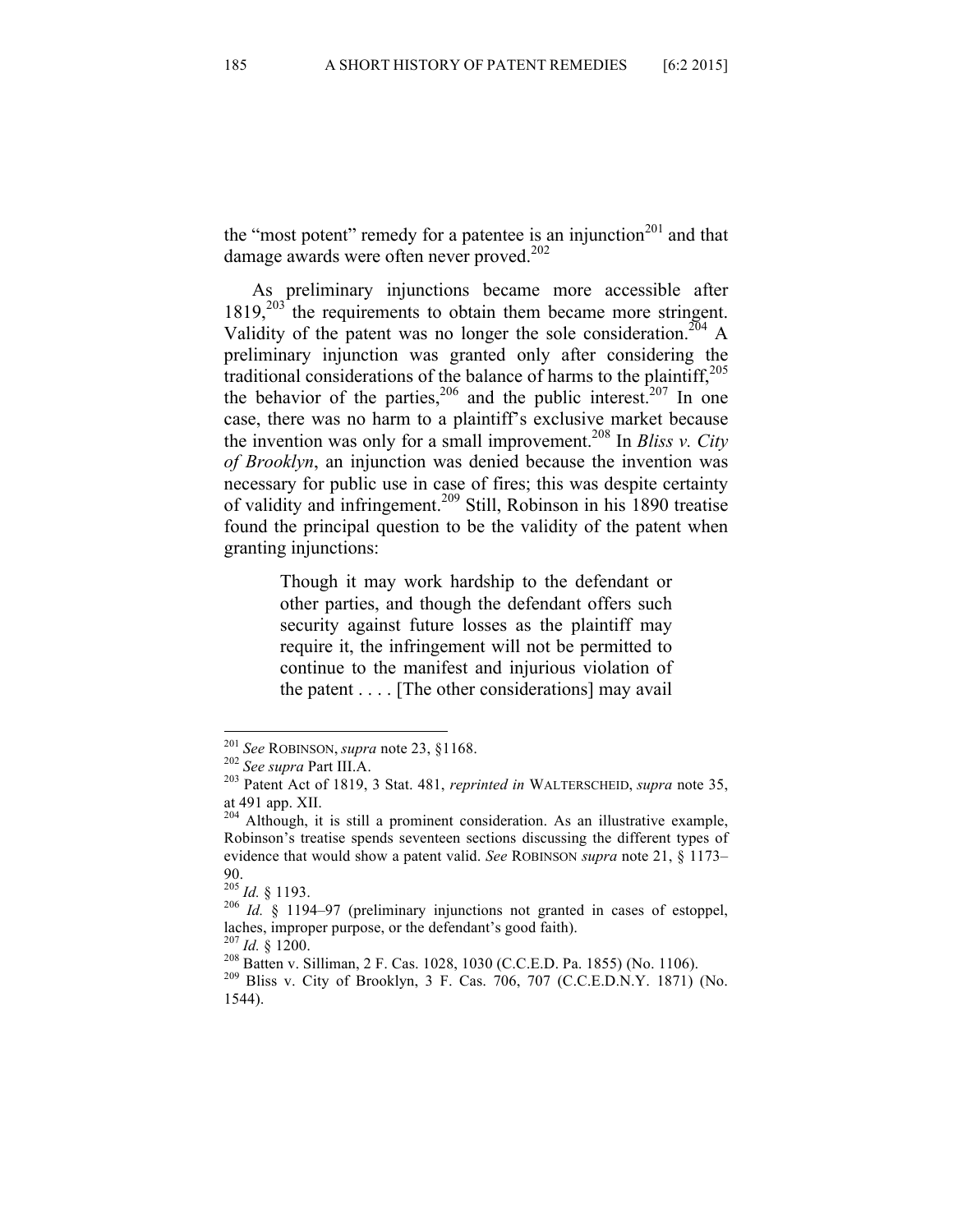the "most potent" remedy for a patentee is an injunction<sup>201</sup> and that damage awards were often never proved.<sup>202</sup>

As preliminary injunctions became more accessible after 1819,<sup>203</sup> the requirements to obtain them became more stringent. Validity of the patent was no longer the sole consideration.<sup>204</sup> A preliminary injunction was granted only after considering the traditional considerations of the balance of harms to the plaintiff,<sup>205</sup> the behavior of the parties,  $206$  and the public interest.  $207$  In one case, there was no harm to a plaintiff's exclusive market because the invention was only for a small improvement.208 In *Bliss v. City of Brooklyn*, an injunction was denied because the invention was necessary for public use in case of fires; this was despite certainty of validity and infringement.<sup>209</sup> Still, Robinson in his 1890 treatise found the principal question to be the validity of the patent when granting injunctions:

> Though it may work hardship to the defendant or other parties, and though the defendant offers such security against future losses as the plaintiff may require it, the infringement will not be permitted to continue to the manifest and injurious violation of the patent . . . . [The other considerations] may avail

 <sup>201</sup> *See* ROBINSON, *supra* note 23, §1168. <sup>202</sup> *See supra* Part III.A. <sup>203</sup> Patent Act of 1819, 3 Stat. 481, *reprinted in* WALTERSCHEID, *supra* note 35, at 491 app. XII.

 $204$  Although, it is still a prominent consideration. As an illustrative example, Robinson's treatise spends seventeen sections discussing the different types of evidence that would show a patent valid. *See* ROBINSON *supra* note 21, § 1173–

 $^{205}$  *Id.* § 1193.

<sup>&</sup>lt;sup>206</sup> *Id.* § 1194–97 (preliminary injunctions not granted in cases of estoppel, laches, improper purpose, or the defendant's good faith).<br> $^{207}$  Id. 8 1200.

<sup>&</sup>lt;sup>208</sup> Batten v. Silliman, 2 F. Cas. 1028, 1030 (C.C.E.D. Pa. 1855) (No. 1106).<br><sup>209</sup> Bliss v. City of Brooklyn, 3 F. Cas. 706, 707 (C.C.E.D.N.Y. 1871) (No. 1544).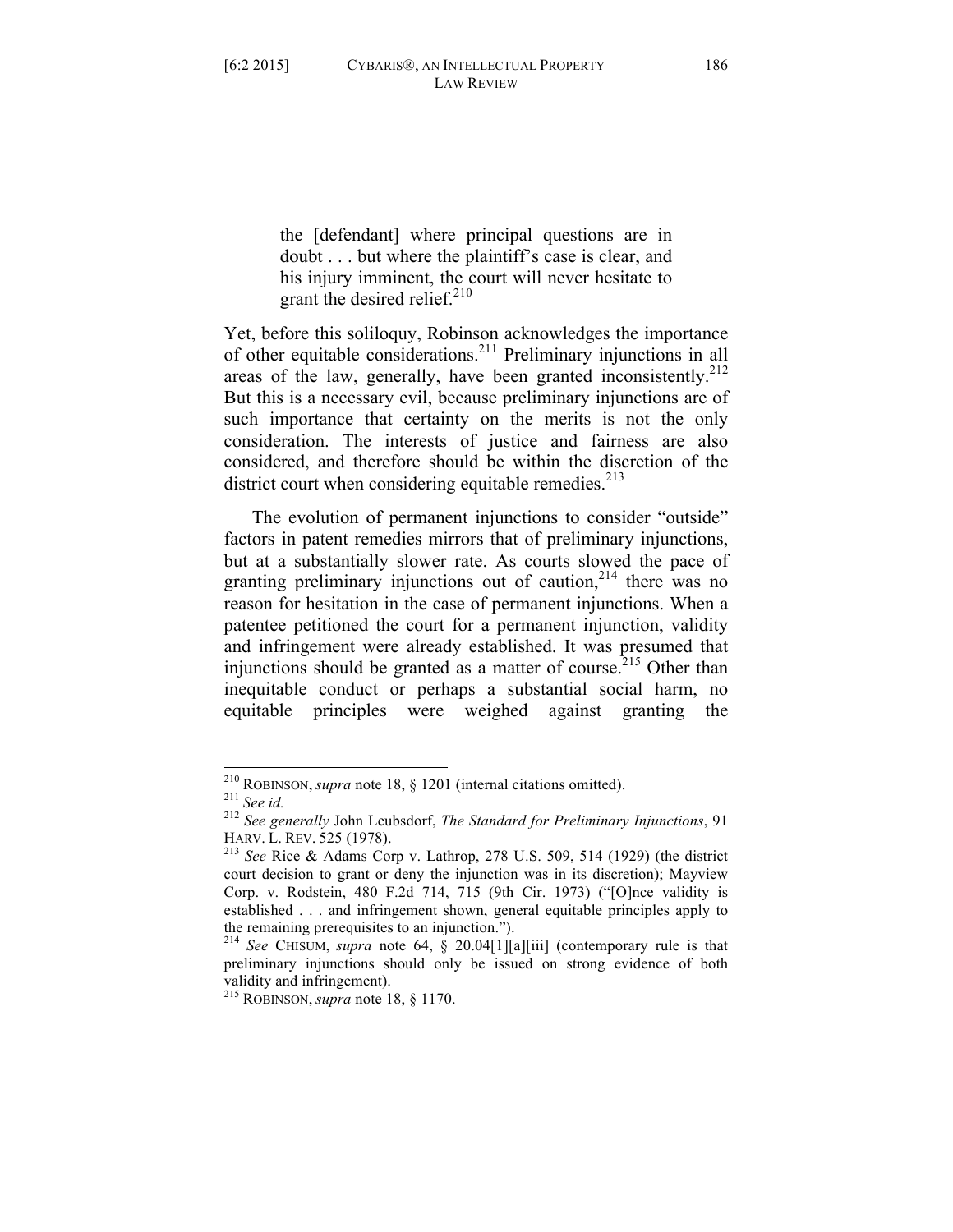the [defendant] where principal questions are in doubt . . . but where the plaintiff's case is clear, and his injury imminent, the court will never hesitate to grant the desired relief. $210$ 

Yet, before this soliloquy, Robinson acknowledges the importance of other equitable considerations.<sup>211</sup> Preliminary injunctions in all areas of the law, generally, have been granted inconsistently. $2^{12}$ But this is a necessary evil, because preliminary injunctions are of such importance that certainty on the merits is not the only consideration. The interests of justice and fairness are also considered, and therefore should be within the discretion of the district court when considering equitable remedies. $^{213}$ 

The evolution of permanent injunctions to consider "outside" factors in patent remedies mirrors that of preliminary injunctions, but at a substantially slower rate. As courts slowed the pace of granting preliminary injunctions out of caution,  $2^{14}$  there was no reason for hesitation in the case of permanent injunctions. When a patentee petitioned the court for a permanent injunction, validity and infringement were already established. It was presumed that injunctions should be granted as a matter of course.<sup>215</sup> Other than inequitable conduct or perhaps a substantial social harm, no equitable principles were weighed against granting the

 <sup>210</sup> ROBINSON, *supra* note 18, § 1201 (internal citations omitted). <sup>211</sup> *See id.* <sup>212</sup> *See generally* John Leubsdorf, *The Standard for Preliminary Injunctions*, 91 HARV. L. REV. <sup>525</sup> (1978). <sup>213</sup> *See* Rice & Adams Corp v. Lathrop, 278 U.S. 509, 514 (1929) (the district

court decision to grant or deny the injunction was in its discretion); Mayview Corp. v. Rodstein, 480 F.2d 714, 715 (9th Cir. 1973) ("[O]nce validity is established . . . and infringement shown, general equitable principles apply to the remaining prerequisites to an injunction.").

<sup>214</sup> *See* CHISUM, *supra* note 64, § 20.04[1][a][iii] (contemporary rule is that preliminary injunctions should only be issued on strong evidence of both validity and infringement).

<sup>215</sup> ROBINSON, *supra* note 18, § 1170.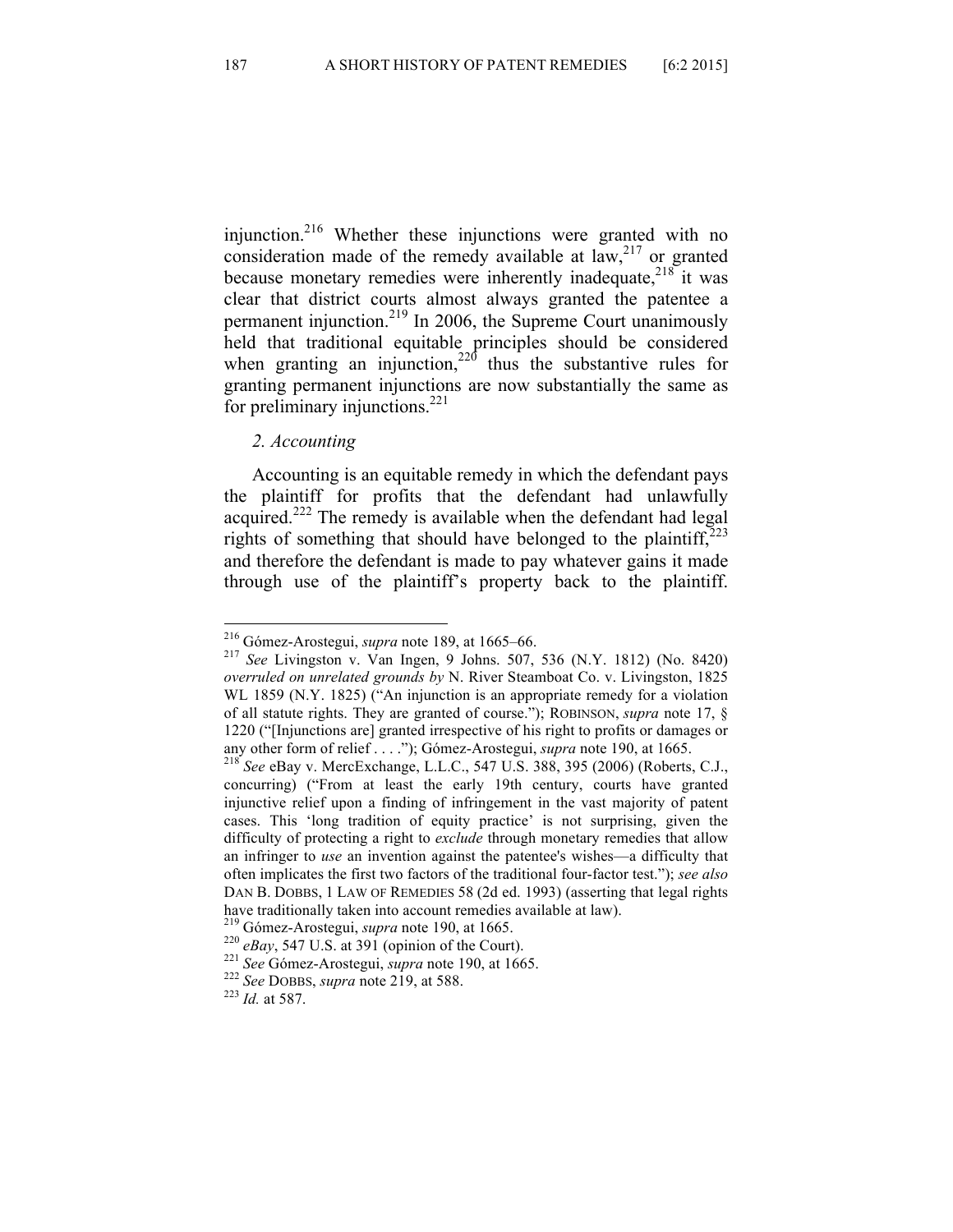injunction.216 Whether these injunctions were granted with no consideration made of the remedy available at  $\lim_{n \to \infty} 2^{17}$  or granted because monetary remedies were inherently inadequate,<sup>218</sup> it was clear that district courts almost always granted the patentee a permanent injunction.<sup>219</sup> In 2006, the Supreme Court unanimously held that traditional equitable principles should be considered when granting an injunction,<sup>220</sup> thus the substantive rules for granting permanent injunctions are now substantially the same as for preliminary injunctions. $^{221}$ 

#### *2. Accounting*

Accounting is an equitable remedy in which the defendant pays the plaintiff for profits that the defendant had unlawfully acquired.<sup>222</sup> The remedy is available when the defendant had legal rights of something that should have belonged to the plaintiff, $2^{23}$ and therefore the defendant is made to pay whatever gains it made through use of the plaintiff's property back to the plaintiff.

 <sup>216</sup> Gómez-Arostegui, *supra* note 189, at 1665–66. 217 *See* Livingston v. Van Ingen, 9 Johns. 507, 536 (N.Y. 1812) (No. 8420) *overruled on unrelated grounds by* N. River Steamboat Co. v. Livingston, 1825 WL 1859 (N.Y. 1825) ("An injunction is an appropriate remedy for a violation of all statute rights. They are granted of course."); ROBINSON, *supra* note 17, § 1220 ("[Injunctions are] granted irrespective of his right to profits or damages or any other form of relief . . . ."); Gómez-Arostegui, *supra* note 190, at 1665. <sup>218</sup> *See* eBay v. MercExchange, L.L.C., 547 U.S. 388, 395 (2006) (Roberts, C.J.,

concurring) ("From at least the early 19th century, courts have granted injunctive relief upon a finding of infringement in the vast majority of patent cases. This 'long tradition of equity practice' is not surprising, given the difficulty of protecting a right to *exclude* through monetary remedies that allow an infringer to *use* an invention against the patentee's wishes—a difficulty that often implicates the first two factors of the traditional four-factor test."); *see also*  DAN B. DOBBS, 1 LAW OF REMEDIES 58 (2d ed. 1993) (asserting that legal rights have traditionally taken into account remedies available at law).<br>
<sup>219</sup> Gómez-Arostegui, *supra* note 190, at 1665.<br>
<sup>220</sup> eBay, 547 U.S. at 391 (opinion of the Court).<br>
<sup>221</sup> See Gómez-Arostegui, *supra* note 190, at 16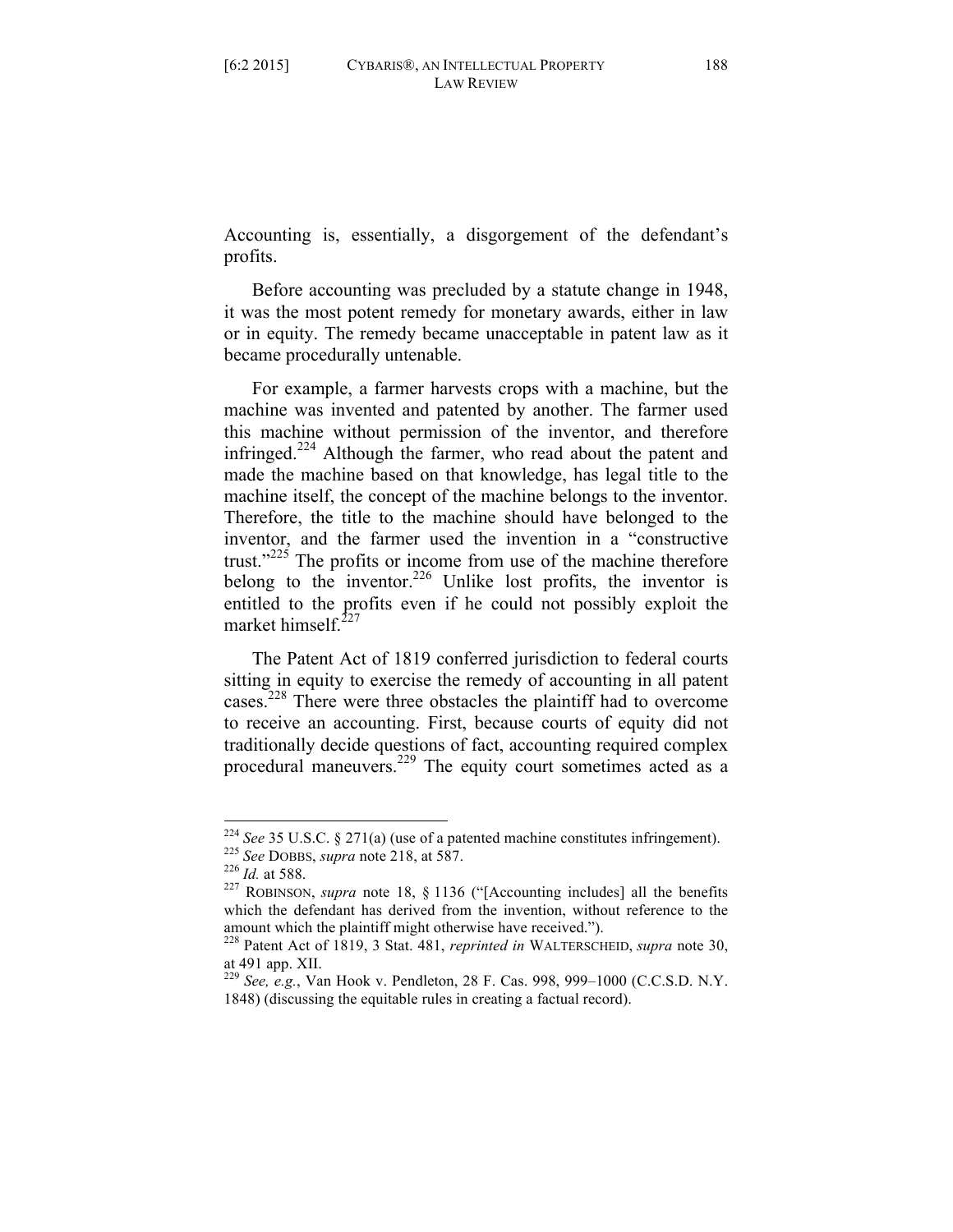Accounting is, essentially, a disgorgement of the defendant's profits.

Before accounting was precluded by a statute change in 1948, it was the most potent remedy for monetary awards, either in law or in equity. The remedy became unacceptable in patent law as it became procedurally untenable.

For example, a farmer harvests crops with a machine, but the machine was invented and patented by another. The farmer used this machine without permission of the inventor, and therefore infringed.<sup>224</sup> Although the farmer, who read about the patent and made the machine based on that knowledge, has legal title to the machine itself, the concept of the machine belongs to the inventor. Therefore, the title to the machine should have belonged to the inventor, and the farmer used the invention in a "constructive trust."<sup>225</sup> The profits or income from use of the machine therefore belong to the inventor.<sup>226</sup> Unlike lost profits, the inventor is entitled to the profits even if he could not possibly exploit the market himself $^{22}$ 

The Patent Act of 1819 conferred jurisdiction to federal courts sitting in equity to exercise the remedy of accounting in all patent cases.<sup>228</sup> There were three obstacles the plaintiff had to overcome to receive an accounting. First, because courts of equity did not traditionally decide questions of fact, accounting required complex procedural maneuvers.<sup>229</sup> The equity court sometimes acted as a

<sup>&</sup>lt;sup>224</sup> See 35 U.S.C. § 271(a) (use of a patented machine constitutes infringement).<br><sup>225</sup> See DOBBS, *supra* note 218, at 587.<br><sup>226</sup> Id. at 588.<br><sup>227</sup> ROBINSON, *supra* note 18, § 1136 ("[Accounting includes] all the benef

which the defendant has derived from the invention, without reference to the amount which the plaintiff might otherwise have received."). <sup>228</sup> Patent Act of 1819, 3 Stat. 481, *reprinted in* WALTERSCHEID, *supra* note 30,

at 491 app. XII.

<sup>229</sup> *See, e.g.*, Van Hook v. Pendleton, 28 F. Cas. 998, 999–1000 (C.C.S.D. N.Y. 1848) (discussing the equitable rules in creating a factual record).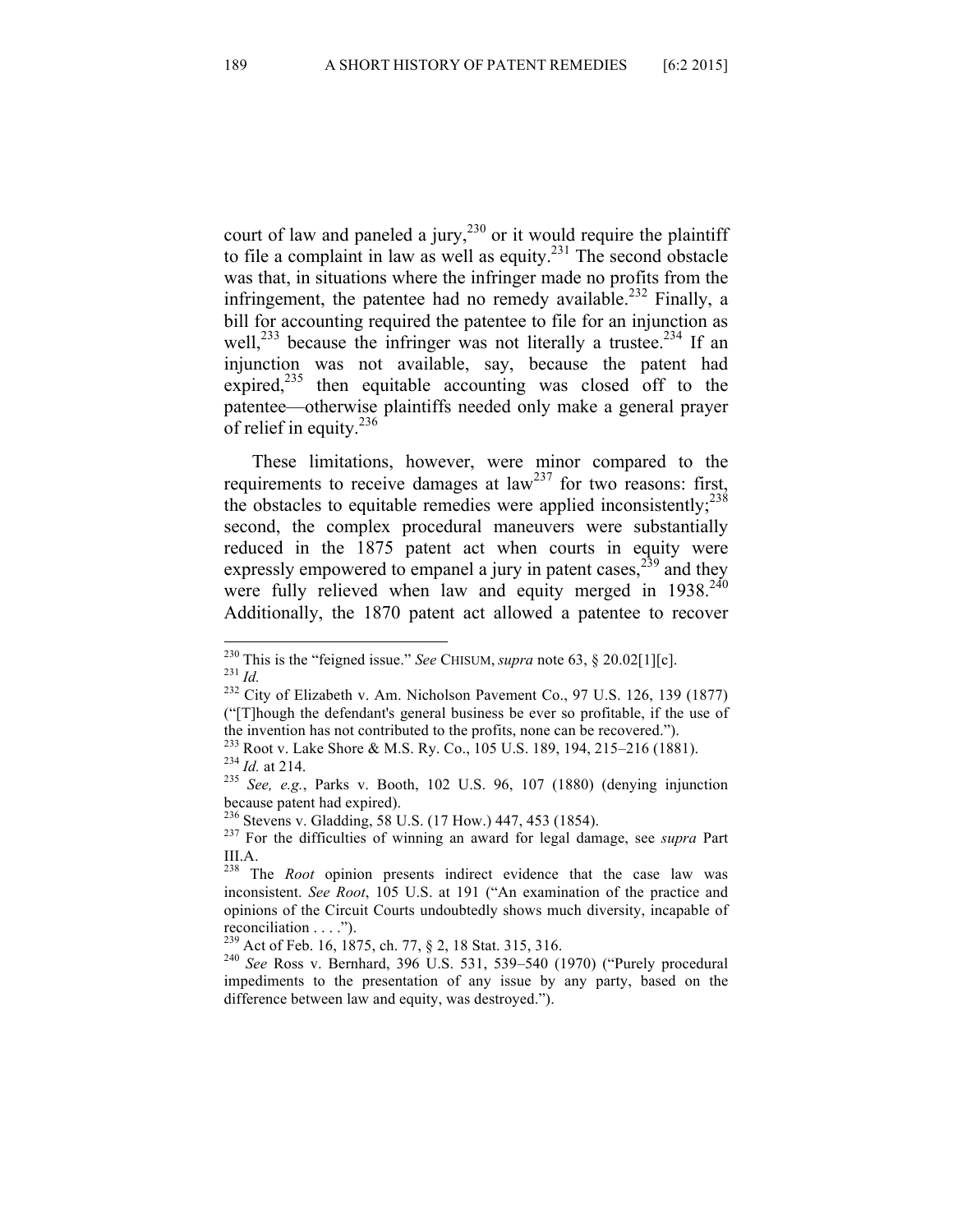court of law and paneled a jury,<sup>230</sup> or it would require the plaintiff to file a complaint in law as well as equity. $231$  The second obstacle was that, in situations where the infringer made no profits from the infringement, the patentee had no remedy available.<sup>232</sup> Finally, a bill for accounting required the patentee to file for an injunction as well,<sup>233</sup> because the infringer was not literally a trustee.<sup>234</sup> If an injunction was not available, say, because the patent had expired, $235$  then equitable accounting was closed off to the patentee—otherwise plaintiffs needed only make a general prayer of relief in equity.<sup>236</sup>

These limitations, however, were minor compared to the requirements to receive damages at  $law<sup>237</sup>$  for two reasons: first, the obstacles to equitable remedies were applied inconsistently;  $238$ second, the complex procedural maneuvers were substantially reduced in the 1875 patent act when courts in equity were expressly empowered to empanel a jury in patent cases,  $2^{39}$  and they were fully relieved when law and equity merged in  $1938.<sup>240</sup>$ Additionally, the 1870 patent act allowed a patentee to recover

<sup>&</sup>lt;sup>230</sup> This is the "feigned issue." *See* CHISUM, *supra* note 63, § 20.02[1][c].<br><sup>231</sup> *Id.* <sup>232</sup> City of Elizabeth v. Am. Nicholson Pavement Co., 97 U.S. 126, 139 (1877)

<sup>(&</sup>quot;[T]hough the defendant's general business be ever so profitable, if the use of

the invention has not contributed to the profits, none can be recovered.").<br>
<sup>233</sup> Root v. Lake Shore & M.S. Ry. Co., 105 U.S. 189, 194, 215–216 (1881).<br>
<sup>234</sup> *Id.* at 214.<br> *See, e.g.*, Parks v. Booth, 102 U.S. 96, 107

because patent had expired). <sup>236</sup> Stevens v. Gladding, 58 U.S. (17 How.) 447, 453 (1854). <sup>237</sup> For the difficulties of winning an award for legal damage, see *supra* Part

III.A.

<sup>238</sup> The *Root* opinion presents indirect evidence that the case law was inconsistent. *See Root*, 105 U.S. at 191 ("An examination of the practice and opinions of the Circuit Courts undoubtedly shows much diversity, incapable of

reconciliation . . . .").<br><sup>239</sup> Act of Feb. 16, 1875, ch. 77, § 2, 18 Stat. 315, 316.

<sup>&</sup>lt;sup>240</sup> See Ross v. Bernhard, 396 U.S. 531, 539–540 (1970) ("Purely procedural impediments to the presentation of any issue by any party, based on the difference between law and equity, was destroyed.").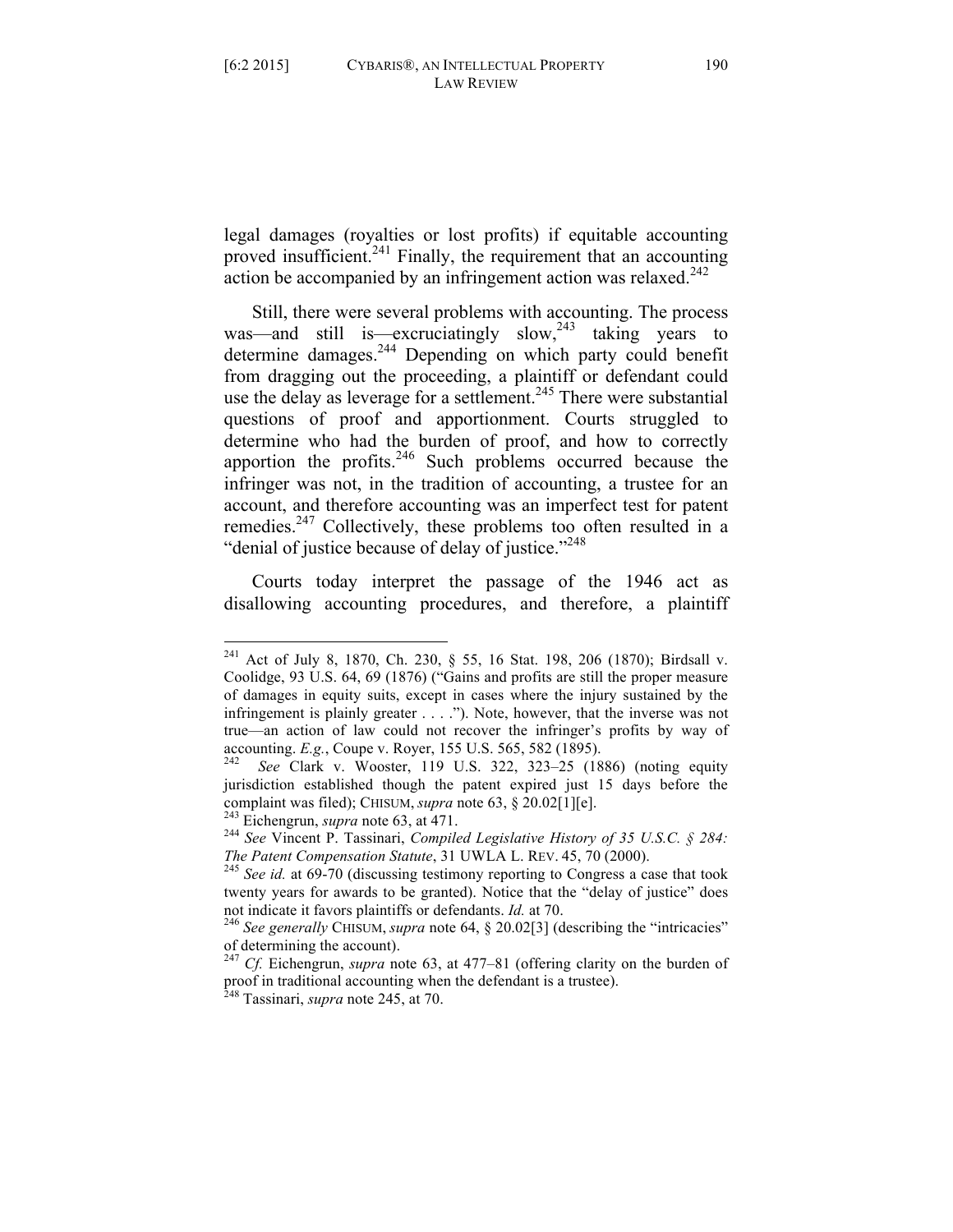legal damages (royalties or lost profits) if equitable accounting proved insufficient.<sup>241</sup> Finally, the requirement that an accounting action be accompanied by an infringement action was relaxed.<sup>242</sup>

Still, there were several problems with accounting. The process was—and still is—excruciatingly slow, $243$  taking years to determine damages. <sup>244</sup> Depending on which party could benefit from dragging out the proceeding, a plaintiff or defendant could use the delay as leverage for a settlement.<sup>245</sup> There were substantial questions of proof and apportionment. Courts struggled to determine who had the burden of proof, and how to correctly apportion the profits. $246$  Such problems occurred because the infringer was not, in the tradition of accounting, a trustee for an account, and therefore accounting was an imperfect test for patent remedies.<sup>247</sup> Collectively, these problems too often resulted in a "denial of justice because of delay of justice."<sup>248</sup>

Courts today interpret the passage of the 1946 act as disallowing accounting procedures, and therefore, a plaintiff

<sup>&</sup>lt;sup>241</sup> Act of July 8, 1870, Ch. 230, § 55, 16 Stat. 198, 206 (1870); Birdsall v. Coolidge, 93 U.S. 64, 69 (1876) ("Gains and profits are still the proper measure of damages in equity suits, except in cases where the injury sustained by the infringement is plainly greater . . . ."). Note, however, that the inverse was not true—an action of law could not recover the infringer's profits by way of accounting. *E.g.*, Coupe v. Royer, 155 U.S. 565, 582 (1895). 242 *See* Clark v. Wooster, 119 U.S. 322, 323–25 (1886) (noting equity

jurisdiction established though the patent expired just 15 days before the

complaint was filed); CHISUM, *supra* note 63, § 20.02[1][e].<br><sup>243</sup> Eichengrun, *supra* note 63, at 471.<br><sup>244</sup> *See* Vincent P. Tassinari, *Compiled Legislative History of 35 U.S.C.* § 284:<br>*The Patent Compensation Statute* 

<sup>&</sup>lt;sup>245</sup> See id. at 69-70 (discussing testimony reporting to Congress a case that took twenty years for awards to be granted). Notice that the "delay of justice" does

not indicate it favors plaintiffs or defendants. *Id.* at 70.<br><sup>246</sup> *See generally* CHISUM, *supra* note 64, § 20.02[3] (describing the "intricacies" of determining the account).

<sup>&</sup>lt;sup>247</sup> *Cf.* Eichengrun, *supra* note 63, at 477–81 (offering clarity on the burden of proof in traditional accounting when the defendant is a trustee).

<sup>248</sup> Tassinari, *supra* note 245, at 70.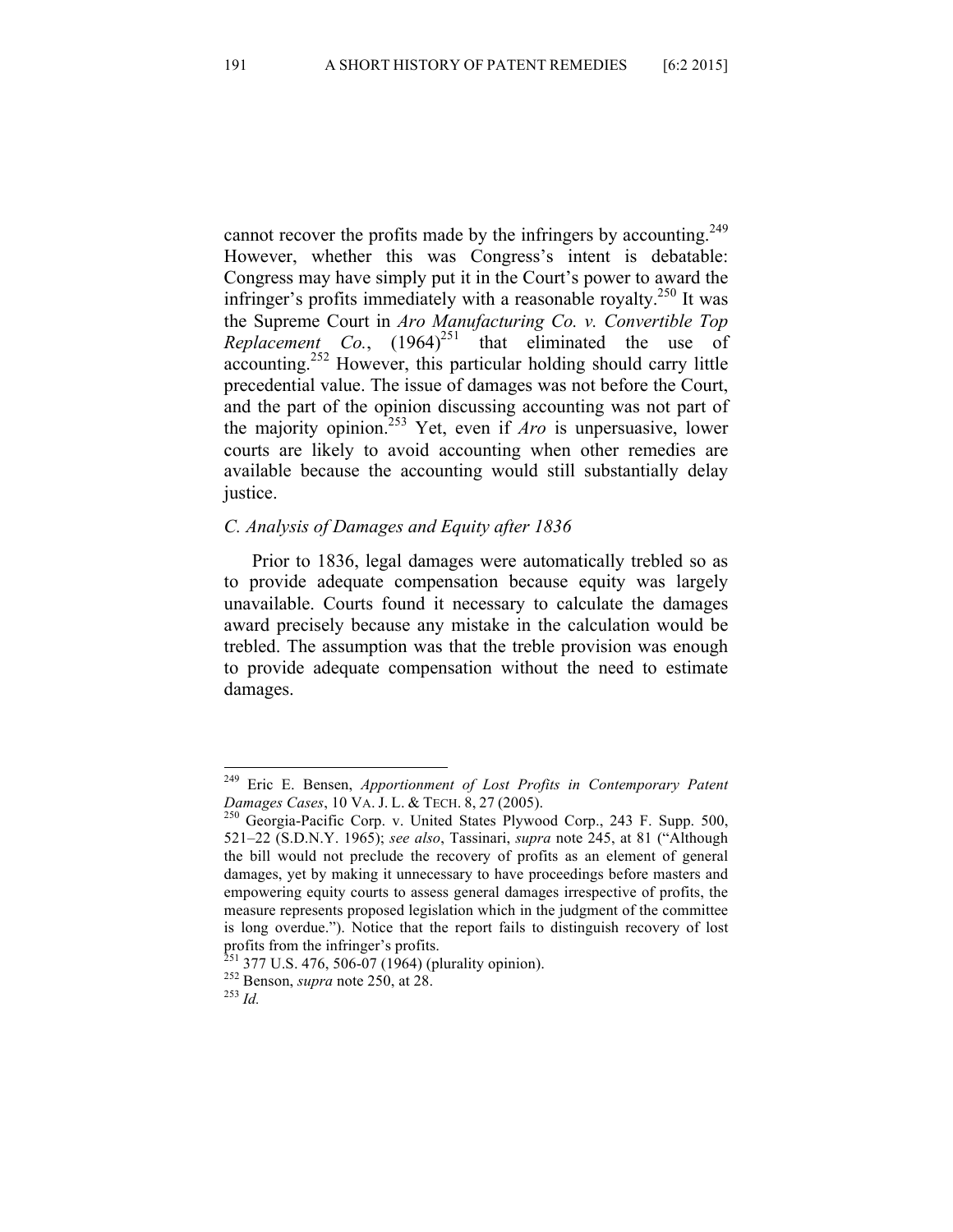cannot recover the profits made by the infringers by accounting.<sup>249</sup> However, whether this was Congress's intent is debatable: Congress may have simply put it in the Court's power to award the infringer's profits immediately with a reasonable royalty.<sup>250</sup> It was the Supreme Court in *Aro Manufacturing Co. v. Convertible Top Replacement Co.*,  $(1964)^{251}$  that eliminated the use of accounting.<sup>252</sup> However, this particular holding should carry little precedential value. The issue of damages was not before the Court, and the part of the opinion discussing accounting was not part of the majority opinion.<sup>253</sup> Yet, even if *Aro* is unpersuasive, lower courts are likely to avoid accounting when other remedies are available because the accounting would still substantially delay justice.

### *C. Analysis of Damages and Equity after 1836*

Prior to 1836, legal damages were automatically trebled so as to provide adequate compensation because equity was largely unavailable. Courts found it necessary to calculate the damages award precisely because any mistake in the calculation would be trebled. The assumption was that the treble provision was enough to provide adequate compensation without the need to estimate damages.

 <sup>249</sup> Eric E. Bensen, *Apportionment of Lost Profits in Contemporary Patent Damages Cases*, 10 VA. J. L. & TECH. 8, 27 (2005).<br><sup>250</sup> Georgia-Pacific Corp. v. United States Plywood Corp., 243 F. Supp. 500,

<sup>521–22 (</sup>S.D.N.Y. 1965); *see also*, Tassinari, *supra* note 245, at 81 ("Although the bill would not preclude the recovery of profits as an element of general damages, yet by making it unnecessary to have proceedings before masters and empowering equity courts to assess general damages irrespective of profits, the measure represents proposed legislation which in the judgment of the committee is long overdue."). Notice that the report fails to distinguish recovery of lost profits from the infringer's profits.

<sup>&</sup>lt;sup>251</sup> 377 U.S. 476, 506-07 (1964) (plurality opinion).<br><sup>252</sup> Benson, *supra* note 250, at 28.<br><sup>253</sup> *Id.*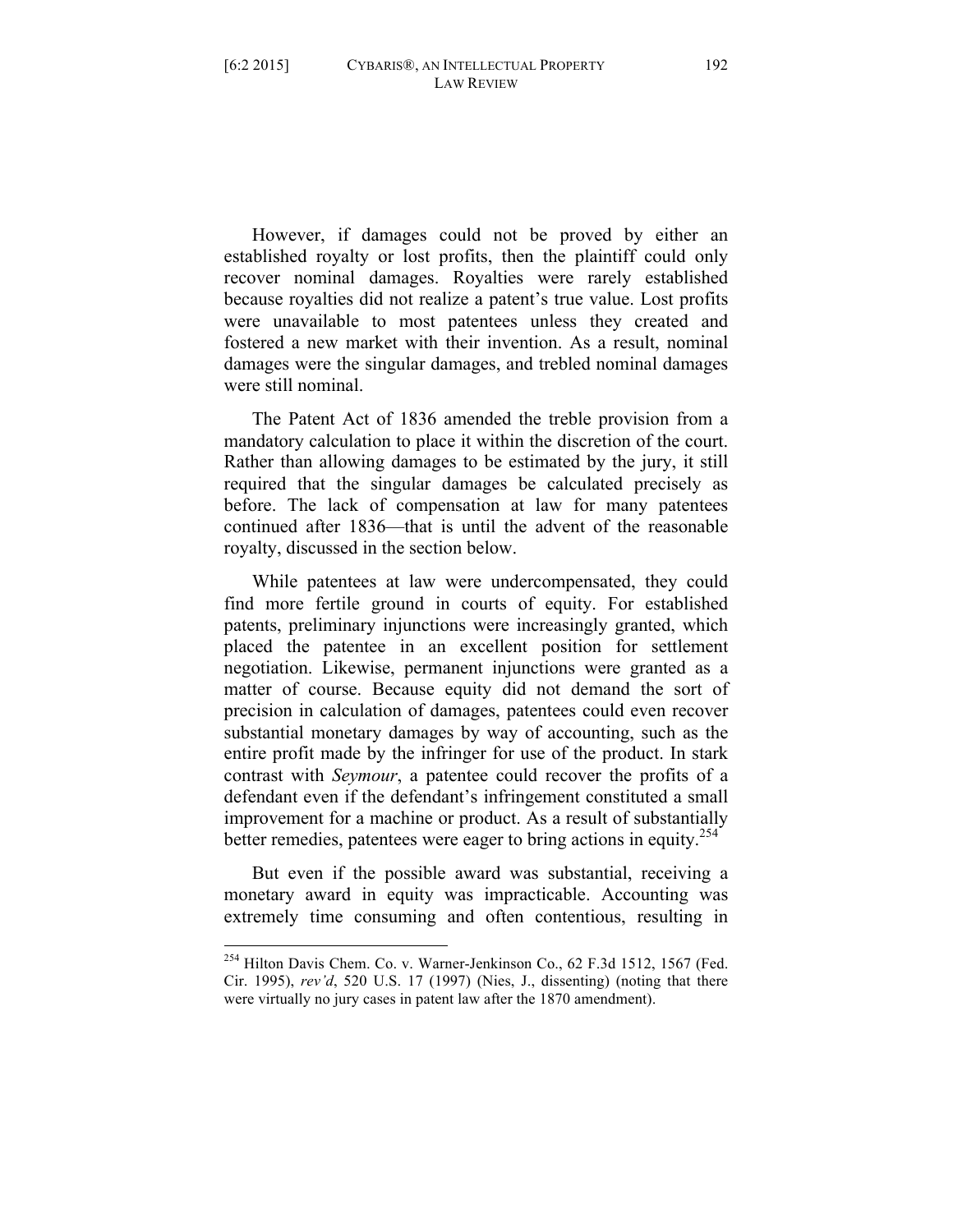However, if damages could not be proved by either an established royalty or lost profits, then the plaintiff could only recover nominal damages. Royalties were rarely established because royalties did not realize a patent's true value. Lost profits were unavailable to most patentees unless they created and fostered a new market with their invention. As a result, nominal damages were the singular damages, and trebled nominal damages were still nominal.

The Patent Act of 1836 amended the treble provision from a mandatory calculation to place it within the discretion of the court. Rather than allowing damages to be estimated by the jury, it still required that the singular damages be calculated precisely as before. The lack of compensation at law for many patentees continued after 1836—that is until the advent of the reasonable royalty, discussed in the section below.

While patentees at law were undercompensated, they could find more fertile ground in courts of equity. For established patents, preliminary injunctions were increasingly granted, which placed the patentee in an excellent position for settlement negotiation. Likewise, permanent injunctions were granted as a matter of course. Because equity did not demand the sort of precision in calculation of damages, patentees could even recover substantial monetary damages by way of accounting, such as the entire profit made by the infringer for use of the product. In stark contrast with *Seymour*, a patentee could recover the profits of a defendant even if the defendant's infringement constituted a small improvement for a machine or product. As a result of substantially better remedies, patentees were eager to bring actions in equity.<sup>254</sup>

But even if the possible award was substantial, receiving a monetary award in equity was impracticable. Accounting was extremely time consuming and often contentious, resulting in

 <sup>254</sup> Hilton Davis Chem. Co. v. Warner-Jenkinson Co., 62 F.3d 1512, 1567 (Fed. Cir. 1995), *rev'd*, 520 U.S. 17 (1997) (Nies, J., dissenting) (noting that there were virtually no jury cases in patent law after the 1870 amendment).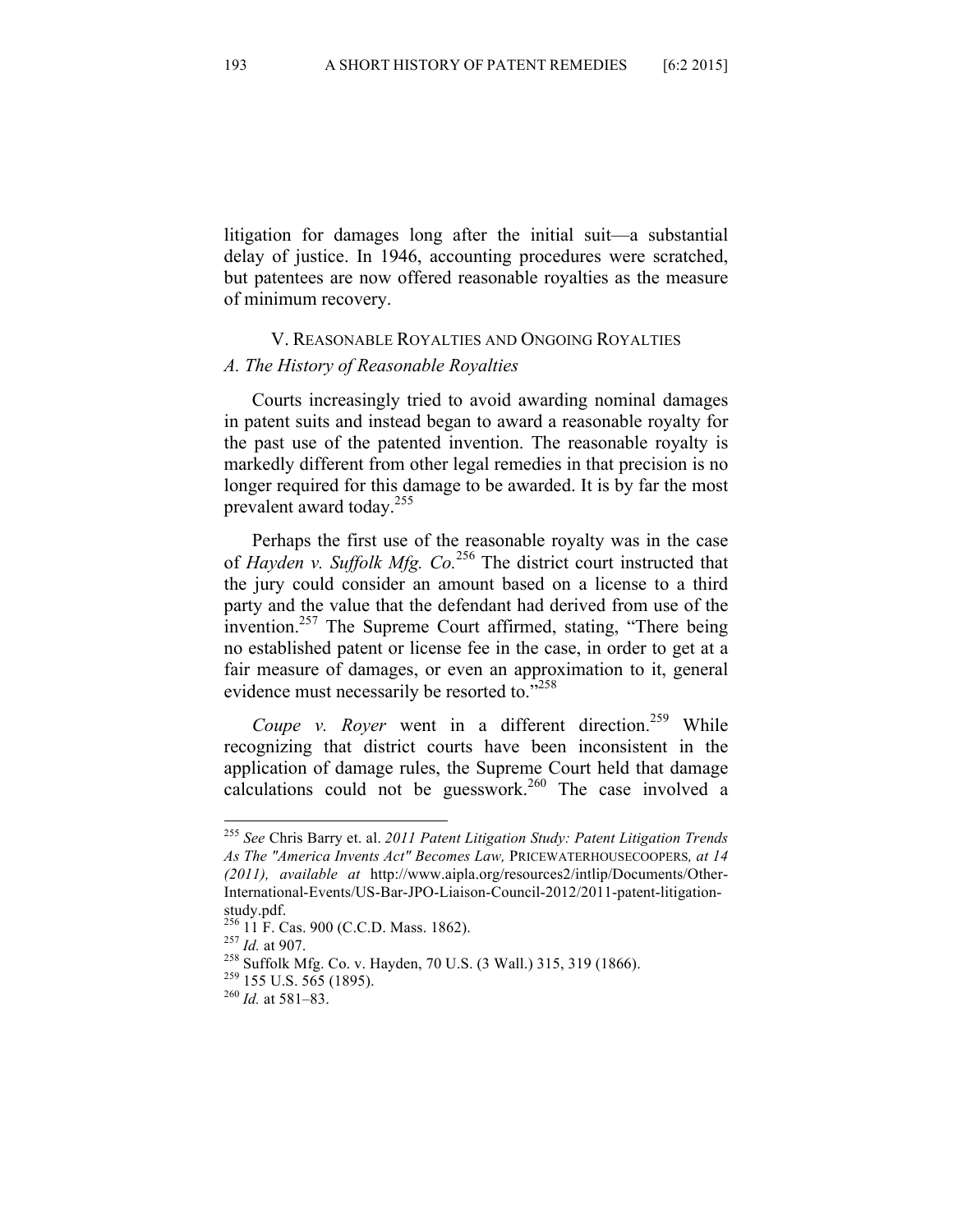litigation for damages long after the initial suit—a substantial delay of justice. In 1946, accounting procedures were scratched, but patentees are now offered reasonable royalties as the measure of minimum recovery.

#### V. REASONABLE ROYALTIES AND ONGOING ROYALTIES

#### *A. The History of Reasonable Royalties*

Courts increasingly tried to avoid awarding nominal damages in patent suits and instead began to award a reasonable royalty for the past use of the patented invention. The reasonable royalty is markedly different from other legal remedies in that precision is no longer required for this damage to be awarded. It is by far the most prevalent award today.<sup>255</sup>

Perhaps the first use of the reasonable royalty was in the case of *Hayden v. Suffolk Mfg. Co.*<sup>256</sup> The district court instructed that the jury could consider an amount based on a license to a third party and the value that the defendant had derived from use of the invention.<sup>257</sup> The Supreme Court affirmed, stating, "There being no established patent or license fee in the case, in order to get at a fair measure of damages, or even an approximation to it, general evidence must necessarily be resorted to."258

*Coupe v. Royer* went in a different direction.<sup>259</sup> While recognizing that district courts have been inconsistent in the application of damage rules, the Supreme Court held that damage calculations could not be guesswork.<sup>260</sup> The case involved a

 <sup>255</sup> *See* Chris Barry et. al. *2011 Patent Litigation Study: Patent Litigation Trends As The "America Invents Act" Becomes Law,* PRICEWATERHOUSECOOPERS*, at 14 (2011), available at* http://www.aipla.org/resources2/intlip/Documents/Other-International-Events/US-Bar-JPO-Liaison-Council-2012/2011-patent-litigationstudy.pdf.<br><sup>256</sup> 11 F. Cas. 900 (C.C.D. Mass. 1862).

<sup>&</sup>lt;sup>257</sup> *Id.* at 907.<br><sup>258</sup> Suffolk Mfg. Co. v. Hayden, 70 U.S. (3 Wall.) 315, 319 (1866).<br><sup>259</sup> 155 U.S. 565 (1895). <sup>260</sup> *Id.* at 581–83.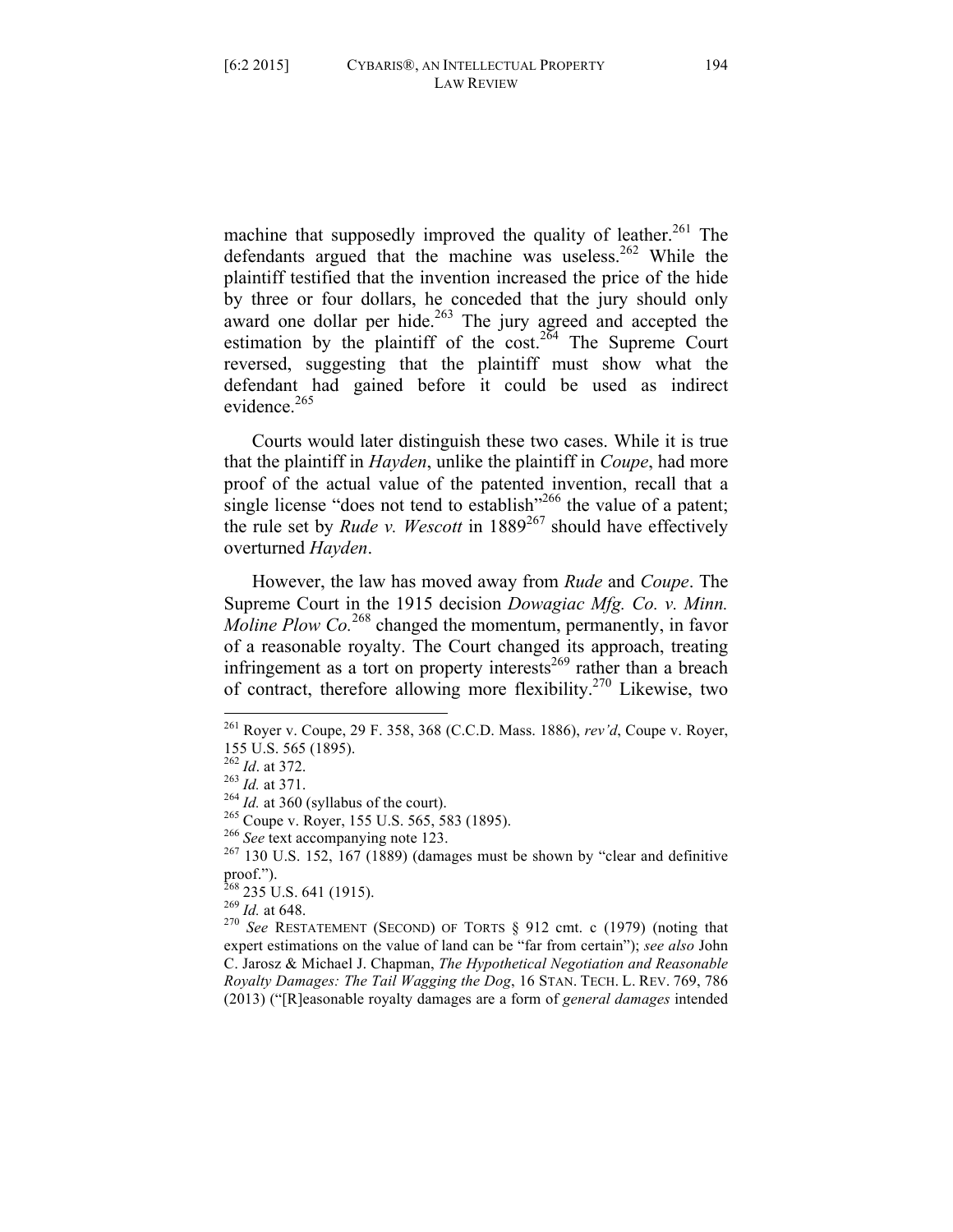machine that supposedly improved the quality of leather.<sup>261</sup> The defendants argued that the machine was useless.<sup>262</sup> While the plaintiff testified that the invention increased the price of the hide by three or four dollars, he conceded that the jury should only award one dollar per hide.<sup>263</sup> The jury agreed and accepted the estimation by the plaintiff of the  $\cos t$ <sup>264</sup> The Supreme Court reversed, suggesting that the plaintiff must show what the defendant had gained before it could be used as indirect evidence  $^{265}$ 

Courts would later distinguish these two cases. While it is true that the plaintiff in *Hayden*, unlike the plaintiff in *Coupe*, had more proof of the actual value of the patented invention, recall that a single license "does not tend to establish"<sup>266</sup> the value of a patent; the rule set by *Rude v. Wescott* in 1889<sup>267</sup> should have effectively overturned *Hayden*.

However, the law has moved away from *Rude* and *Coupe*. The Supreme Court in the 1915 decision *Dowagiac Mfg. Co. v. Minn. Moline Plow Co.*<sup>268</sup> changed the momentum, permanently, in favor of a reasonable royalty. The Court changed its approach, treating infringement as a tort on property interests<sup>269</sup> rather than a breach of contract, therefore allowing more flexibility.<sup>270</sup> Likewise, two

proof.").<br><sup>268</sup> 235 U.S. 641 (1915).<br><sup>269</sup> *Id.* at 648.<br><sup>270</sup> *See* RESTATEMENT (SECOND) OF TORTS § 912 cmt. c (1979) (noting that expert estimations on the value of land can be "far from certain"); *see also* John C. Jarosz & Michael J. Chapman, *The Hypothetical Negotiation and Reasonable Royalty Damages: The Tail Wagging the Dog*, 16 STAN. TECH. L. REV. 769, 786 (2013) ("[R]easonable royalty damages are a form of *general damages* intended

 <sup>261</sup> Royer v. Coupe, 29 F. 358, 368 (C.C.D. Mass. 1886), *rev'd*, Coupe v. Royer, 155 U.S. 565 (1895).<br><sup>262</sup> Id. at 372.

<sup>&</sup>lt;sup>263</sup> *Id.* at 371.<br><sup>264</sup> *Id.* at 360 (syllabus of the court).<br><sup>265</sup> Coupe v. Royer, 155 U.S. 565, 583 (1895).<br><sup>266</sup> *See* text accompanying note 123.<br><sup>267</sup> 130 U.S. 152, 167 (1889) (damages must be shown by "clear and d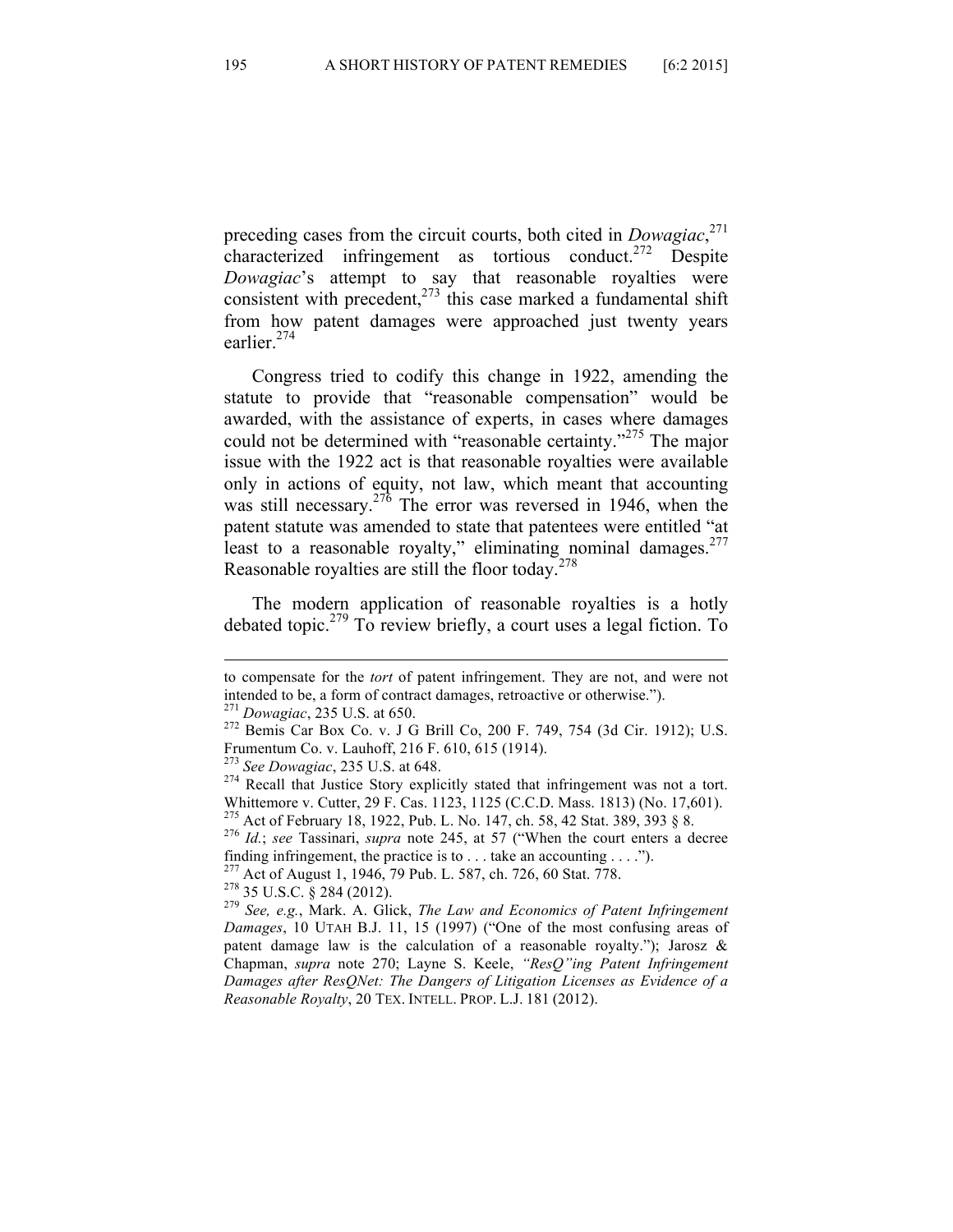preceding cases from the circuit courts, both cited in *Dowagiac*, 271 characterized infringement as tortious conduct.<sup>272</sup> Despite *Dowagiac*'s attempt to say that reasonable royalties were consistent with precedent, $273$  this case marked a fundamental shift from how patent damages were approached just twenty years earlier.<sup>274</sup>

Congress tried to codify this change in 1922, amending the statute to provide that "reasonable compensation" would be awarded, with the assistance of experts, in cases where damages could not be determined with "reasonable certainty."<sup>275</sup> The major issue with the 1922 act is that reasonable royalties were available only in actions of equity, not law, which meant that accounting was still necessary.<sup>276</sup> The error was reversed in 1946, when the patent statute was amended to state that patentees were entitled "at least to a reasonable royalty," eliminating nominal damages. $277$ Reasonable royalties are still the floor today. $278$ 

The modern application of reasonable royalties is a hotly debated topic.<sup>279</sup> To review briefly, a court uses a legal fiction. To

<u> 1989 - Johann Stoff, fransk politik (f. 1989)</u>

to compensate for the *tort* of patent infringement. They are not, and were not intended to be, a form of contract damages, retroactive or otherwise.").

<sup>&</sup>lt;sup>271</sup> *Dowagiac*, 235 U.S. at 650. <br><sup>272</sup> Bemis Car Box Co. v. J G Brill Co, 200 F. 749, 754 (3d Cir. 1912); U.S. Frumentum Co. v. Lauhoff, 216 F. 610, 615 (1914).<br><sup>273</sup> See Dowagiac, 235 U.S. at 648.

<sup>&</sup>lt;sup>274</sup> Recall that Justice Story explicitly stated that infringement was not a tort. Whittemore v. Cutter, 29 F. Cas. 1123, 1125 (C.C.D. Mass. 1813) (No. 17,601).<br><sup>275</sup> Act of February 18, 1922, Pub. L. No. 147, ch. 58, 42 Stat. 389, 393 § 8.

<sup>275</sup> Act of February 18, 1922, Pub. L. No. 147, ch. 58, 42 Stat. 389, 393 § 8. <sup>276</sup> *Id.*; *see* Tassinari, *supra* note 245, at 57 ("When the court enters a decree finding infringement, the practice is to . . . take an accounting . . . .").<br> $^{277}$  Act of August 1, 1946, 79 Pub. L. 587, ch. 726, 60 Stat. 778.

<sup>&</sup>lt;sup>278</sup> 35 U.S.C. § 284 (2012).<br><sup>279</sup> See, e.g., Mark. A. Glick, *The Law and Economics of Patent Infringement Damages*, 10 UTAH B.J. 11, 15 (1997) ("One of the most confusing areas of patent damage law is the calculation of a reasonable royalty."); Jarosz  $\&$ Chapman, *supra* note 270; Layne S. Keele, *"ResQ"ing Patent Infringement Damages after ResQNet: The Dangers of Litigation Licenses as Evidence of a Reasonable Royalty*, 20 TEX. INTELL. PROP. L.J. 181 (2012).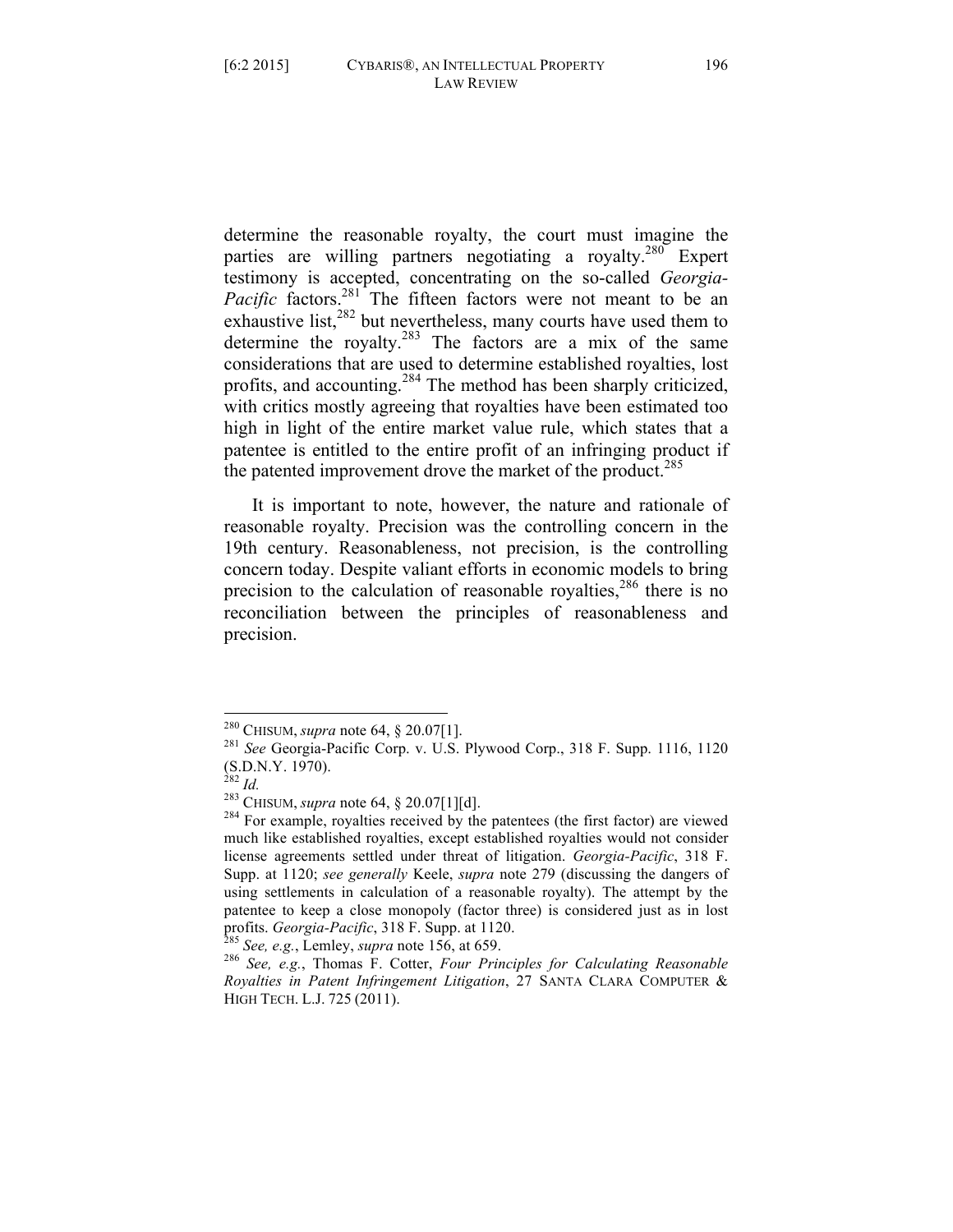determine the reasonable royalty, the court must imagine the parties are willing partners negotiating a royalty.<sup>280</sup> Expert testimony is accepted, concentrating on the so-called *Georgia-Pacific* factors.<sup>281</sup> The fifteen factors were not meant to be an exhaustive list,<sup>282</sup> but nevertheless, many courts have used them to determine the royalty.<sup>283</sup> The factors are a mix of the same considerations that are used to determine established royalties, lost profits, and accounting.<sup>284</sup> The method has been sharply criticized, with critics mostly agreeing that royalties have been estimated too high in light of the entire market value rule, which states that a patentee is entitled to the entire profit of an infringing product if the patented improvement drove the market of the product.<sup>285</sup>

It is important to note, however, the nature and rationale of reasonable royalty. Precision was the controlling concern in the 19th century. Reasonableness, not precision, is the controlling concern today. Despite valiant efforts in economic models to bring precision to the calculation of reasonable royalties, $286$  there is no reconciliation between the principles of reasonableness and precision.

 <sup>280</sup> CHISUM, *supra* note 64, § 20.07[1]. <sup>281</sup> *See* Georgia-Pacific Corp. v. U.S. Plywood Corp., 318 F. Supp. 1116, 1120

<sup>(</sup>S.D.N.Y. 1970).<br><sup>282</sup> *Id.* <sup>283</sup> CHISUM, *supra* note 64, § 20.07[1][d].<br><sup>284</sup> For example, royalties received by the patentees (the first factor) are viewed much like established royalties, except established royalties would not consider license agreements settled under threat of litigation. *Georgia-Pacific*, 318 F. Supp. at 1120; *see generally* Keele, *supra* note 279 (discussing the dangers of using settlements in calculation of a reasonable royalty). The attempt by the patentee to keep a close monopoly (factor three) is considered just as in lost profits. *Georgia-Pacific*, 318 F. Supp. at 1120.<br><sup>285</sup> *See, e.g.*, Lemley, *supra* note 156, at 659.<br><sup>286</sup> *See, e.g.*, Thomas F. Cotter, *Four Principles for Calculating Reasonable* 

*Royalties in Patent Infringement Litigation*, 27 SANTA CLARA COMPUTER & HIGH TECH. L.J. 725 (2011).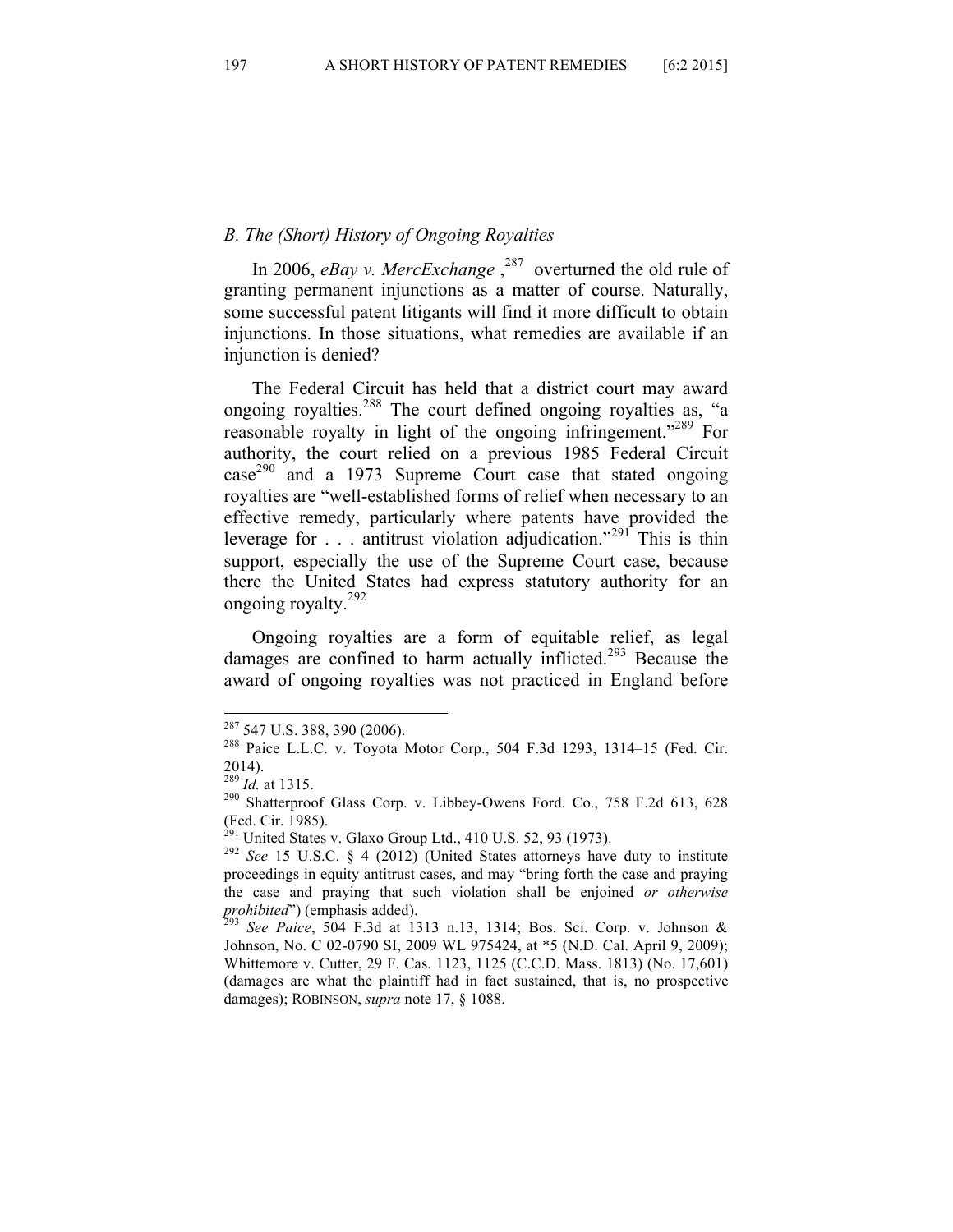## *B. The (Short) History of Ongoing Royalties*

In 2006, *eBay v. MercExchange*<sup>287</sup> overturned the old rule of granting permanent injunctions as a matter of course. Naturally, some successful patent litigants will find it more difficult to obtain injunctions. In those situations, what remedies are available if an injunction is denied?

The Federal Circuit has held that a district court may award ongoing royalties.<sup>288</sup> The court defined ongoing royalties as, "a reasonable royalty in light of the ongoing infringement."289 For authority, the court relied on a previous 1985 Federal Circuit  $case^{290}$  and a 1973 Supreme Court case that stated ongoing royalties are "well-established forms of relief when necessary to an effective remedy, particularly where patents have provided the leverage for . . . antitrust violation adjudication."<sup>291</sup> This is thin support, especially the use of the Supreme Court case, because there the United States had express statutory authority for an ongoing royalty.<sup>292</sup>

Ongoing royalties are a form of equitable relief, as legal damages are confined to harm actually inflicted. <sup>293</sup> Because the award of ongoing royalties was not practiced in England before

<sup>&</sup>lt;sup>287</sup> 547 U.S. 388, 390 (2006).<br><sup>288</sup> Paice L.L.C. v. Toyota Motor Corp., 504 F.3d 1293, 1314–15 (Fed. Cir.  $^{2014)}$ .<br><sup>289</sup> *Id.* at 1315.

<sup>&</sup>lt;sup>290</sup> Shatterproof Glass Corp. v. Libbey-Owens Ford. Co., 758 F.2d 613, 628 (Fed. Cir. 1985).<br><sup>291</sup> United States v. Glaxo Group Ltd., 410 U.S. 52, 93 (1973).

<sup>&</sup>lt;sup>292</sup> See 15 U.S.C. § 4 (2012) (United States attorneys have duty to institute proceedings in equity antitrust cases, and may "bring forth the case and praying the case and praying that such violation shall be enjoined *or otherwise prohibited*") (emphasis added). <sup>293</sup> *See Paice*, 504 F.3d at 1313 n.13, 1314; Bos. Sci. Corp. v. Johnson &

Johnson, No. C 02-0790 SI, 2009 WL 975424, at \*5 (N.D. Cal. April 9, 2009); Whittemore v. Cutter, 29 F. Cas. 1123, 1125 (C.C.D. Mass. 1813) (No. 17,601) (damages are what the plaintiff had in fact sustained, that is, no prospective damages); ROBINSON, *supra* note 17, § 1088.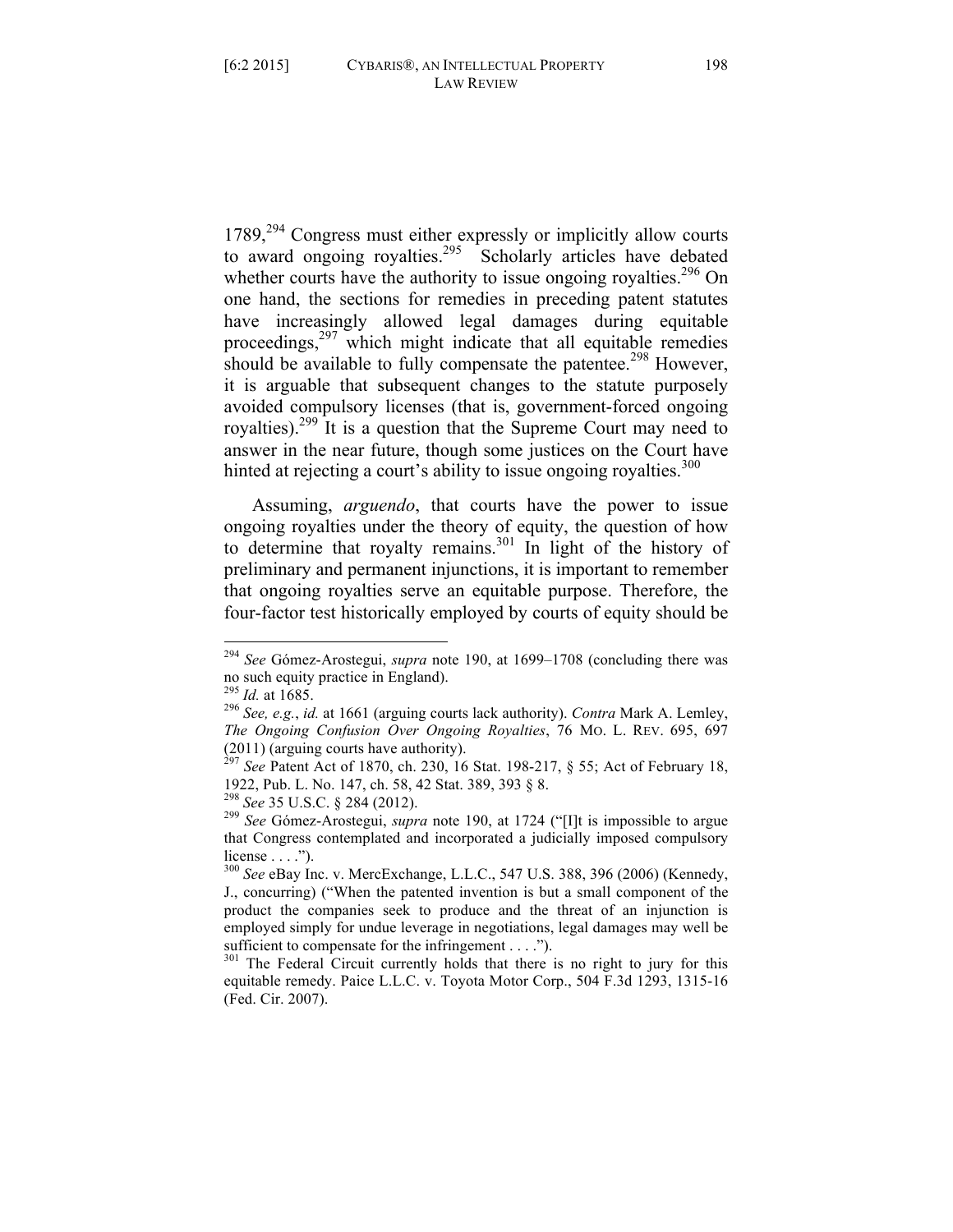1789,<sup>294</sup> Congress must either expressly or implicitly allow courts to award ongoing royalties.<sup>295</sup> Scholarly articles have debated whether courts have the authority to issue ongoing royalties.<sup>296</sup> On one hand, the sections for remedies in preceding patent statutes have increasingly allowed legal damages during equitable proceedings,<sup>297</sup> which might indicate that all equitable remedies should be available to fully compensate the patentee.<sup>298</sup> However, it is arguable that subsequent changes to the statute purposely avoided compulsory licenses (that is, government-forced ongoing royalties).299 It is a question that the Supreme Court may need to answer in the near future, though some justices on the Court have hinted at rejecting a court's ability to issue ongoing royalties. $300$ 

Assuming, *arguendo*, that courts have the power to issue ongoing royalties under the theory of equity, the question of how to determine that royalty remains.301 In light of the history of preliminary and permanent injunctions, it is important to remember that ongoing royalties serve an equitable purpose. Therefore, the four-factor test historically employed by courts of equity should be

 <sup>294</sup> *See* Gómez-Arostegui, *supra* note 190, at 1699–1708 (concluding there was no such equity practice in England).<br> $^{295}$  *Id.* at 1685.

<sup>295</sup> *Id.* at 1685. <sup>296</sup> *See, e.g.*, *id.* at 1661 (arguing courts lack authority). *Contra* Mark A. Lemley, *The Ongoing Confusion Over Ongoing Royalties*, 76 MO. L. REV. 695, 697 (2011) (arguing courts have authority).

<sup>297</sup> *See* Patent Act of 1870, ch. 230, 16 Stat. 198-217, § 55; Act of February 18, 1922, Pub. L. No. 147, ch. 58, 42 Stat. 389, 393 § 8.

<sup>&</sup>lt;sup>299</sup> See Gómez-Arostegui, *supra* note 190, at 1724 ("[I]t is impossible to argue that Congress contemplated and incorporated a judicially imposed compulsory license  $\dots$ .").

<sup>300</sup> *See* eBay Inc. v. MercExchange, L.L.C., 547 U.S. 388, 396 (2006) (Kennedy, J., concurring) ("When the patented invention is but a small component of the product the companies seek to produce and the threat of an injunction is employed simply for undue leverage in negotiations, legal damages may well be sufficient to compensate for the infringement . . . .").

<sup>&</sup>lt;sup>301</sup> The Federal Circuit currently holds that there is no right to jury for this equitable remedy. Paice L.L.C. v. Toyota Motor Corp., 504 F.3d 1293, 1315-16 (Fed. Cir. 2007).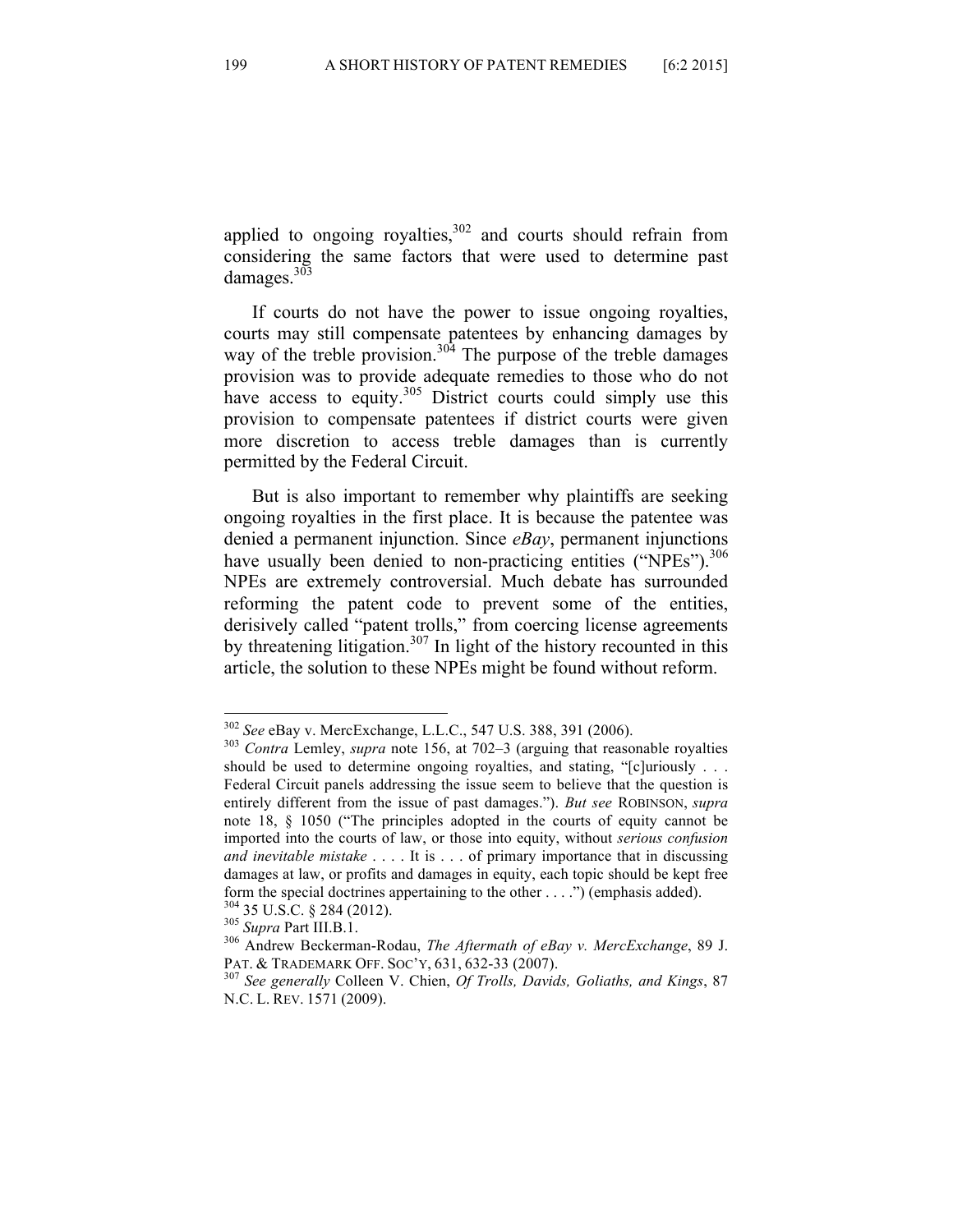applied to ongoing royalties,<sup>302</sup> and courts should refrain from considering the same factors that were used to determine past damages. $303$ 

If courts do not have the power to issue ongoing royalties, courts may still compensate patentees by enhancing damages by way of the treble provision.<sup>304</sup> The purpose of the treble damages provision was to provide adequate remedies to those who do not have access to equity.<sup>305</sup> District courts could simply use this provision to compensate patentees if district courts were given more discretion to access treble damages than is currently permitted by the Federal Circuit.

But is also important to remember why plaintiffs are seeking ongoing royalties in the first place. It is because the patentee was denied a permanent injunction. Since *eBay*, permanent injunctions have usually been denied to non-practicing entities ("NPEs").<sup>306</sup> NPEs are extremely controversial. Much debate has surrounded reforming the patent code to prevent some of the entities, derisively called "patent trolls," from coercing license agreements by threatening litigation.<sup>307</sup> In light of the history recounted in this article, the solution to these NPEs might be found without reform.

 <sup>302</sup> *See* eBay v. MercExchange, L.L.C., 547 U.S. 388, 391 (2006). <sup>303</sup> *Contra* Lemley, *supra* note 156, at 702–3 (arguing that reasonable royalties should be used to determine ongoing royalties, and stating, "[c]uriously . . . Federal Circuit panels addressing the issue seem to believe that the question is entirely different from the issue of past damages."). *But see* ROBINSON, *supra*  note 18, § 1050 ("The principles adopted in the courts of equity cannot be imported into the courts of law, or those into equity, without *serious confusion and inevitable mistake* . . . . It is . . . of primary importance that in discussing damages at law, or profits and damages in equity, each topic should be kept free form the special doctrines appertaining to the other . . . .") (emphasis added).<br><sup>304</sup> 35 U.S.C. § 284 (2012).<br><sup>305</sup> *Supra* Part III.B.1.<br><sup>306</sup> Andrew Beckerman-Rodau, *The Aftermath of eBay v. MercExchange*, 89 J.

PAT. & TRADEMARK OFF. SOC'Y, 631, 632-33 (2007). <sup>307</sup> *See generally* Colleen V. Chien, *Of Trolls, Davids, Goliaths, and Kings*, 87 N.C. L. REV. 1571 (2009).